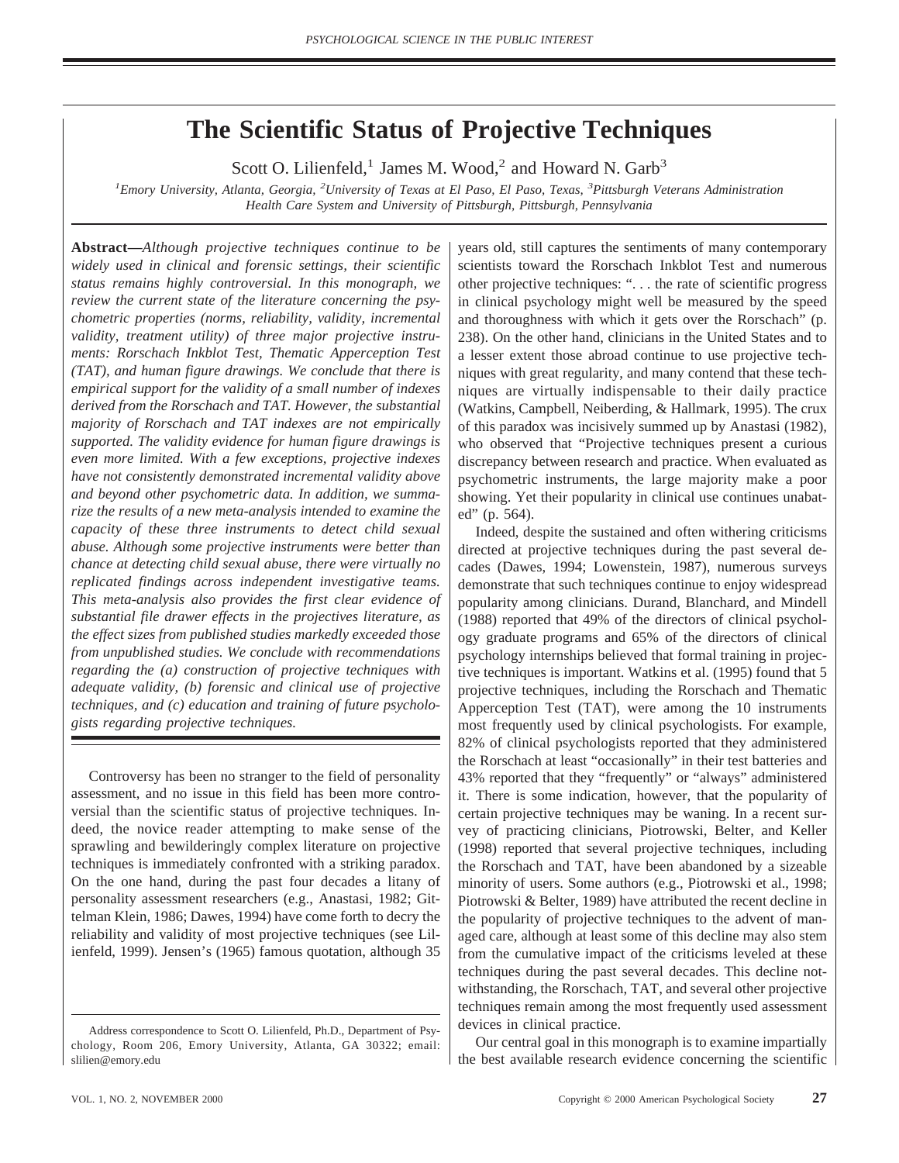Scott O. Lilienfeld,<sup>1</sup> James M. Wood,<sup>2</sup> and Howard N. Garb<sup>3</sup>

<sup>1</sup> Emory University, Atlanta, Georgia, <sup>2</sup> University of Texas at El Paso, El Paso, Texas, <sup>3</sup> Pittsburgh Veterans Administration *Health Care System and University of Pittsburgh, Pittsburgh, Pennsylvania*

**Abstract—***Although projective techniques continue to be widely used in clinical and forensic settings, their scientific status remains highly controversial. In this monograph, we review the current state of the literature concerning the psychometric properties (norms, reliability, validity, incremental validity, treatment utility) of three major projective instruments: Rorschach Inkblot Test, Thematic Apperception Test (TAT), and human figure drawings. We conclude that there is empirical support for the validity of a small number of indexes derived from the Rorschach and TAT. However, the substantial majority of Rorschach and TAT indexes are not empirically supported. The validity evidence for human figure drawings is even more limited. With a few exceptions, projective indexes have not consistently demonstrated incremental validity above and beyond other psychometric data. In addition, we summarize the results of a new meta-analysis intended to examine the capacity of these three instruments to detect child sexual abuse. Although some projective instruments were better than chance at detecting child sexual abuse, there were virtually no replicated findings across independent investigative teams. This meta-analysis also provides the first clear evidence of substantial file drawer effects in the projectives literature, as the effect sizes from published studies markedly exceeded those from unpublished studies. We conclude with recommendations regarding the (a) construction of projective techniques with adequate validity, (b) forensic and clinical use of projective techniques, and (c) education and training of future psychologists regarding projective techniques.*

Controversy has been no stranger to the field of personality assessment, and no issue in this field has been more controversial than the scientific status of projective techniques. Indeed, the novice reader attempting to make sense of the sprawling and bewilderingly complex literature on projective techniques is immediately confronted with a striking paradox. On the one hand, during the past four decades a litany of personality assessment researchers (e.g., Anastasi, 1982; Gittelman Klein, 1986; Dawes, 1994) have come forth to decry the reliability and validity of most projective techniques (see Lilienfeld, 1999). Jensen's (1965) famous quotation, although 35

years old, still captures the sentiments of many contemporary scientists toward the Rorschach Inkblot Test and numerous other projective techniques: ". . . the rate of scientific progress in clinical psychology might well be measured by the speed and thoroughness with which it gets over the Rorschach" (p. 238). On the other hand, clinicians in the United States and to a lesser extent those abroad continue to use projective techniques with great regularity, and many contend that these techniques are virtually indispensable to their daily practice (Watkins, Campbell, Neiberding, & Hallmark, 1995). The crux of this paradox was incisively summed up by Anastasi (1982), who observed that "Projective techniques present a curious discrepancy between research and practice. When evaluated as psychometric instruments, the large majority make a poor showing. Yet their popularity in clinical use continues unabated" (p. 564).

Indeed, despite the sustained and often withering criticisms directed at projective techniques during the past several decades (Dawes, 1994; Lowenstein, 1987), numerous surveys demonstrate that such techniques continue to enjoy widespread popularity among clinicians. Durand, Blanchard, and Mindell (1988) reported that 49% of the directors of clinical psychology graduate programs and 65% of the directors of clinical psychology internships believed that formal training in projective techniques is important. Watkins et al. (1995) found that 5 projective techniques, including the Rorschach and Thematic Apperception Test (TAT), were among the 10 instruments most frequently used by clinical psychologists. For example, 82% of clinical psychologists reported that they administered the Rorschach at least "occasionally" in their test batteries and 43% reported that they "frequently" or "always" administered it. There is some indication, however, that the popularity of certain projective techniques may be waning. In a recent survey of practicing clinicians, Piotrowski, Belter, and Keller (1998) reported that several projective techniques, including the Rorschach and TAT, have been abandoned by a sizeable minority of users. Some authors (e.g., Piotrowski et al., 1998; Piotrowski & Belter, 1989) have attributed the recent decline in the popularity of projective techniques to the advent of managed care, although at least some of this decline may also stem from the cumulative impact of the criticisms leveled at these techniques during the past several decades. This decline notwithstanding, the Rorschach, TAT, and several other projective techniques remain among the most frequently used assessment devices in clinical practice.

Our central goal in this monograph is to examine impartially the best available research evidence concerning the scientific

Address correspondence to Scott O. Lilienfeld, Ph.D., Department of Psychology, Room 206, Emory University, Atlanta, GA 30322; email: slilien@emory.edu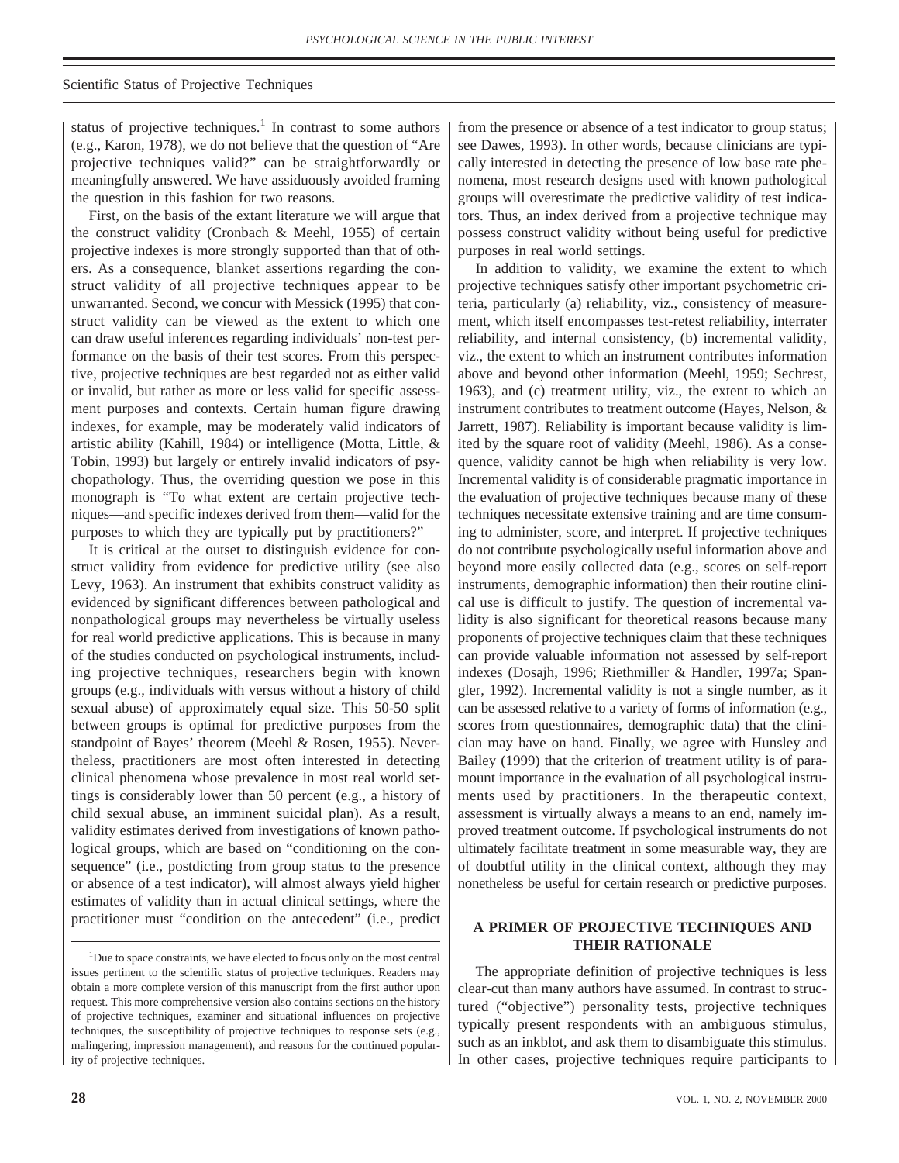status of projective techniques.<sup>1</sup> In contrast to some authors (e.g., Karon, 1978), we do not believe that the question of "Are projective techniques valid?" can be straightforwardly or meaningfully answered. We have assiduously avoided framing the question in this fashion for two reasons.

First, on the basis of the extant literature we will argue that the construct validity (Cronbach & Meehl, 1955) of certain projective indexes is more strongly supported than that of others. As a consequence, blanket assertions regarding the construct validity of all projective techniques appear to be unwarranted. Second, we concur with Messick (1995) that construct validity can be viewed as the extent to which one can draw useful inferences regarding individuals' non-test performance on the basis of their test scores. From this perspective, projective techniques are best regarded not as either valid or invalid, but rather as more or less valid for specific assessment purposes and contexts. Certain human figure drawing indexes, for example, may be moderately valid indicators of artistic ability (Kahill, 1984) or intelligence (Motta, Little, & Tobin, 1993) but largely or entirely invalid indicators of psychopathology. Thus, the overriding question we pose in this monograph is "To what extent are certain projective techniques—and specific indexes derived from them—valid for the purposes to which they are typically put by practitioners?"

It is critical at the outset to distinguish evidence for construct validity from evidence for predictive utility (see also Levy, 1963). An instrument that exhibits construct validity as evidenced by significant differences between pathological and nonpathological groups may nevertheless be virtually useless for real world predictive applications. This is because in many of the studies conducted on psychological instruments, including projective techniques, researchers begin with known groups (e.g., individuals with versus without a history of child sexual abuse) of approximately equal size. This 50-50 split between groups is optimal for predictive purposes from the standpoint of Bayes' theorem (Meehl & Rosen, 1955). Nevertheless, practitioners are most often interested in detecting clinical phenomena whose prevalence in most real world settings is considerably lower than 50 percent (e.g., a history of child sexual abuse, an imminent suicidal plan). As a result, validity estimates derived from investigations of known pathological groups, which are based on "conditioning on the consequence" (i.e., postdicting from group status to the presence or absence of a test indicator), will almost always yield higher estimates of validity than in actual clinical settings, where the practitioner must "condition on the antecedent" (i.e., predict from the presence or absence of a test indicator to group status; see Dawes, 1993). In other words, because clinicians are typically interested in detecting the presence of low base rate phenomena, most research designs used with known pathological groups will overestimate the predictive validity of test indicators. Thus, an index derived from a projective technique may possess construct validity without being useful for predictive purposes in real world settings.

In addition to validity, we examine the extent to which projective techniques satisfy other important psychometric criteria, particularly (a) reliability, viz., consistency of measurement, which itself encompasses test-retest reliability, interrater reliability, and internal consistency, (b) incremental validity, viz., the extent to which an instrument contributes information above and beyond other information (Meehl, 1959; Sechrest, 1963), and (c) treatment utility, viz., the extent to which an instrument contributes to treatment outcome (Hayes, Nelson, & Jarrett, 1987). Reliability is important because validity is limited by the square root of validity (Meehl, 1986). As a consequence, validity cannot be high when reliability is very low. Incremental validity is of considerable pragmatic importance in the evaluation of projective techniques because many of these techniques necessitate extensive training and are time consuming to administer, score, and interpret. If projective techniques do not contribute psychologically useful information above and beyond more easily collected data (e.g., scores on self-report instruments, demographic information) then their routine clinical use is difficult to justify. The question of incremental validity is also significant for theoretical reasons because many proponents of projective techniques claim that these techniques can provide valuable information not assessed by self-report indexes (Dosajh, 1996; Riethmiller & Handler, 1997a; Spangler, 1992). Incremental validity is not a single number, as it can be assessed relative to a variety of forms of information (e.g., scores from questionnaires, demographic data) that the clinician may have on hand. Finally, we agree with Hunsley and Bailey (1999) that the criterion of treatment utility is of paramount importance in the evaluation of all psychological instruments used by practitioners. In the therapeutic context, assessment is virtually always a means to an end, namely improved treatment outcome. If psychological instruments do not ultimately facilitate treatment in some measurable way, they are of doubtful utility in the clinical context, although they may nonetheless be useful for certain research or predictive purposes.

# **A PRIMER OF PROJECTIVE TECHNIQUES AND THEIR RATIONALE**

The appropriate definition of projective techniques is less clear-cut than many authors have assumed. In contrast to structured ("objective") personality tests, projective techniques typically present respondents with an ambiguous stimulus, such as an inkblot, and ask them to disambiguate this stimulus. In other cases, projective techniques require participants to

<sup>&</sup>lt;sup>1</sup>Due to space constraints, we have elected to focus only on the most central issues pertinent to the scientific status of projective techniques. Readers may obtain a more complete version of this manuscript from the first author upon request. This more comprehensive version also contains sections on the history of projective techniques, examiner and situational influences on projective techniques, the susceptibility of projective techniques to response sets (e.g., malingering, impression management), and reasons for the continued popularity of projective techniques.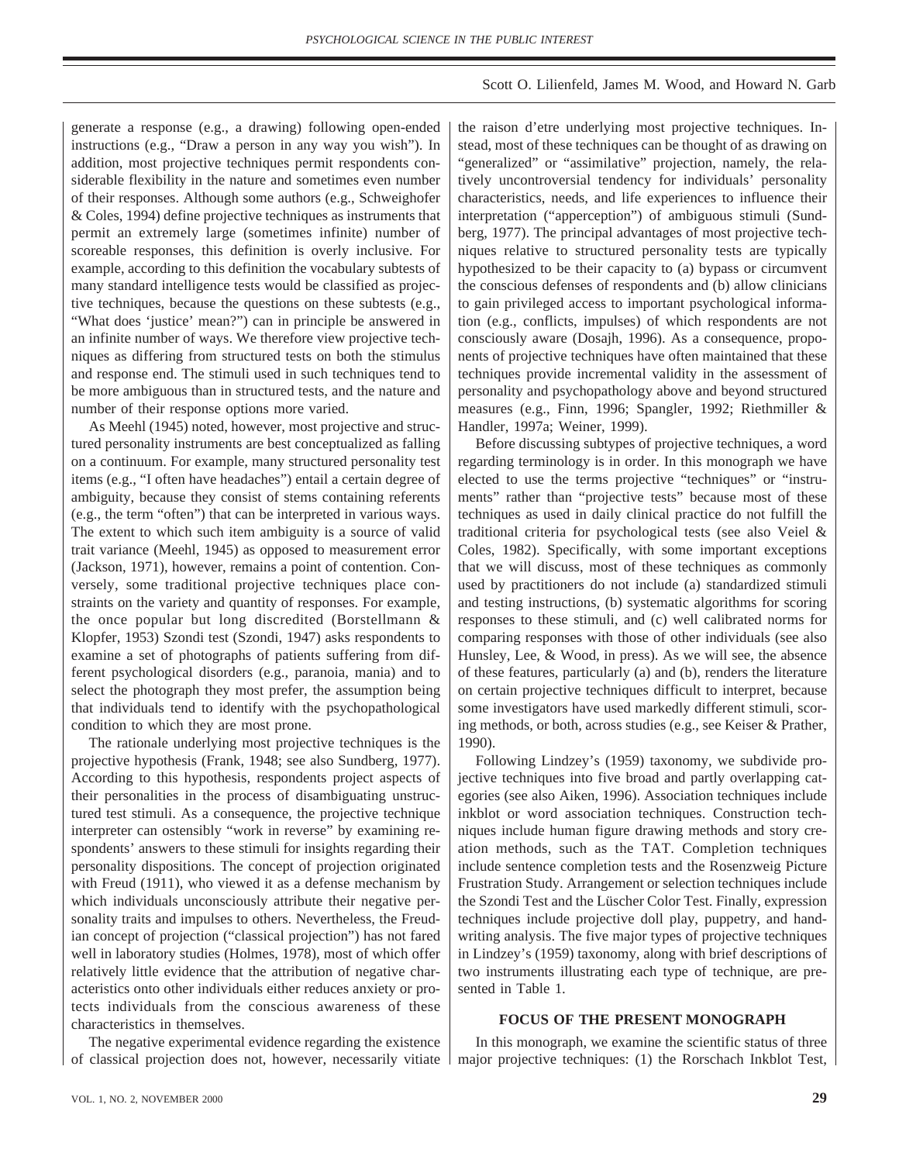generate a response (e.g., a drawing) following open-ended instructions (e.g., "Draw a person in any way you wish"). In addition, most projective techniques permit respondents considerable flexibility in the nature and sometimes even number of their responses. Although some authors (e.g., Schweighofer & Coles, 1994) define projective techniques as instruments that permit an extremely large (sometimes infinite) number of scoreable responses, this definition is overly inclusive. For example, according to this definition the vocabulary subtests of many standard intelligence tests would be classified as projective techniques, because the questions on these subtests (e.g., "What does 'justice' mean?") can in principle be answered in an infinite number of ways. We therefore view projective techniques as differing from structured tests on both the stimulus and response end. The stimuli used in such techniques tend to be more ambiguous than in structured tests, and the nature and number of their response options more varied.

As Meehl (1945) noted, however, most projective and structured personality instruments are best conceptualized as falling on a continuum. For example, many structured personality test items (e.g., "I often have headaches") entail a certain degree of ambiguity, because they consist of stems containing referents (e.g., the term "often") that can be interpreted in various ways. The extent to which such item ambiguity is a source of valid trait variance (Meehl, 1945) as opposed to measurement error (Jackson, 1971), however, remains a point of contention. Conversely, some traditional projective techniques place constraints on the variety and quantity of responses. For example, the once popular but long discredited (Borstellmann & Klopfer, 1953) Szondi test (Szondi, 1947) asks respondents to examine a set of photographs of patients suffering from different psychological disorders (e.g., paranoia, mania) and to select the photograph they most prefer, the assumption being that individuals tend to identify with the psychopathological condition to which they are most prone.

The rationale underlying most projective techniques is the projective hypothesis (Frank, 1948; see also Sundberg, 1977). According to this hypothesis, respondents project aspects of their personalities in the process of disambiguating unstructured test stimuli. As a consequence, the projective technique interpreter can ostensibly "work in reverse" by examining respondents' answers to these stimuli for insights regarding their personality dispositions. The concept of projection originated with Freud (1911), who viewed it as a defense mechanism by which individuals unconsciously attribute their negative personality traits and impulses to others. Nevertheless, the Freudian concept of projection ("classical projection") has not fared well in laboratory studies (Holmes, 1978), most of which offer relatively little evidence that the attribution of negative characteristics onto other individuals either reduces anxiety or protects individuals from the conscious awareness of these characteristics in themselves.

The negative experimental evidence regarding the existence of classical projection does not, however, necessarily vitiate the raison d'etre underlying most projective techniques. Instead, most of these techniques can be thought of as drawing on "generalized" or "assimilative" projection, namely, the relatively uncontroversial tendency for individuals' personality characteristics, needs, and life experiences to influence their interpretation ("apperception") of ambiguous stimuli (Sundberg, 1977). The principal advantages of most projective techniques relative to structured personality tests are typically hypothesized to be their capacity to (a) bypass or circumvent the conscious defenses of respondents and (b) allow clinicians to gain privileged access to important psychological information (e.g., conflicts, impulses) of which respondents are not consciously aware (Dosajh, 1996). As a consequence, proponents of projective techniques have often maintained that these techniques provide incremental validity in the assessment of personality and psychopathology above and beyond structured measures (e.g., Finn, 1996; Spangler, 1992; Riethmiller & Handler, 1997a; Weiner, 1999).

Before discussing subtypes of projective techniques, a word regarding terminology is in order. In this monograph we have elected to use the terms projective "techniques" or "instruments" rather than "projective tests" because most of these techniques as used in daily clinical practice do not fulfill the traditional criteria for psychological tests (see also Veiel & Coles, 1982). Specifically, with some important exceptions that we will discuss, most of these techniques as commonly used by practitioners do not include (a) standardized stimuli and testing instructions, (b) systematic algorithms for scoring responses to these stimuli, and (c) well calibrated norms for comparing responses with those of other individuals (see also Hunsley, Lee, & Wood, in press). As we will see, the absence of these features, particularly (a) and (b), renders the literature on certain projective techniques difficult to interpret, because some investigators have used markedly different stimuli, scoring methods, or both, across studies (e.g., see Keiser & Prather, 1990).

Following Lindzey's (1959) taxonomy, we subdivide projective techniques into five broad and partly overlapping categories (see also Aiken, 1996). Association techniques include inkblot or word association techniques. Construction techniques include human figure drawing methods and story creation methods, such as the TAT. Completion techniques include sentence completion tests and the Rosenzweig Picture Frustration Study. Arrangement or selection techniques include the Szondi Test and the Lüscher Color Test. Finally, expression techniques include projective doll play, puppetry, and handwriting analysis. The five major types of projective techniques in Lindzey's (1959) taxonomy, along with brief descriptions of two instruments illustrating each type of technique, are presented in Table 1.

#### **FOCUS OF THE PRESENT MONOGRAPH**

In this monograph, we examine the scientific status of three major projective techniques: (1) the Rorschach Inkblot Test,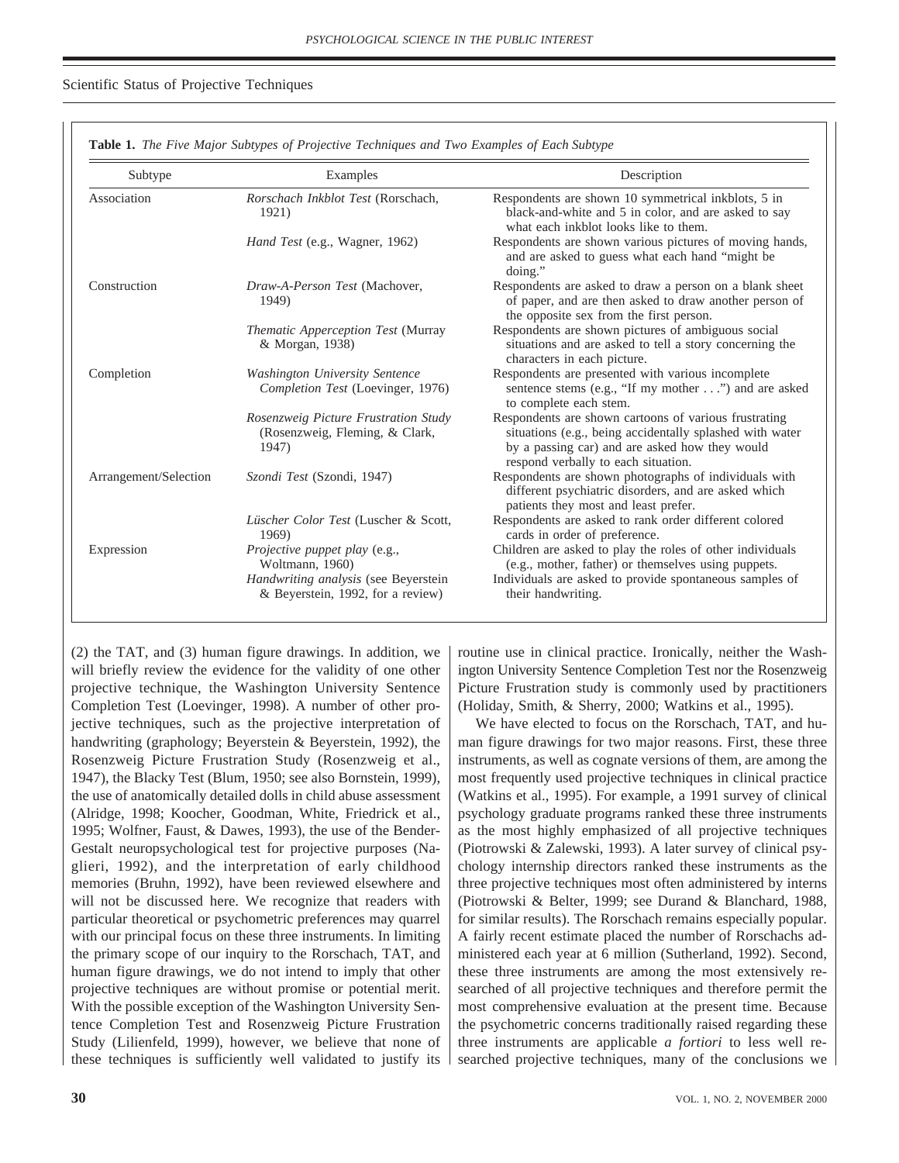| Subtype               | Examples                                                                        | Description<br>Respondents are shown 10 symmetrical inkblots, 5 in<br>black-and-white and 5 in color, and are asked to say<br>what each inkblot looks like to them.                                        |  |
|-----------------------|---------------------------------------------------------------------------------|------------------------------------------------------------------------------------------------------------------------------------------------------------------------------------------------------------|--|
| Association           | Rorschach Inkblot Test (Rorschach,<br>1921)                                     |                                                                                                                                                                                                            |  |
|                       | <i>Hand Test</i> (e.g., Wagner, 1962)                                           | Respondents are shown various pictures of moving hands,<br>and are asked to guess what each hand "might be<br>doing."                                                                                      |  |
| Construction          | Draw-A-Person Test (Machover,<br>1949)                                          | Respondents are asked to draw a person on a blank sheet<br>of paper, and are then asked to draw another person of<br>the opposite sex from the first person.                                               |  |
|                       | <i>Thematic Apperception Test</i> (Murray<br>& Morgan, 1938)                    | Respondents are shown pictures of ambiguous social<br>situations and are asked to tell a story concerning the<br>characters in each picture.                                                               |  |
| Completion            | <b>Washington University Sentence</b><br>Completion Test (Loevinger, 1976)      | Respondents are presented with various incomplete<br>sentence stems (e.g., "If my mother") and are asked<br>to complete each stem.                                                                         |  |
|                       | Rosenzweig Picture Frustration Study<br>(Rosenzweig, Fleming, & Clark,<br>1947) | Respondents are shown cartoons of various frustrating<br>situations (e.g., being accidentally splashed with water<br>by a passing car) and are asked how they would<br>respond verbally to each situation. |  |
| Arrangement/Selection | Szondi Test (Szondi, 1947)                                                      | Respondents are shown photographs of individuals with<br>different psychiatric disorders, and are asked which<br>patients they most and least prefer.                                                      |  |
|                       | Lüscher Color Test (Luscher & Scott,<br>1969)                                   | Respondents are asked to rank order different colored<br>cards in order of preference.                                                                                                                     |  |
| Expression            | Projective puppet play (e.g.,<br>Woltmann, 1960)                                | Children are asked to play the roles of other individuals<br>(e.g., mother, father) or themselves using puppets.                                                                                           |  |
|                       | Handwriting analysis (see Beyerstein<br>& Beyerstein, 1992, for a review)       | Individuals are asked to provide spontaneous samples of<br>their handwriting.                                                                                                                              |  |

(2) the TAT, and (3) human figure drawings. In addition, we will briefly review the evidence for the validity of one other projective technique, the Washington University Sentence Completion Test (Loevinger, 1998). A number of other projective techniques, such as the projective interpretation of handwriting (graphology; Beyerstein & Beyerstein, 1992), the Rosenzweig Picture Frustration Study (Rosenzweig et al., 1947), the Blacky Test (Blum, 1950; see also Bornstein, 1999), the use of anatomically detailed dolls in child abuse assessment (Alridge, 1998; Koocher, Goodman, White, Friedrick et al., 1995; Wolfner, Faust, & Dawes, 1993), the use of the Bender-Gestalt neuropsychological test for projective purposes (Naglieri, 1992), and the interpretation of early childhood memories (Bruhn, 1992), have been reviewed elsewhere and will not be discussed here. We recognize that readers with particular theoretical or psychometric preferences may quarrel with our principal focus on these three instruments. In limiting the primary scope of our inquiry to the Rorschach, TAT, and human figure drawings, we do not intend to imply that other projective techniques are without promise or potential merit. With the possible exception of the Washington University Sentence Completion Test and Rosenzweig Picture Frustration Study (Lilienfeld, 1999), however, we believe that none of these techniques is sufficiently well validated to justify its

routine use in clinical practice. Ironically, neither the Washington University Sentence Completion Test nor the Rosenzweig Picture Frustration study is commonly used by practitioners (Holiday, Smith, & Sherry, 2000; Watkins et al., 1995).

We have elected to focus on the Rorschach, TAT, and human figure drawings for two major reasons. First, these three instruments, as well as cognate versions of them, are among the most frequently used projective techniques in clinical practice (Watkins et al., 1995). For example, a 1991 survey of clinical psychology graduate programs ranked these three instruments as the most highly emphasized of all projective techniques (Piotrowski & Zalewski, 1993). A later survey of clinical psychology internship directors ranked these instruments as the three projective techniques most often administered by interns (Piotrowski & Belter, 1999; see Durand & Blanchard, 1988, for similar results). The Rorschach remains especially popular. A fairly recent estimate placed the number of Rorschachs administered each year at 6 million (Sutherland, 1992). Second, these three instruments are among the most extensively researched of all projective techniques and therefore permit the most comprehensive evaluation at the present time. Because the psychometric concerns traditionally raised regarding these three instruments are applicable *a fortiori* to less well researched projective techniques, many of the conclusions we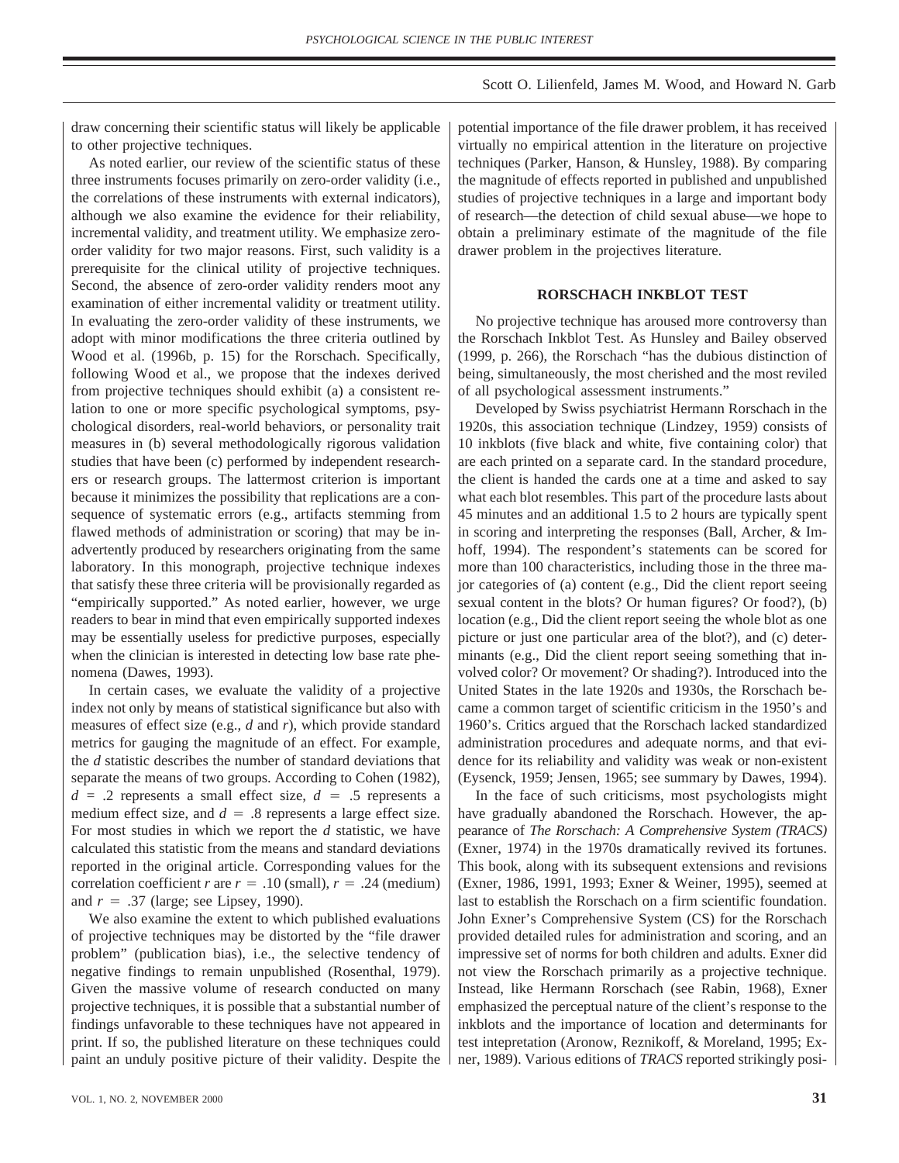draw concerning their scientific status will likely be applicable to other projective techniques.

As noted earlier, our review of the scientific status of these three instruments focuses primarily on zero-order validity (i.e., the correlations of these instruments with external indicators), although we also examine the evidence for their reliability, incremental validity, and treatment utility. We emphasize zeroorder validity for two major reasons. First, such validity is a prerequisite for the clinical utility of projective techniques. Second, the absence of zero-order validity renders moot any examination of either incremental validity or treatment utility. In evaluating the zero-order validity of these instruments, we adopt with minor modifications the three criteria outlined by Wood et al. (1996b, p. 15) for the Rorschach. Specifically, following Wood et al., we propose that the indexes derived from projective techniques should exhibit (a) a consistent relation to one or more specific psychological symptoms, psychological disorders, real-world behaviors, or personality trait measures in (b) several methodologically rigorous validation studies that have been (c) performed by independent researchers or research groups. The lattermost criterion is important because it minimizes the possibility that replications are a consequence of systematic errors (e.g., artifacts stemming from flawed methods of administration or scoring) that may be inadvertently produced by researchers originating from the same laboratory. In this monograph, projective technique indexes that satisfy these three criteria will be provisionally regarded as "empirically supported." As noted earlier, however, we urge readers to bear in mind that even empirically supported indexes may be essentially useless for predictive purposes, especially when the clinician is interested in detecting low base rate phenomena (Dawes, 1993).

In certain cases, we evaluate the validity of a projective index not only by means of statistical significance but also with measures of effect size (e.g., *d* and *r*), which provide standard metrics for gauging the magnitude of an effect. For example, the *d* statistic describes the number of standard deviations that separate the means of two groups. According to Cohen (1982),  $d = .2$  represents a small effect size,  $d = .5$  represents a medium effect size, and  $d = .8$  represents a large effect size. For most studies in which we report the *d* statistic, we have calculated this statistic from the means and standard deviations reported in the original article. Corresponding values for the correlation coefficient *r* are  $r = .10$  (small),  $r = .24$  (medium) and  $r = .37$  (large; see Lipsey, 1990).

We also examine the extent to which published evaluations of projective techniques may be distorted by the "file drawer problem" (publication bias), i.e., the selective tendency of negative findings to remain unpublished (Rosenthal, 1979). Given the massive volume of research conducted on many projective techniques, it is possible that a substantial number of findings unfavorable to these techniques have not appeared in print. If so, the published literature on these techniques could paint an unduly positive picture of their validity. Despite the

potential importance of the file drawer problem, it has received virtually no empirical attention in the literature on projective techniques (Parker, Hanson, & Hunsley, 1988). By comparing the magnitude of effects reported in published and unpublished studies of projective techniques in a large and important body of research—the detection of child sexual abuse—we hope to obtain a preliminary estimate of the magnitude of the file drawer problem in the projectives literature.

# **RORSCHACH INKBLOT TEST**

No projective technique has aroused more controversy than the Rorschach Inkblot Test. As Hunsley and Bailey observed (1999, p. 266), the Rorschach "has the dubious distinction of being, simultaneously, the most cherished and the most reviled of all psychological assessment instruments."

Developed by Swiss psychiatrist Hermann Rorschach in the 1920s, this association technique (Lindzey, 1959) consists of 10 inkblots (five black and white, five containing color) that are each printed on a separate card. In the standard procedure, the client is handed the cards one at a time and asked to say what each blot resembles. This part of the procedure lasts about 45 minutes and an additional 1.5 to 2 hours are typically spent in scoring and interpreting the responses (Ball, Archer, & Imhoff, 1994). The respondent's statements can be scored for more than 100 characteristics, including those in the three major categories of (a) content (e.g., Did the client report seeing sexual content in the blots? Or human figures? Or food?), (b) location (e.g., Did the client report seeing the whole blot as one picture or just one particular area of the blot?), and (c) determinants (e.g., Did the client report seeing something that involved color? Or movement? Or shading?). Introduced into the United States in the late 1920s and 1930s, the Rorschach became a common target of scientific criticism in the 1950's and 1960's. Critics argued that the Rorschach lacked standardized administration procedures and adequate norms, and that evidence for its reliability and validity was weak or non-existent (Eysenck, 1959; Jensen, 1965; see summary by Dawes, 1994).

In the face of such criticisms, most psychologists might have gradually abandoned the Rorschach. However, the appearance of *The Rorschach: A Comprehensive System (TRACS)* (Exner, 1974) in the 1970s dramatically revived its fortunes. This book, along with its subsequent extensions and revisions (Exner, 1986, 1991, 1993; Exner & Weiner, 1995), seemed at last to establish the Rorschach on a firm scientific foundation. John Exner's Comprehensive System (CS) for the Rorschach provided detailed rules for administration and scoring, and an impressive set of norms for both children and adults. Exner did not view the Rorschach primarily as a projective technique. Instead, like Hermann Rorschach (see Rabin, 1968), Exner emphasized the perceptual nature of the client's response to the inkblots and the importance of location and determinants for test intepretation (Aronow, Reznikoff, & Moreland, 1995; Exner, 1989). Various editions of *TRACS* reported strikingly posi-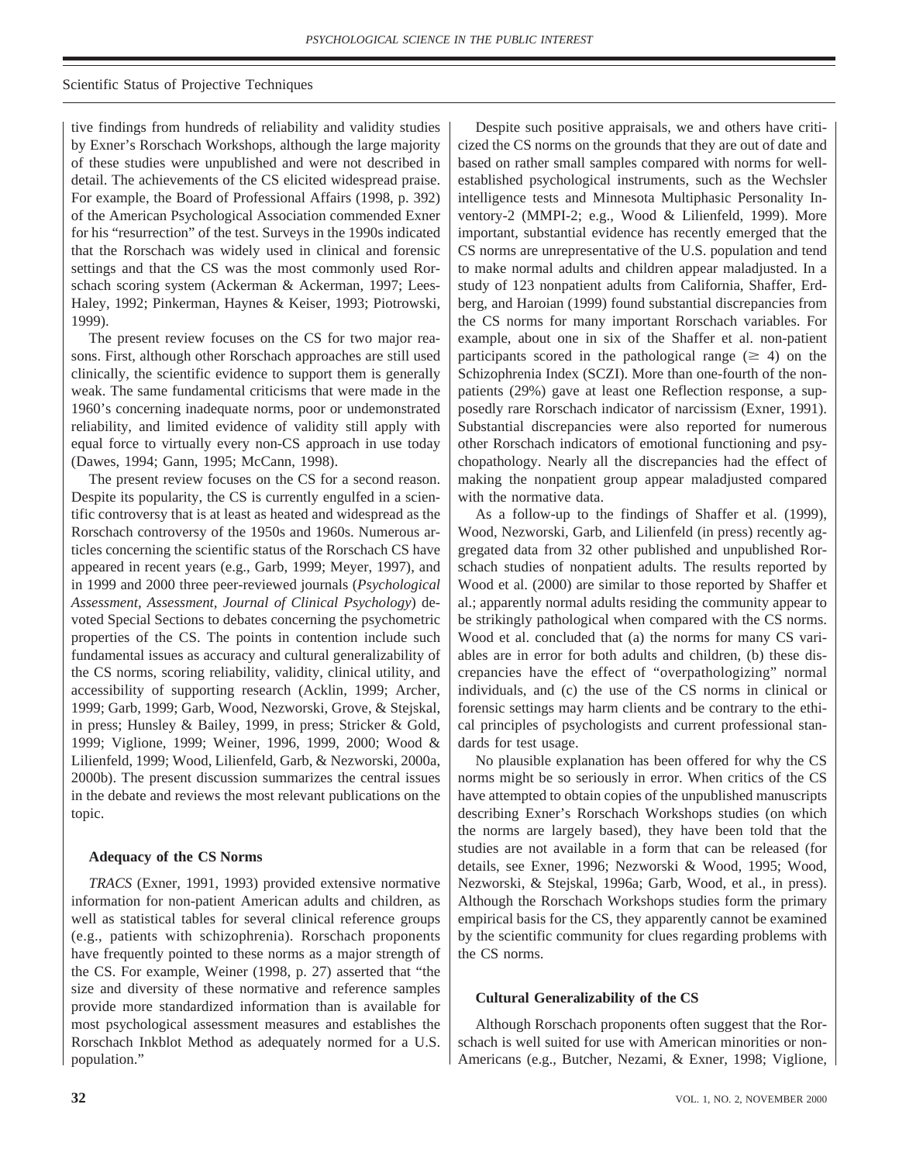tive findings from hundreds of reliability and validity studies by Exner's Rorschach Workshops, although the large majority of these studies were unpublished and were not described in detail. The achievements of the CS elicited widespread praise. For example, the Board of Professional Affairs (1998, p. 392) of the American Psychological Association commended Exner for his "resurrection" of the test. Surveys in the 1990s indicated that the Rorschach was widely used in clinical and forensic settings and that the CS was the most commonly used Rorschach scoring system (Ackerman & Ackerman, 1997; Lees-Haley, 1992; Pinkerman, Haynes & Keiser, 1993; Piotrowski, 1999).

The present review focuses on the CS for two major reasons. First, although other Rorschach approaches are still used clinically, the scientific evidence to support them is generally weak. The same fundamental criticisms that were made in the 1960's concerning inadequate norms, poor or undemonstrated reliability, and limited evidence of validity still apply with equal force to virtually every non-CS approach in use today (Dawes, 1994; Gann, 1995; McCann, 1998).

The present review focuses on the CS for a second reason. Despite its popularity, the CS is currently engulfed in a scientific controversy that is at least as heated and widespread as the Rorschach controversy of the 1950s and 1960s. Numerous articles concerning the scientific status of the Rorschach CS have appeared in recent years (e.g., Garb, 1999; Meyer, 1997), and in 1999 and 2000 three peer-reviewed journals (*Psychological Assessment, Assessment, Journal of Clinical Psychology*) devoted Special Sections to debates concerning the psychometric properties of the CS. The points in contention include such fundamental issues as accuracy and cultural generalizability of the CS norms, scoring reliability, validity, clinical utility, and accessibility of supporting research (Acklin, 1999; Archer, 1999; Garb, 1999; Garb, Wood, Nezworski, Grove, & Stejskal, in press; Hunsley & Bailey, 1999, in press; Stricker & Gold, 1999; Viglione, 1999; Weiner, 1996, 1999, 2000; Wood & Lilienfeld, 1999; Wood, Lilienfeld, Garb, & Nezworski, 2000a, 2000b). The present discussion summarizes the central issues in the debate and reviews the most relevant publications on the topic.

#### **Adequacy of the CS Norms**

*TRACS* (Exner, 1991, 1993) provided extensive normative information for non-patient American adults and children, as well as statistical tables for several clinical reference groups (e.g., patients with schizophrenia). Rorschach proponents have frequently pointed to these norms as a major strength of the CS. For example, Weiner (1998, p. 27) asserted that "the size and diversity of these normative and reference samples provide more standardized information than is available for most psychological assessment measures and establishes the Rorschach Inkblot Method as adequately normed for a U.S. population."

Despite such positive appraisals, we and others have criticized the CS norms on the grounds that they are out of date and based on rather small samples compared with norms for wellestablished psychological instruments, such as the Wechsler intelligence tests and Minnesota Multiphasic Personality Inventory-2 (MMPI-2; e.g., Wood & Lilienfeld, 1999). More important, substantial evidence has recently emerged that the CS norms are unrepresentative of the U.S. population and tend to make normal adults and children appear maladjusted. In a study of 123 nonpatient adults from California, Shaffer, Erdberg, and Haroian (1999) found substantial discrepancies from the CS norms for many important Rorschach variables. For example, about one in six of the Shaffer et al. non-patient participants scored in the pathological range  $(\geq 4)$  on the Schizophrenia Index (SCZI). More than one-fourth of the nonpatients (29%) gave at least one Reflection response, a supposedly rare Rorschach indicator of narcissism (Exner, 1991). Substantial discrepancies were also reported for numerous other Rorschach indicators of emotional functioning and psychopathology. Nearly all the discrepancies had the effect of making the nonpatient group appear maladjusted compared with the normative data.

As a follow-up to the findings of Shaffer et al. (1999), Wood, Nezworski, Garb, and Lilienfeld (in press) recently aggregated data from 32 other published and unpublished Rorschach studies of nonpatient adults. The results reported by Wood et al. (2000) are similar to those reported by Shaffer et al.; apparently normal adults residing the community appear to be strikingly pathological when compared with the CS norms. Wood et al. concluded that (a) the norms for many CS variables are in error for both adults and children, (b) these discrepancies have the effect of "overpathologizing" normal individuals, and (c) the use of the CS norms in clinical or forensic settings may harm clients and be contrary to the ethical principles of psychologists and current professional standards for test usage.

No plausible explanation has been offered for why the CS norms might be so seriously in error. When critics of the CS have attempted to obtain copies of the unpublished manuscripts describing Exner's Rorschach Workshops studies (on which the norms are largely based), they have been told that the studies are not available in a form that can be released (for details, see Exner, 1996; Nezworski & Wood, 1995; Wood, Nezworski, & Stejskal, 1996a; Garb, Wood, et al., in press). Although the Rorschach Workshops studies form the primary empirical basis for the CS, they apparently cannot be examined by the scientific community for clues regarding problems with the CS norms.

# **Cultural Generalizability of the CS**

Although Rorschach proponents often suggest that the Rorschach is well suited for use with American minorities or non-Americans (e.g., Butcher, Nezami, & Exner, 1998; Viglione,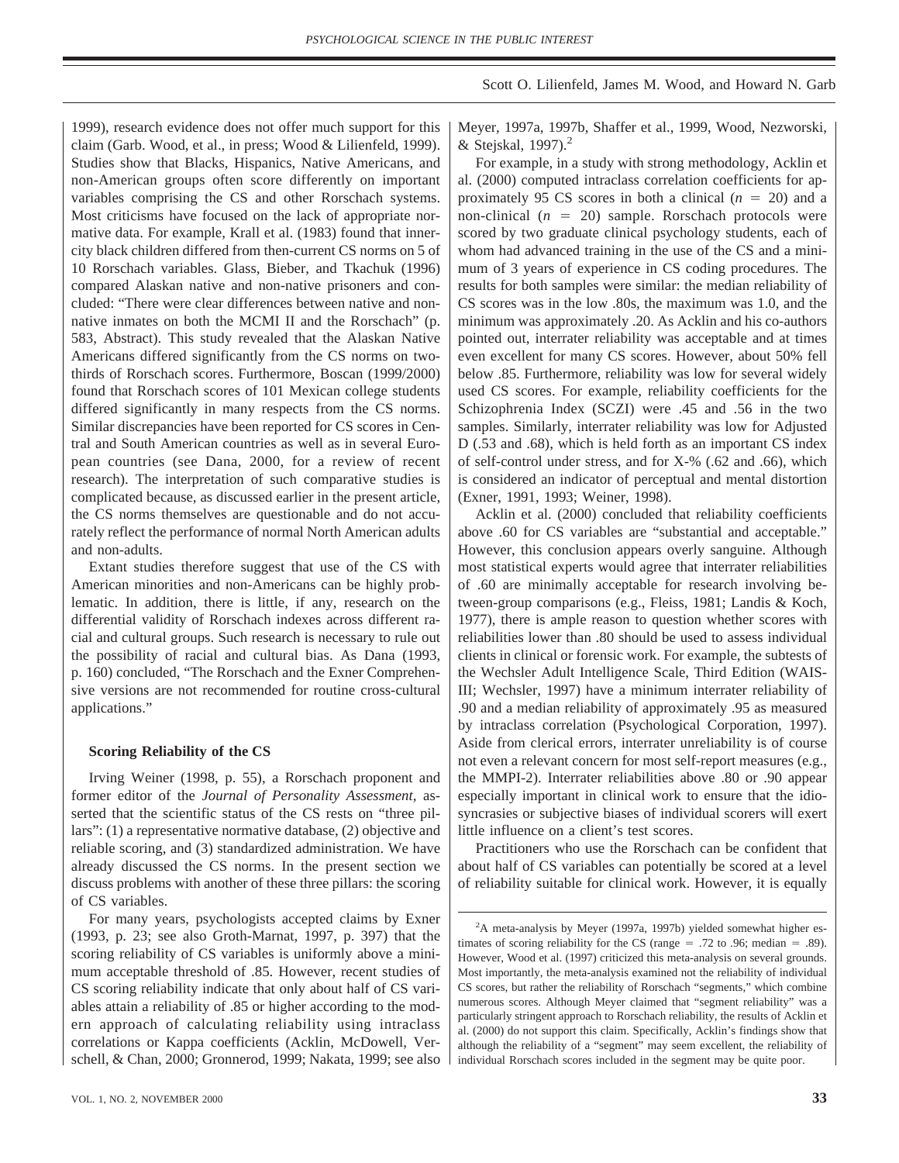1999), research evidence does not offer much support for this claim (Garb. Wood, et al., in press; Wood & Lilienfeld, 1999). Studies show that Blacks, Hispanics, Native Americans, and non-American groups often score differently on important variables comprising the CS and other Rorschach systems. Most criticisms have focused on the lack of appropriate normative data. For example, Krall et al. (1983) found that innercity black children differed from then-current CS norms on 5 of 10 Rorschach variables. Glass, Bieber, and Tkachuk (1996) compared Alaskan native and non-native prisoners and concluded: "There were clear differences between native and nonnative inmates on both the MCMI II and the Rorschach" (p. 583, Abstract). This study revealed that the Alaskan Native Americans differed significantly from the CS norms on twothirds of Rorschach scores. Furthermore, Boscan (1999/2000) found that Rorschach scores of 101 Mexican college students differed significantly in many respects from the CS norms. Similar discrepancies have been reported for CS scores in Central and South American countries as well as in several European countries (see Dana, 2000, for a review of recent research). The interpretation of such comparative studies is complicated because, as discussed earlier in the present article, the CS norms themselves are questionable and do not accurately reflect the performance of normal North American adults and non-adults.

Extant studies therefore suggest that use of the CS with American minorities and non-Americans can be highly problematic. In addition, there is little, if any, research on the differential validity of Rorschach indexes across different racial and cultural groups. Such research is necessary to rule out the possibility of racial and cultural bias. As Dana (1993, p. 160) concluded, "The Rorschach and the Exner Comprehensive versions are not recommended for routine cross-cultural applications."

## **Scoring Reliability of the CS**

Irving Weiner (1998, p. 55), a Rorschach proponent and former editor of the *Journal of Personality Assessment,* asserted that the scientific status of the CS rests on "three pillars": (1) a representative normative database, (2) objective and reliable scoring, and (3) standardized administration. We have already discussed the CS norms. In the present section we discuss problems with another of these three pillars: the scoring of CS variables.

For many years, psychologists accepted claims by Exner (1993, p. 23; see also Groth-Marnat, 1997, p. 397) that the scoring reliability of CS variables is uniformly above a minimum acceptable threshold of .85. However, recent studies of CS scoring reliability indicate that only about half of CS variables attain a reliability of .85 or higher according to the modern approach of calculating reliability using intraclass correlations or Kappa coefficients (Acklin, McDowell, Verschell, & Chan, 2000; Gronnerod, 1999; Nakata, 1999; see also

VOL. 1, NO. 2, NOVEMBER 2000 **33**

Meyer, 1997a, 1997b, Shaffer et al., 1999, Wood, Nezworski, & Stejskal, 1997).2

For example, in a study with strong methodology, Acklin et al. (2000) computed intraclass correlation coefficients for approximately 95 CS scores in both a clinical  $(n = 20)$  and a non-clinical  $(n = 20)$  sample. Rorschach protocols were scored by two graduate clinical psychology students, each of whom had advanced training in the use of the CS and a minimum of 3 years of experience in CS coding procedures. The results for both samples were similar: the median reliability of CS scores was in the low .80s, the maximum was 1.0, and the minimum was approximately .20. As Acklin and his co-authors pointed out, interrater reliability was acceptable and at times even excellent for many CS scores. However, about 50% fell below .85. Furthermore, reliability was low for several widely used CS scores. For example, reliability coefficients for the Schizophrenia Index (SCZI) were .45 and .56 in the two samples. Similarly, interrater reliability was low for Adjusted D (.53 and .68), which is held forth as an important CS index of self-control under stress, and for X-% (.62 and .66), which is considered an indicator of perceptual and mental distortion (Exner, 1991, 1993; Weiner, 1998).

Acklin et al. (2000) concluded that reliability coefficients above .60 for CS variables are "substantial and acceptable." However, this conclusion appears overly sanguine. Although most statistical experts would agree that interrater reliabilities of .60 are minimally acceptable for research involving between-group comparisons (e.g., Fleiss, 1981; Landis & Koch, 1977), there is ample reason to question whether scores with reliabilities lower than .80 should be used to assess individual clients in clinical or forensic work. For example, the subtests of the Wechsler Adult Intelligence Scale, Third Edition (WAIS-III; Wechsler, 1997) have a minimum interrater reliability of .90 and a median reliability of approximately .95 as measured by intraclass correlation (Psychological Corporation, 1997). Aside from clerical errors, interrater unreliability is of course not even a relevant concern for most self-report measures (e.g., the MMPI-2). Interrater reliabilities above .80 or .90 appear especially important in clinical work to ensure that the idiosyncrasies or subjective biases of individual scorers will exert little influence on a client's test scores.

Practitioners who use the Rorschach can be confident that about half of CS variables can potentially be scored at a level of reliability suitable for clinical work. However, it is equally

<sup>&</sup>lt;sup>2</sup>A meta-analysis by Meyer (1997a, 1997b) yielded somewhat higher estimates of scoring reliability for the CS (range  $= .72$  to .96; median  $= .89$ ). However, Wood et al. (1997) criticized this meta-analysis on several grounds. Most importantly, the meta-analysis examined not the reliability of individual CS scores, but rather the reliability of Rorschach "segments," which combine numerous scores. Although Meyer claimed that "segment reliability" was a particularly stringent approach to Rorschach reliability, the results of Acklin et al. (2000) do not support this claim. Specifically, Acklin's findings show that although the reliability of a "segment" may seem excellent, the reliability of individual Rorschach scores included in the segment may be quite poor.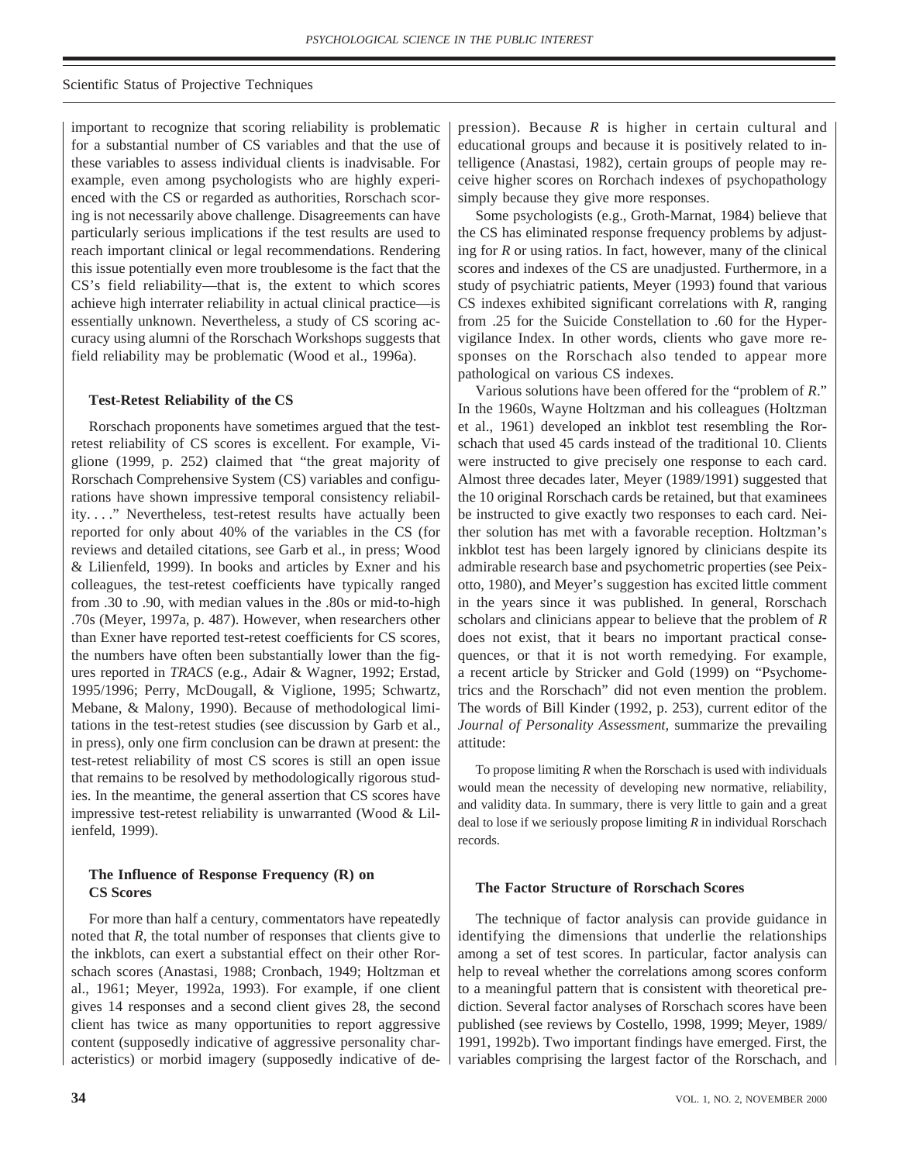important to recognize that scoring reliability is problematic for a substantial number of CS variables and that the use of these variables to assess individual clients is inadvisable. For example, even among psychologists who are highly experienced with the CS or regarded as authorities, Rorschach scoring is not necessarily above challenge. Disagreements can have particularly serious implications if the test results are used to reach important clinical or legal recommendations. Rendering this issue potentially even more troublesome is the fact that the CS's field reliability—that is, the extent to which scores achieve high interrater reliability in actual clinical practice—is essentially unknown. Nevertheless, a study of CS scoring accuracy using alumni of the Rorschach Workshops suggests that field reliability may be problematic (Wood et al., 1996a).

## **Test-Retest Reliability of the CS**

Rorschach proponents have sometimes argued that the testretest reliability of CS scores is excellent. For example, Viglione (1999, p. 252) claimed that "the great majority of Rorschach Comprehensive System (CS) variables and configurations have shown impressive temporal consistency reliability. . . ." Nevertheless, test-retest results have actually been reported for only about 40% of the variables in the CS (for reviews and detailed citations, see Garb et al., in press; Wood & Lilienfeld, 1999). In books and articles by Exner and his colleagues, the test-retest coefficients have typically ranged from .30 to .90, with median values in the .80s or mid-to-high .70s (Meyer, 1997a, p. 487). However, when researchers other than Exner have reported test-retest coefficients for CS scores, the numbers have often been substantially lower than the figures reported in *TRACS* (e.g., Adair & Wagner, 1992; Erstad, 1995/1996; Perry, McDougall, & Viglione, 1995; Schwartz, Mebane, & Malony, 1990). Because of methodological limitations in the test-retest studies (see discussion by Garb et al., in press), only one firm conclusion can be drawn at present: the test-retest reliability of most CS scores is still an open issue that remains to be resolved by methodologically rigorous studies. In the meantime, the general assertion that CS scores have impressive test-retest reliability is unwarranted (Wood & Lilienfeld, 1999).

# **The Influence of Response Frequency (R) on CS Scores**

For more than half a century, commentators have repeatedly noted that *R,* the total number of responses that clients give to the inkblots, can exert a substantial effect on their other Rorschach scores (Anastasi, 1988; Cronbach, 1949; Holtzman et al., 1961; Meyer, 1992a, 1993). For example, if one client gives 14 responses and a second client gives 28, the second client has twice as many opportunities to report aggressive content (supposedly indicative of aggressive personality characteristics) or morbid imagery (supposedly indicative of depression). Because *R* is higher in certain cultural and educational groups and because it is positively related to intelligence (Anastasi, 1982), certain groups of people may receive higher scores on Rorchach indexes of psychopathology simply because they give more responses.

Some psychologists (e.g., Groth-Marnat, 1984) believe that the CS has eliminated response frequency problems by adjusting for *R* or using ratios. In fact, however, many of the clinical scores and indexes of the CS are unadjusted. Furthermore, in a study of psychiatric patients, Meyer (1993) found that various CS indexes exhibited significant correlations with *R,* ranging from .25 for the Suicide Constellation to .60 for the Hypervigilance Index. In other words, clients who gave more responses on the Rorschach also tended to appear more pathological on various CS indexes.

Various solutions have been offered for the "problem of *R*." In the 1960s, Wayne Holtzman and his colleagues (Holtzman et al., 1961) developed an inkblot test resembling the Rorschach that used 45 cards instead of the traditional 10. Clients were instructed to give precisely one response to each card. Almost three decades later, Meyer (1989/1991) suggested that the 10 original Rorschach cards be retained, but that examinees be instructed to give exactly two responses to each card. Neither solution has met with a favorable reception. Holtzman's inkblot test has been largely ignored by clinicians despite its admirable research base and psychometric properties (see Peixotto, 1980), and Meyer's suggestion has excited little comment in the years since it was published. In general, Rorschach scholars and clinicians appear to believe that the problem of *R* does not exist, that it bears no important practical consequences, or that it is not worth remedying. For example, a recent article by Stricker and Gold (1999) on "Psychometrics and the Rorschach" did not even mention the problem. The words of Bill Kinder (1992, p. 253), current editor of the *Journal of Personality Assessment,* summarize the prevailing attitude:

To propose limiting *R* when the Rorschach is used with individuals would mean the necessity of developing new normative, reliability, and validity data. In summary, there is very little to gain and a great deal to lose if we seriously propose limiting *R* in individual Rorschach records.

#### **The Factor Structure of Rorschach Scores**

The technique of factor analysis can provide guidance in identifying the dimensions that underlie the relationships among a set of test scores. In particular, factor analysis can help to reveal whether the correlations among scores conform to a meaningful pattern that is consistent with theoretical prediction. Several factor analyses of Rorschach scores have been published (see reviews by Costello, 1998, 1999; Meyer, 1989/ 1991, 1992b). Two important findings have emerged. First, the variables comprising the largest factor of the Rorschach, and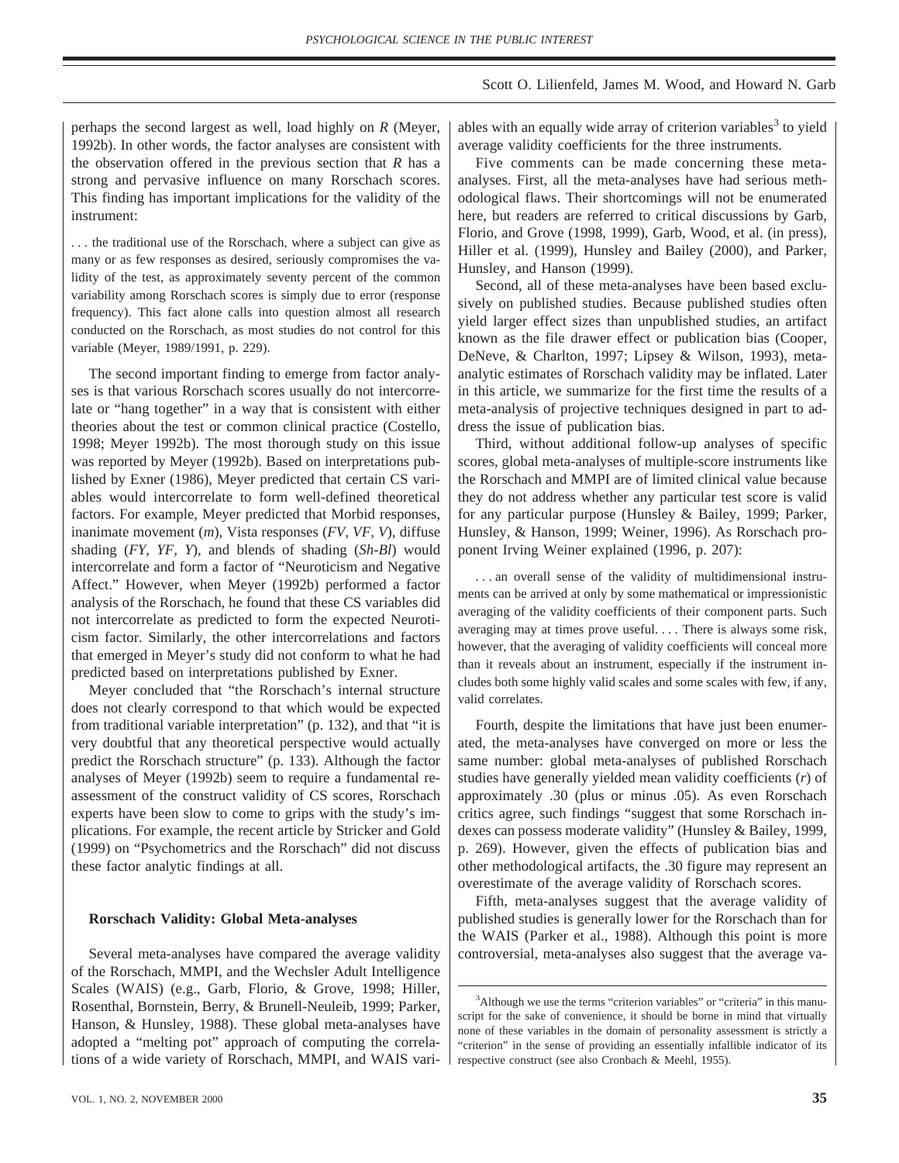perhaps the second largest as well, load highly on *R* (Meyer, 1992b). In other words, the factor analyses are consistent with the observation offered in the previous section that *R* has a strong and pervasive influence on many Rorschach scores. This finding has important implications for the validity of the instrument:

. . . the traditional use of the Rorschach, where a subject can give as many or as few responses as desired, seriously compromises the validity of the test, as approximately seventy percent of the common variability among Rorschach scores is simply due to error (response frequency). This fact alone calls into question almost all research conducted on the Rorschach, as most studies do not control for this variable (Meyer, 1989/1991, p. 229).

The second important finding to emerge from factor analyses is that various Rorschach scores usually do not intercorrelate or "hang together" in a way that is consistent with either theories about the test or common clinical practice (Costello, 1998; Meyer 1992b). The most thorough study on this issue was reported by Meyer (1992b). Based on interpretations published by Exner (1986), Meyer predicted that certain CS variables would intercorrelate to form well-defined theoretical factors. For example, Meyer predicted that Morbid responses, inanimate movement (*m*), Vista responses (*FV, VF, V*), diffuse shading (*FY, YF, Y*), and blends of shading (*Sh-Bl*) would intercorrelate and form a factor of "Neuroticism and Negative Affect." However, when Meyer (1992b) performed a factor analysis of the Rorschach, he found that these CS variables did not intercorrelate as predicted to form the expected Neuroticism factor. Similarly, the other intercorrelations and factors that emerged in Meyer's study did not conform to what he had predicted based on interpretations published by Exner.

Meyer concluded that "the Rorschach's internal structure does not clearly correspond to that which would be expected from traditional variable interpretation" (p. 132), and that "it is very doubtful that any theoretical perspective would actually predict the Rorschach structure" (p. 133). Although the factor analyses of Meyer (1992b) seem to require a fundamental reassessment of the construct validity of CS scores, Rorschach experts have been slow to come to grips with the study's implications. For example, the recent article by Stricker and Gold (1999) on "Psychometrics and the Rorschach" did not discuss these factor analytic findings at all.

#### **Rorschach Validity: Global Meta-analyses**

Several meta-analyses have compared the average validity of the Rorschach, MMPI, and the Wechsler Adult Intelligence Scales (WAIS) (e.g., Garb, Florio, & Grove, 1998; Hiller, Rosenthal, Bornstein, Berry, & Brunell-Neuleib, 1999; Parker, Hanson, & Hunsley, 1988). These global meta-analyses have adopted a "melting pot" approach of computing the correlations of a wide variety of Rorschach, MMPI, and WAIS vari-

ables with an equally wide array of criterion variables<sup>3</sup> to yield average validity coefficients for the three instruments.

Five comments can be made concerning these metaanalyses. First, all the meta-analyses have had serious methodological flaws. Their shortcomings will not be enumerated here, but readers are referred to critical discussions by Garb, Florio, and Grove (1998, 1999), Garb, Wood, et al. (in press), Hiller et al. (1999), Hunsley and Bailey (2000), and Parker, Hunsley, and Hanson (1999).

Second, all of these meta-analyses have been based exclusively on published studies. Because published studies often yield larger effect sizes than unpublished studies, an artifact known as the file drawer effect or publication bias (Cooper, DeNeve, & Charlton, 1997; Lipsey & Wilson, 1993), metaanalytic estimates of Rorschach validity may be inflated. Later in this article, we summarize for the first time the results of a meta-analysis of projective techniques designed in part to address the issue of publication bias.

Third, without additional follow-up analyses of specific scores, global meta-analyses of multiple-score instruments like the Rorschach and MMPI are of limited clinical value because they do not address whether any particular test score is valid for any particular purpose (Hunsley & Bailey, 1999; Parker, Hunsley, & Hanson, 1999; Weiner, 1996). As Rorschach proponent Irving Weiner explained (1996, p. 207):

. . . an overall sense of the validity of multidimensional instruments can be arrived at only by some mathematical or impressionistic averaging of the validity coefficients of their component parts. Such averaging may at times prove useful.... There is always some risk, however, that the averaging of validity coefficients will conceal more than it reveals about an instrument, especially if the instrument includes both some highly valid scales and some scales with few, if any, valid correlates.

Fourth, despite the limitations that have just been enumerated, the meta-analyses have converged on more or less the same number: global meta-analyses of published Rorschach studies have generally yielded mean validity coefficients (*r*) of approximately .30 (plus or minus .05). As even Rorschach critics agree, such findings "suggest that some Rorschach indexes can possess moderate validity" (Hunsley & Bailey, 1999, p. 269). However, given the effects of publication bias and other methodological artifacts, the .30 figure may represent an overestimate of the average validity of Rorschach scores.

Fifth, meta-analyses suggest that the average validity of published studies is generally lower for the Rorschach than for the WAIS (Parker et al., 1988). Although this point is more controversial, meta-analyses also suggest that the average va-

<sup>&</sup>lt;sup>3</sup>Although we use the terms "criterion variables" or "criteria" in this manuscript for the sake of convenience, it should be borne in mind that virtually none of these variables in the domain of personality assessment is strictly a "criterion" in the sense of providing an essentially infallible indicator of its respective construct (see also Cronbach & Meehl, 1955).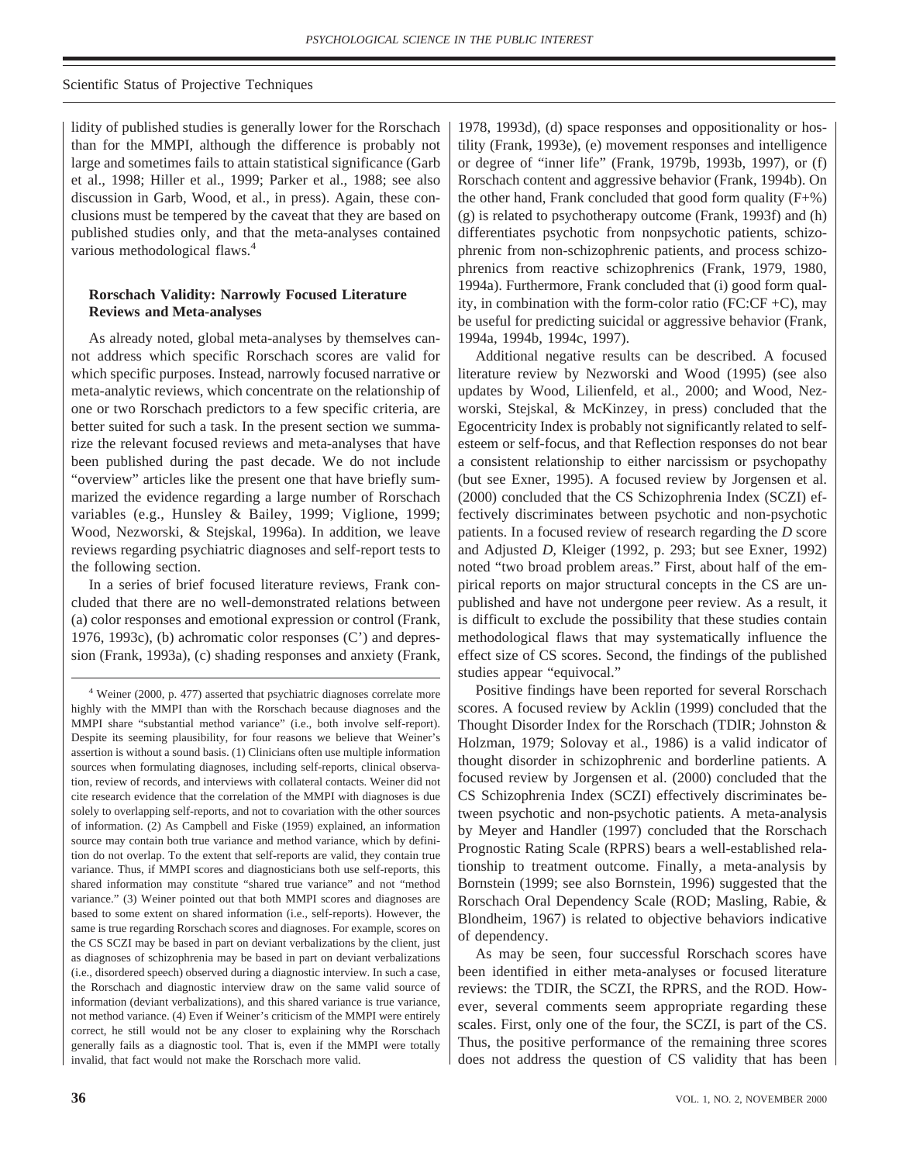lidity of published studies is generally lower for the Rorschach than for the MMPI, although the difference is probably not large and sometimes fails to attain statistical significance (Garb et al., 1998; Hiller et al., 1999; Parker et al., 1988; see also discussion in Garb, Wood, et al., in press). Again, these conclusions must be tempered by the caveat that they are based on published studies only, and that the meta-analyses contained various methodological flaws.<sup>4</sup>

# **Rorschach Validity: Narrowly Focused Literature Reviews and Meta-analyses**

As already noted, global meta-analyses by themselves cannot address which specific Rorschach scores are valid for which specific purposes. Instead, narrowly focused narrative or meta-analytic reviews, which concentrate on the relationship of one or two Rorschach predictors to a few specific criteria, are better suited for such a task. In the present section we summarize the relevant focused reviews and meta-analyses that have been published during the past decade. We do not include "overview" articles like the present one that have briefly summarized the evidence regarding a large number of Rorschach variables (e.g., Hunsley & Bailey, 1999; Viglione, 1999; Wood, Nezworski, & Stejskal, 1996a). In addition, we leave reviews regarding psychiatric diagnoses and self-report tests to the following section.

In a series of brief focused literature reviews, Frank concluded that there are no well-demonstrated relations between (a) color responses and emotional expression or control (Frank, 1976, 1993c), (b) achromatic color responses (C') and depression (Frank, 1993a), (c) shading responses and anxiety (Frank,

1978, 1993d), (d) space responses and oppositionality or hostility (Frank, 1993e), (e) movement responses and intelligence or degree of "inner life" (Frank, 1979b, 1993b, 1997), or (f) Rorschach content and aggressive behavior (Frank, 1994b). On the other hand, Frank concluded that good form quality  $(F+\%)$ (g) is related to psychotherapy outcome (Frank, 1993f) and (h) differentiates psychotic from nonpsychotic patients, schizophrenic from non-schizophrenic patients, and process schizophrenics from reactive schizophrenics (Frank, 1979, 1980, 1994a). Furthermore, Frank concluded that (i) good form quality, in combination with the form-color ratio ( $FC:CF + C$ ), may be useful for predicting suicidal or aggressive behavior (Frank, 1994a, 1994b, 1994c, 1997).

Additional negative results can be described. A focused literature review by Nezworski and Wood (1995) (see also updates by Wood, Lilienfeld, et al., 2000; and Wood, Nezworski, Stejskal, & McKinzey, in press) concluded that the Egocentricity Index is probably not significantly related to selfesteem or self-focus, and that Reflection responses do not bear a consistent relationship to either narcissism or psychopathy (but see Exner, 1995). A focused review by Jorgensen et al. (2000) concluded that the CS Schizophrenia Index (SCZI) effectively discriminates between psychotic and non-psychotic patients. In a focused review of research regarding the *D* score and Adjusted *D,* Kleiger (1992, p. 293; but see Exner, 1992) noted "two broad problem areas." First, about half of the empirical reports on major structural concepts in the CS are unpublished and have not undergone peer review. As a result, it is difficult to exclude the possibility that these studies contain methodological flaws that may systematically influence the effect size of CS scores. Second, the findings of the published studies appear "equivocal."

Positive findings have been reported for several Rorschach scores. A focused review by Acklin (1999) concluded that the Thought Disorder Index for the Rorschach (TDIR; Johnston & Holzman, 1979; Solovay et al., 1986) is a valid indicator of thought disorder in schizophrenic and borderline patients. A focused review by Jorgensen et al. (2000) concluded that the CS Schizophrenia Index (SCZI) effectively discriminates between psychotic and non-psychotic patients. A meta-analysis by Meyer and Handler (1997) concluded that the Rorschach Prognostic Rating Scale (RPRS) bears a well-established relationship to treatment outcome. Finally, a meta-analysis by Bornstein (1999; see also Bornstein, 1996) suggested that the Rorschach Oral Dependency Scale (ROD; Masling, Rabie, & Blondheim, 1967) is related to objective behaviors indicative of dependency.

As may be seen, four successful Rorschach scores have been identified in either meta-analyses or focused literature reviews: the TDIR, the SCZI, the RPRS, and the ROD. However, several comments seem appropriate regarding these scales. First, only one of the four, the SCZI, is part of the CS. Thus, the positive performance of the remaining three scores does not address the question of CS validity that has been

<sup>4</sup> Weiner (2000, p. 477) asserted that psychiatric diagnoses correlate more highly with the MMPI than with the Rorschach because diagnoses and the MMPI share "substantial method variance" (i.e., both involve self-report). Despite its seeming plausibility, for four reasons we believe that Weiner's assertion is without a sound basis. (1) Clinicians often use multiple information sources when formulating diagnoses, including self-reports, clinical observation, review of records, and interviews with collateral contacts. Weiner did not cite research evidence that the correlation of the MMPI with diagnoses is due solely to overlapping self-reports, and not to covariation with the other sources of information. (2) As Campbell and Fiske (1959) explained, an information source may contain both true variance and method variance, which by definition do not overlap. To the extent that self-reports are valid, they contain true variance. Thus, if MMPI scores and diagnosticians both use self-reports, this shared information may constitute "shared true variance" and not "method variance." (3) Weiner pointed out that both MMPI scores and diagnoses are based to some extent on shared information (i.e., self-reports). However, the same is true regarding Rorschach scores and diagnoses. For example, scores on the CS SCZI may be based in part on deviant verbalizations by the client, just as diagnoses of schizophrenia may be based in part on deviant verbalizations (i.e., disordered speech) observed during a diagnostic interview. In such a case, the Rorschach and diagnostic interview draw on the same valid source of information (deviant verbalizations), and this shared variance is true variance, not method variance. (4) Even if Weiner's criticism of the MMPI were entirely correct, he still would not be any closer to explaining why the Rorschach generally fails as a diagnostic tool. That is, even if the MMPI were totally invalid, that fact would not make the Rorschach more valid.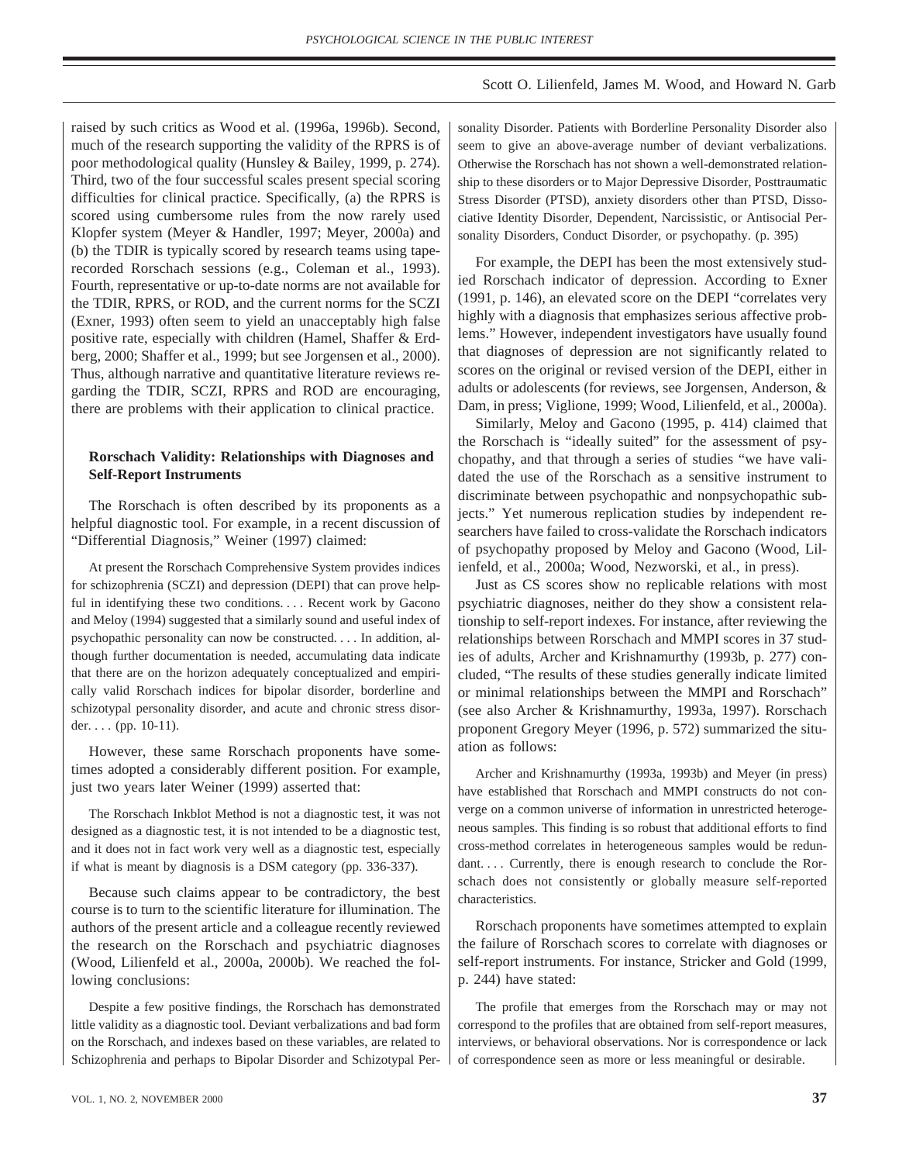raised by such critics as Wood et al. (1996a, 1996b). Second, much of the research supporting the validity of the RPRS is of poor methodological quality (Hunsley & Bailey, 1999, p. 274). Third, two of the four successful scales present special scoring difficulties for clinical practice. Specifically, (a) the RPRS is scored using cumbersome rules from the now rarely used Klopfer system (Meyer & Handler, 1997; Meyer, 2000a) and (b) the TDIR is typically scored by research teams using taperecorded Rorschach sessions (e.g., Coleman et al., 1993). Fourth, representative or up-to-date norms are not available for the TDIR, RPRS, or ROD, and the current norms for the SCZI (Exner, 1993) often seem to yield an unacceptably high false positive rate, especially with children (Hamel, Shaffer & Erdberg, 2000; Shaffer et al., 1999; but see Jorgensen et al., 2000). Thus, although narrative and quantitative literature reviews regarding the TDIR, SCZI, RPRS and ROD are encouraging, there are problems with their application to clinical practice.

# **Rorschach Validity: Relationships with Diagnoses and Self-Report Instruments**

The Rorschach is often described by its proponents as a helpful diagnostic tool. For example, in a recent discussion of "Differential Diagnosis," Weiner (1997) claimed:

At present the Rorschach Comprehensive System provides indices for schizophrenia (SCZI) and depression (DEPI) that can prove helpful in identifying these two conditions.... Recent work by Gacono and Meloy (1994) suggested that a similarly sound and useful index of psychopathic personality can now be constructed. . . . In addition, although further documentation is needed, accumulating data indicate that there are on the horizon adequately conceptualized and empirically valid Rorschach indices for bipolar disorder, borderline and schizotypal personality disorder, and acute and chronic stress disorder. . . . (pp. 10-11).

However, these same Rorschach proponents have sometimes adopted a considerably different position. For example, just two years later Weiner (1999) asserted that:

The Rorschach Inkblot Method is not a diagnostic test, it was not designed as a diagnostic test, it is not intended to be a diagnostic test, and it does not in fact work very well as a diagnostic test, especially if what is meant by diagnosis is a DSM category (pp. 336-337).

Because such claims appear to be contradictory, the best course is to turn to the scientific literature for illumination. The authors of the present article and a colleague recently reviewed the research on the Rorschach and psychiatric diagnoses (Wood, Lilienfeld et al., 2000a, 2000b). We reached the following conclusions:

Despite a few positive findings, the Rorschach has demonstrated little validity as a diagnostic tool. Deviant verbalizations and bad form on the Rorschach, and indexes based on these variables, are related to Schizophrenia and perhaps to Bipolar Disorder and Schizotypal Personality Disorder. Patients with Borderline Personality Disorder also seem to give an above-average number of deviant verbalizations. Otherwise the Rorschach has not shown a well-demonstrated relationship to these disorders or to Major Depressive Disorder, Posttraumatic Stress Disorder (PTSD), anxiety disorders other than PTSD, Dissociative Identity Disorder, Dependent, Narcissistic, or Antisocial Personality Disorders, Conduct Disorder, or psychopathy. (p. 395)

For example, the DEPI has been the most extensively studied Rorschach indicator of depression. According to Exner (1991, p. 146), an elevated score on the DEPI "correlates very highly with a diagnosis that emphasizes serious affective problems." However, independent investigators have usually found that diagnoses of depression are not significantly related to scores on the original or revised version of the DEPI, either in adults or adolescents (for reviews, see Jorgensen, Anderson, & Dam, in press; Viglione, 1999; Wood, Lilienfeld, et al., 2000a).

Similarly, Meloy and Gacono (1995, p. 414) claimed that the Rorschach is "ideally suited" for the assessment of psychopathy, and that through a series of studies "we have validated the use of the Rorschach as a sensitive instrument to discriminate between psychopathic and nonpsychopathic subjects." Yet numerous replication studies by independent researchers have failed to cross-validate the Rorschach indicators of psychopathy proposed by Meloy and Gacono (Wood, Lilienfeld, et al., 2000a; Wood, Nezworski, et al., in press).

Just as CS scores show no replicable relations with most psychiatric diagnoses, neither do they show a consistent relationship to self-report indexes. For instance, after reviewing the relationships between Rorschach and MMPI scores in 37 studies of adults, Archer and Krishnamurthy (1993b, p. 277) concluded, "The results of these studies generally indicate limited or minimal relationships between the MMPI and Rorschach" (see also Archer & Krishnamurthy, 1993a, 1997). Rorschach proponent Gregory Meyer (1996, p. 572) summarized the situation as follows:

Archer and Krishnamurthy (1993a, 1993b) and Meyer (in press) have established that Rorschach and MMPI constructs do not converge on a common universe of information in unrestricted heterogeneous samples. This finding is so robust that additional efforts to find cross-method correlates in heterogeneous samples would be redundant.... Currently, there is enough research to conclude the Rorschach does not consistently or globally measure self-reported characteristics.

Rorschach proponents have sometimes attempted to explain the failure of Rorschach scores to correlate with diagnoses or self-report instruments. For instance, Stricker and Gold (1999, p. 244) have stated:

The profile that emerges from the Rorschach may or may not correspond to the profiles that are obtained from self-report measures, interviews, or behavioral observations. Nor is correspondence or lack of correspondence seen as more or less meaningful or desirable.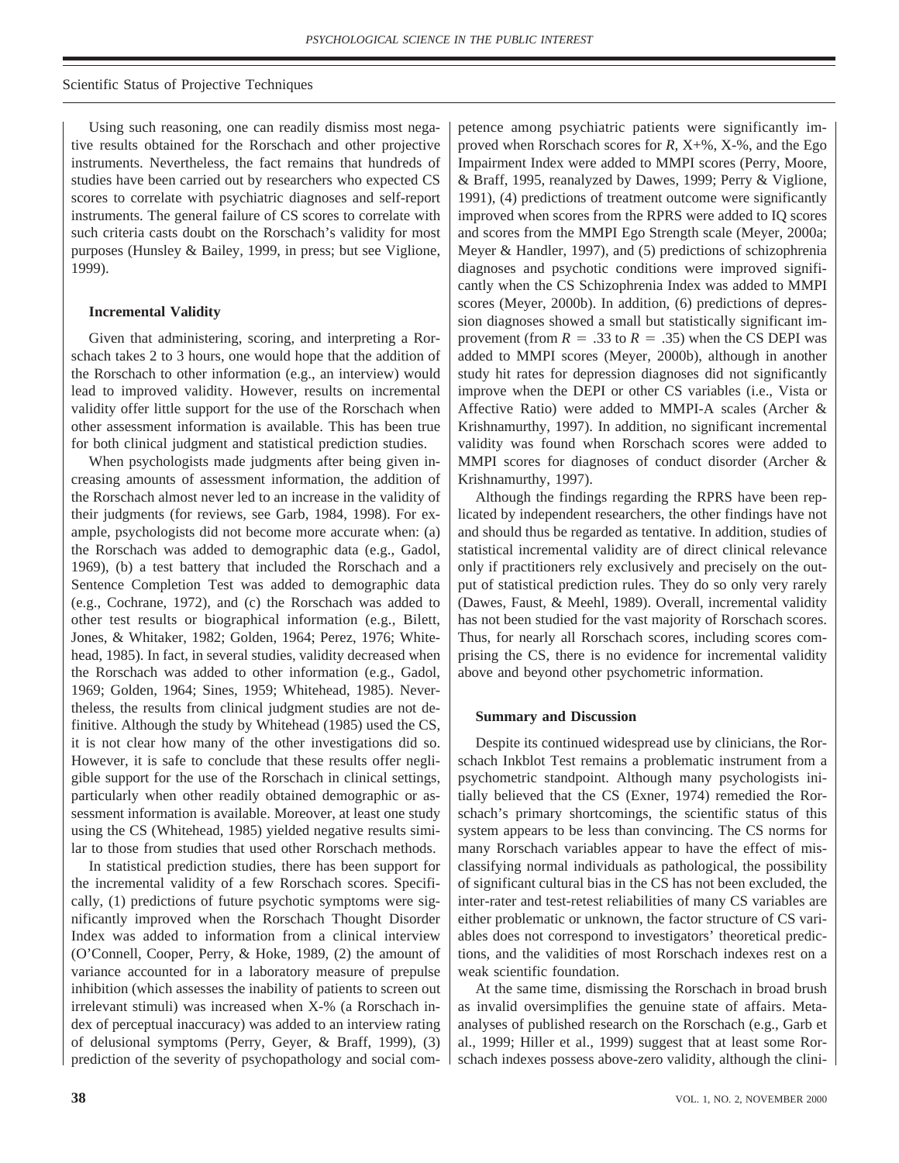Using such reasoning, one can readily dismiss most negative results obtained for the Rorschach and other projective instruments. Nevertheless, the fact remains that hundreds of studies have been carried out by researchers who expected CS scores to correlate with psychiatric diagnoses and self-report instruments. The general failure of CS scores to correlate with such criteria casts doubt on the Rorschach's validity for most purposes (Hunsley & Bailey, 1999, in press; but see Viglione, 1999).

#### **Incremental Validity**

Given that administering, scoring, and interpreting a Rorschach takes 2 to 3 hours, one would hope that the addition of the Rorschach to other information (e.g., an interview) would lead to improved validity. However, results on incremental validity offer little support for the use of the Rorschach when other assessment information is available. This has been true for both clinical judgment and statistical prediction studies.

When psychologists made judgments after being given increasing amounts of assessment information, the addition of the Rorschach almost never led to an increase in the validity of their judgments (for reviews, see Garb, 1984, 1998). For example, psychologists did not become more accurate when: (a) the Rorschach was added to demographic data (e.g., Gadol, 1969), (b) a test battery that included the Rorschach and a Sentence Completion Test was added to demographic data (e.g., Cochrane, 1972), and (c) the Rorschach was added to other test results or biographical information (e.g., Bilett, Jones, & Whitaker, 1982; Golden, 1964; Perez, 1976; Whitehead, 1985). In fact, in several studies, validity decreased when the Rorschach was added to other information (e.g., Gadol, 1969; Golden, 1964; Sines, 1959; Whitehead, 1985). Nevertheless, the results from clinical judgment studies are not definitive. Although the study by Whitehead (1985) used the CS, it is not clear how many of the other investigations did so. However, it is safe to conclude that these results offer negligible support for the use of the Rorschach in clinical settings, particularly when other readily obtained demographic or assessment information is available. Moreover, at least one study using the CS (Whitehead, 1985) yielded negative results similar to those from studies that used other Rorschach methods.

In statistical prediction studies, there has been support for the incremental validity of a few Rorschach scores. Specifically, (1) predictions of future psychotic symptoms were significantly improved when the Rorschach Thought Disorder Index was added to information from a clinical interview (O'Connell, Cooper, Perry, & Hoke, 1989, (2) the amount of variance accounted for in a laboratory measure of prepulse inhibition (which assesses the inability of patients to screen out irrelevant stimuli) was increased when X-% (a Rorschach index of perceptual inaccuracy) was added to an interview rating of delusional symptoms (Perry, Geyer, & Braff, 1999), (3) prediction of the severity of psychopathology and social competence among psychiatric patients were significantly improved when Rorschach scores for *R,* X+%, X-%, and the Ego Impairment Index were added to MMPI scores (Perry, Moore, & Braff, 1995, reanalyzed by Dawes, 1999; Perry & Viglione, 1991), (4) predictions of treatment outcome were significantly improved when scores from the RPRS were added to IQ scores and scores from the MMPI Ego Strength scale (Meyer, 2000a; Meyer & Handler, 1997), and (5) predictions of schizophrenia diagnoses and psychotic conditions were improved significantly when the CS Schizophrenia Index was added to MMPI scores (Meyer, 2000b). In addition, (6) predictions of depression diagnoses showed a small but statistically significant improvement (from  $R = .33$  to  $R = .35$ ) when the CS DEPI was added to MMPI scores (Meyer, 2000b), although in another study hit rates for depression diagnoses did not significantly improve when the DEPI or other CS variables (i.e., Vista or Affective Ratio) were added to MMPI-A scales (Archer & Krishnamurthy, 1997). In addition, no significant incremental validity was found when Rorschach scores were added to MMPI scores for diagnoses of conduct disorder (Archer & Krishnamurthy, 1997).

Although the findings regarding the RPRS have been replicated by independent researchers, the other findings have not and should thus be regarded as tentative. In addition, studies of statistical incremental validity are of direct clinical relevance only if practitioners rely exclusively and precisely on the output of statistical prediction rules. They do so only very rarely (Dawes, Faust, & Meehl, 1989). Overall, incremental validity has not been studied for the vast majority of Rorschach scores. Thus, for nearly all Rorschach scores, including scores comprising the CS, there is no evidence for incremental validity above and beyond other psychometric information.

#### **Summary and Discussion**

Despite its continued widespread use by clinicians, the Rorschach Inkblot Test remains a problematic instrument from a psychometric standpoint. Although many psychologists initially believed that the CS (Exner, 1974) remedied the Rorschach's primary shortcomings, the scientific status of this system appears to be less than convincing. The CS norms for many Rorschach variables appear to have the effect of misclassifying normal individuals as pathological, the possibility of significant cultural bias in the CS has not been excluded, the inter-rater and test-retest reliabilities of many CS variables are either problematic or unknown, the factor structure of CS variables does not correspond to investigators' theoretical predictions, and the validities of most Rorschach indexes rest on a weak scientific foundation.

At the same time, dismissing the Rorschach in broad brush as invalid oversimplifies the genuine state of affairs. Metaanalyses of published research on the Rorschach (e.g., Garb et al., 1999; Hiller et al., 1999) suggest that at least some Rorschach indexes possess above-zero validity, although the clini-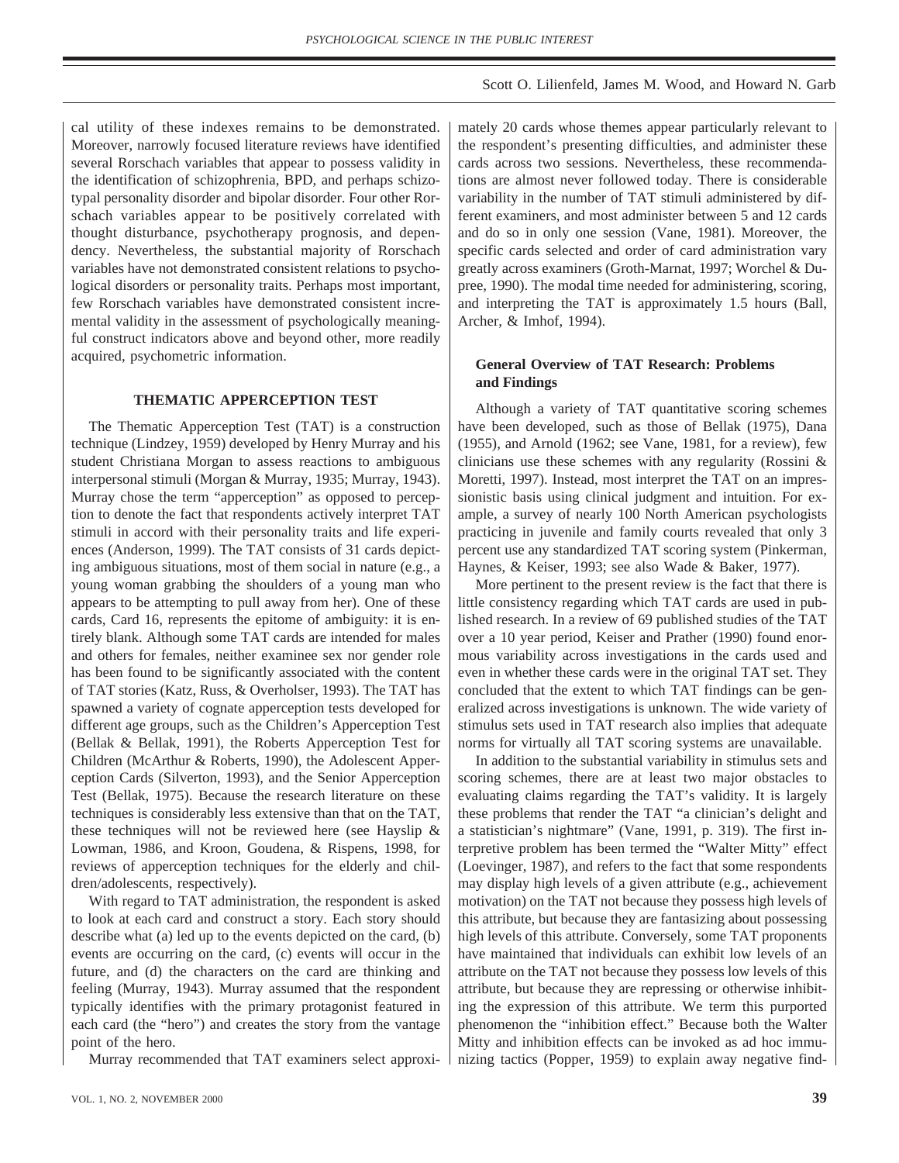cal utility of these indexes remains to be demonstrated. Moreover, narrowly focused literature reviews have identified several Rorschach variables that appear to possess validity in the identification of schizophrenia, BPD, and perhaps schizotypal personality disorder and bipolar disorder. Four other Rorschach variables appear to be positively correlated with thought disturbance, psychotherapy prognosis, and dependency. Nevertheless, the substantial majority of Rorschach variables have not demonstrated consistent relations to psychological disorders or personality traits. Perhaps most important, few Rorschach variables have demonstrated consistent incremental validity in the assessment of psychologically meaningful construct indicators above and beyond other, more readily acquired, psychometric information.

# **THEMATIC APPERCEPTION TEST**

The Thematic Apperception Test (TAT) is a construction technique (Lindzey, 1959) developed by Henry Murray and his student Christiana Morgan to assess reactions to ambiguous interpersonal stimuli (Morgan & Murray, 1935; Murray, 1943). Murray chose the term "apperception" as opposed to perception to denote the fact that respondents actively interpret TAT stimuli in accord with their personality traits and life experiences (Anderson, 1999). The TAT consists of 31 cards depicting ambiguous situations, most of them social in nature (e.g., a young woman grabbing the shoulders of a young man who appears to be attempting to pull away from her). One of these cards, Card 16, represents the epitome of ambiguity: it is entirely blank. Although some TAT cards are intended for males and others for females, neither examinee sex nor gender role has been found to be significantly associated with the content of TAT stories (Katz, Russ, & Overholser, 1993). The TAT has spawned a variety of cognate apperception tests developed for different age groups, such as the Children's Apperception Test (Bellak & Bellak, 1991), the Roberts Apperception Test for Children (McArthur & Roberts, 1990), the Adolescent Apperception Cards (Silverton, 1993), and the Senior Apperception Test (Bellak, 1975). Because the research literature on these techniques is considerably less extensive than that on the TAT, these techniques will not be reviewed here (see Hayslip & Lowman, 1986, and Kroon, Goudena, & Rispens, 1998, for reviews of apperception techniques for the elderly and children/adolescents, respectively).

With regard to TAT administration, the respondent is asked to look at each card and construct a story. Each story should describe what (a) led up to the events depicted on the card, (b) events are occurring on the card, (c) events will occur in the future, and (d) the characters on the card are thinking and feeling (Murray, 1943). Murray assumed that the respondent typically identifies with the primary protagonist featured in each card (the "hero") and creates the story from the vantage point of the hero.

Murray recommended that TAT examiners select approxi-

mately 20 cards whose themes appear particularly relevant to the respondent's presenting difficulties, and administer these cards across two sessions. Nevertheless, these recommendations are almost never followed today. There is considerable variability in the number of TAT stimuli administered by different examiners, and most administer between 5 and 12 cards and do so in only one session (Vane, 1981). Moreover, the specific cards selected and order of card administration vary greatly across examiners (Groth-Marnat, 1997; Worchel & Dupree, 1990). The modal time needed for administering, scoring, and interpreting the TAT is approximately 1.5 hours (Ball, Archer, & Imhof, 1994).

# **General Overview of TAT Research: Problems and Findings**

Although a variety of TAT quantitative scoring schemes have been developed, such as those of Bellak (1975), Dana (1955), and Arnold (1962; see Vane, 1981, for a review), few clinicians use these schemes with any regularity (Rossini & Moretti, 1997). Instead, most interpret the TAT on an impressionistic basis using clinical judgment and intuition. For example, a survey of nearly 100 North American psychologists practicing in juvenile and family courts revealed that only 3 percent use any standardized TAT scoring system (Pinkerman, Haynes, & Keiser, 1993; see also Wade & Baker, 1977).

More pertinent to the present review is the fact that there is little consistency regarding which TAT cards are used in published research. In a review of 69 published studies of the TAT over a 10 year period, Keiser and Prather (1990) found enormous variability across investigations in the cards used and even in whether these cards were in the original TAT set. They concluded that the extent to which TAT findings can be generalized across investigations is unknown. The wide variety of stimulus sets used in TAT research also implies that adequate norms for virtually all TAT scoring systems are unavailable.

In addition to the substantial variability in stimulus sets and scoring schemes, there are at least two major obstacles to evaluating claims regarding the TAT's validity. It is largely these problems that render the TAT "a clinician's delight and a statistician's nightmare" (Vane, 1991, p. 319). The first interpretive problem has been termed the "Walter Mitty" effect (Loevinger, 1987), and refers to the fact that some respondents may display high levels of a given attribute (e.g., achievement motivation) on the TAT not because they possess high levels of this attribute, but because they are fantasizing about possessing high levels of this attribute. Conversely, some TAT proponents have maintained that individuals can exhibit low levels of an attribute on the TAT not because they possess low levels of this attribute, but because they are repressing or otherwise inhibiting the expression of this attribute. We term this purported phenomenon the "inhibition effect." Because both the Walter Mitty and inhibition effects can be invoked as ad hoc immunizing tactics (Popper, 1959) to explain away negative find-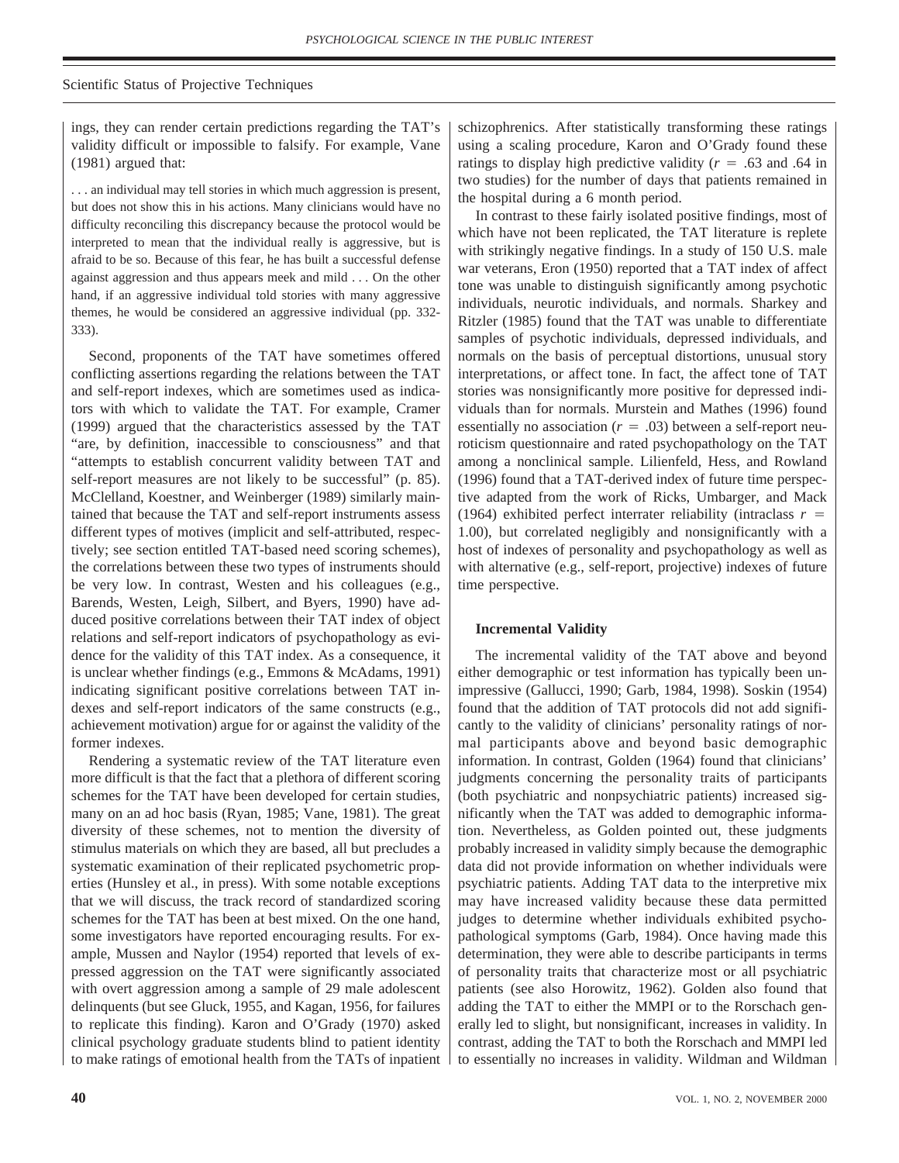ings, they can render certain predictions regarding the TAT's validity difficult or impossible to falsify. For example, Vane (1981) argued that:

. . . an individual may tell stories in which much aggression is present, but does not show this in his actions. Many clinicians would have no difficulty reconciling this discrepancy because the protocol would be interpreted to mean that the individual really is aggressive, but is afraid to be so. Because of this fear, he has built a successful defense against aggression and thus appears meek and mild . . . On the other hand, if an aggressive individual told stories with many aggressive themes, he would be considered an aggressive individual (pp. 332- 333).

Second, proponents of the TAT have sometimes offered conflicting assertions regarding the relations between the TAT and self-report indexes, which are sometimes used as indicators with which to validate the TAT. For example, Cramer (1999) argued that the characteristics assessed by the TAT "are, by definition, inaccessible to consciousness" and that "attempts to establish concurrent validity between TAT and self-report measures are not likely to be successful" (p. 85). McClelland, Koestner, and Weinberger (1989) similarly maintained that because the TAT and self-report instruments assess different types of motives (implicit and self-attributed, respectively; see section entitled TAT-based need scoring schemes), the correlations between these two types of instruments should be very low. In contrast, Westen and his colleagues (e.g., Barends, Westen, Leigh, Silbert, and Byers, 1990) have adduced positive correlations between their TAT index of object relations and self-report indicators of psychopathology as evidence for the validity of this TAT index. As a consequence, it is unclear whether findings (e.g., Emmons & McAdams, 1991) indicating significant positive correlations between TAT indexes and self-report indicators of the same constructs (e.g., achievement motivation) argue for or against the validity of the former indexes.

Rendering a systematic review of the TAT literature even more difficult is that the fact that a plethora of different scoring schemes for the TAT have been developed for certain studies, many on an ad hoc basis (Ryan, 1985; Vane, 1981). The great diversity of these schemes, not to mention the diversity of stimulus materials on which they are based, all but precludes a systematic examination of their replicated psychometric properties (Hunsley et al., in press). With some notable exceptions that we will discuss, the track record of standardized scoring schemes for the TAT has been at best mixed. On the one hand, some investigators have reported encouraging results. For example, Mussen and Naylor (1954) reported that levels of expressed aggression on the TAT were significantly associated with overt aggression among a sample of 29 male adolescent delinquents (but see Gluck, 1955, and Kagan, 1956, for failures to replicate this finding). Karon and O'Grady (1970) asked clinical psychology graduate students blind to patient identity to make ratings of emotional health from the TATs of inpatient schizophrenics. After statistically transforming these ratings using a scaling procedure, Karon and O'Grady found these ratings to display high predictive validity  $(r = .63$  and .64 in two studies) for the number of days that patients remained in the hospital during a 6 month period.

In contrast to these fairly isolated positive findings, most of which have not been replicated, the TAT literature is replete with strikingly negative findings. In a study of 150 U.S. male war veterans, Eron (1950) reported that a TAT index of affect tone was unable to distinguish significantly among psychotic individuals, neurotic individuals, and normals. Sharkey and Ritzler (1985) found that the TAT was unable to differentiate samples of psychotic individuals, depressed individuals, and normals on the basis of perceptual distortions, unusual story interpretations, or affect tone. In fact, the affect tone of TAT stories was nonsignificantly more positive for depressed individuals than for normals. Murstein and Mathes (1996) found essentially no association  $(r = .03)$  between a self-report neuroticism questionnaire and rated psychopathology on the TAT among a nonclinical sample. Lilienfeld, Hess, and Rowland (1996) found that a TAT-derived index of future time perspective adapted from the work of Ricks, Umbarger, and Mack (1964) exhibited perfect interrater reliability (intraclass  $r =$ 1.00), but correlated negligibly and nonsignificantly with a host of indexes of personality and psychopathology as well as with alternative (e.g., self-report, projective) indexes of future time perspective.

#### **Incremental Validity**

The incremental validity of the TAT above and beyond either demographic or test information has typically been unimpressive (Gallucci, 1990; Garb, 1984, 1998). Soskin (1954) found that the addition of TAT protocols did not add significantly to the validity of clinicians' personality ratings of normal participants above and beyond basic demographic information. In contrast, Golden (1964) found that clinicians' judgments concerning the personality traits of participants (both psychiatric and nonpsychiatric patients) increased significantly when the TAT was added to demographic information. Nevertheless, as Golden pointed out, these judgments probably increased in validity simply because the demographic data did not provide information on whether individuals were psychiatric patients. Adding TAT data to the interpretive mix may have increased validity because these data permitted judges to determine whether individuals exhibited psychopathological symptoms (Garb, 1984). Once having made this determination, they were able to describe participants in terms of personality traits that characterize most or all psychiatric patients (see also Horowitz, 1962). Golden also found that adding the TAT to either the MMPI or to the Rorschach generally led to slight, but nonsignificant, increases in validity. In contrast, adding the TAT to both the Rorschach and MMPI led to essentially no increases in validity. Wildman and Wildman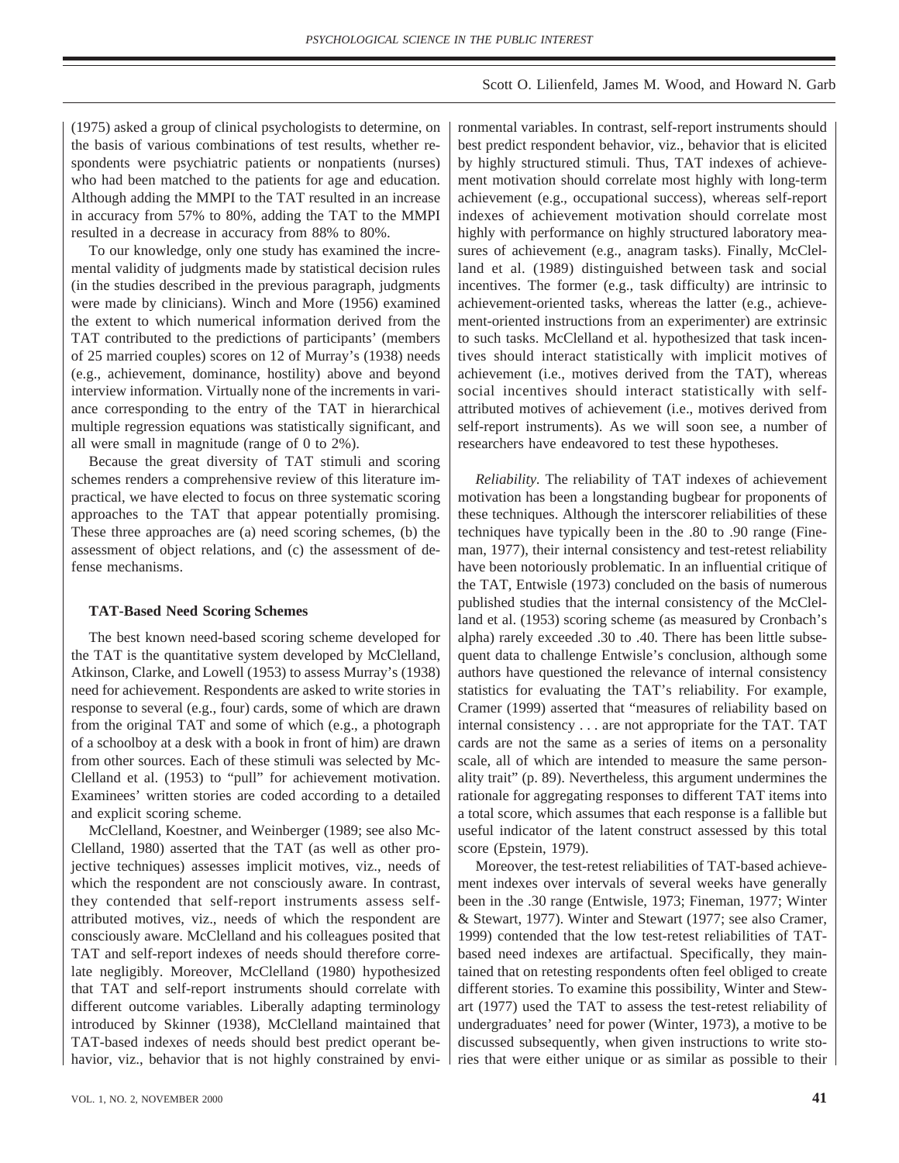(1975) asked a group of clinical psychologists to determine, on the basis of various combinations of test results, whether respondents were psychiatric patients or nonpatients (nurses) who had been matched to the patients for age and education. Although adding the MMPI to the TAT resulted in an increase in accuracy from 57% to 80%, adding the TAT to the MMPI resulted in a decrease in accuracy from 88% to 80%.

To our knowledge, only one study has examined the incremental validity of judgments made by statistical decision rules (in the studies described in the previous paragraph, judgments were made by clinicians). Winch and More (1956) examined the extent to which numerical information derived from the TAT contributed to the predictions of participants' (members of 25 married couples) scores on 12 of Murray's (1938) needs (e.g., achievement, dominance, hostility) above and beyond interview information. Virtually none of the increments in variance corresponding to the entry of the TAT in hierarchical multiple regression equations was statistically significant, and all were small in magnitude (range of 0 to 2%).

Because the great diversity of TAT stimuli and scoring schemes renders a comprehensive review of this literature impractical, we have elected to focus on three systematic scoring approaches to the TAT that appear potentially promising. These three approaches are (a) need scoring schemes, (b) the assessment of object relations, and (c) the assessment of defense mechanisms.

#### **TAT-Based Need Scoring Schemes**

The best known need-based scoring scheme developed for the TAT is the quantitative system developed by McClelland, Atkinson, Clarke, and Lowell (1953) to assess Murray's (1938) need for achievement. Respondents are asked to write stories in response to several (e.g., four) cards, some of which are drawn from the original TAT and some of which (e.g., a photograph of a schoolboy at a desk with a book in front of him) are drawn from other sources. Each of these stimuli was selected by Mc-Clelland et al. (1953) to "pull" for achievement motivation. Examinees' written stories are coded according to a detailed and explicit scoring scheme.

McClelland, Koestner, and Weinberger (1989; see also Mc-Clelland, 1980) asserted that the TAT (as well as other projective techniques) assesses implicit motives, viz., needs of which the respondent are not consciously aware. In contrast, they contended that self-report instruments assess selfattributed motives, viz., needs of which the respondent are consciously aware. McClelland and his colleagues posited that TAT and self-report indexes of needs should therefore correlate negligibly. Moreover, McClelland (1980) hypothesized that TAT and self-report instruments should correlate with different outcome variables. Liberally adapting terminology introduced by Skinner (1938), McClelland maintained that TAT-based indexes of needs should best predict operant behavior, viz., behavior that is not highly constrained by environmental variables. In contrast, self-report instruments should best predict respondent behavior, viz., behavior that is elicited by highly structured stimuli. Thus, TAT indexes of achievement motivation should correlate most highly with long-term achievement (e.g., occupational success), whereas self-report indexes of achievement motivation should correlate most highly with performance on highly structured laboratory measures of achievement (e.g., anagram tasks). Finally, McClelland et al. (1989) distinguished between task and social incentives. The former (e.g., task difficulty) are intrinsic to achievement-oriented tasks, whereas the latter (e.g., achievement-oriented instructions from an experimenter) are extrinsic to such tasks. McClelland et al. hypothesized that task incentives should interact statistically with implicit motives of achievement (i.e., motives derived from the TAT), whereas social incentives should interact statistically with selfattributed motives of achievement (i.e., motives derived from self-report instruments). As we will soon see, a number of researchers have endeavored to test these hypotheses.

*Reliability.* The reliability of TAT indexes of achievement motivation has been a longstanding bugbear for proponents of these techniques. Although the interscorer reliabilities of these techniques have typically been in the .80 to .90 range (Fineman, 1977), their internal consistency and test-retest reliability have been notoriously problematic. In an influential critique of the TAT, Entwisle (1973) concluded on the basis of numerous published studies that the internal consistency of the McClelland et al. (1953) scoring scheme (as measured by Cronbach's alpha) rarely exceeded .30 to .40. There has been little subsequent data to challenge Entwisle's conclusion, although some authors have questioned the relevance of internal consistency statistics for evaluating the TAT's reliability. For example, Cramer (1999) asserted that "measures of reliability based on internal consistency . . . are not appropriate for the TAT. TAT cards are not the same as a series of items on a personality scale, all of which are intended to measure the same personality trait" (p. 89). Nevertheless, this argument undermines the rationale for aggregating responses to different TAT items into a total score, which assumes that each response is a fallible but useful indicator of the latent construct assessed by this total score (Epstein, 1979).

Moreover, the test-retest reliabilities of TAT-based achievement indexes over intervals of several weeks have generally been in the .30 range (Entwisle, 1973; Fineman, 1977; Winter & Stewart, 1977). Winter and Stewart (1977; see also Cramer, 1999) contended that the low test-retest reliabilities of TATbased need indexes are artifactual. Specifically, they maintained that on retesting respondents often feel obliged to create different stories. To examine this possibility, Winter and Stewart (1977) used the TAT to assess the test-retest reliability of undergraduates' need for power (Winter, 1973), a motive to be discussed subsequently, when given instructions to write stories that were either unique or as similar as possible to their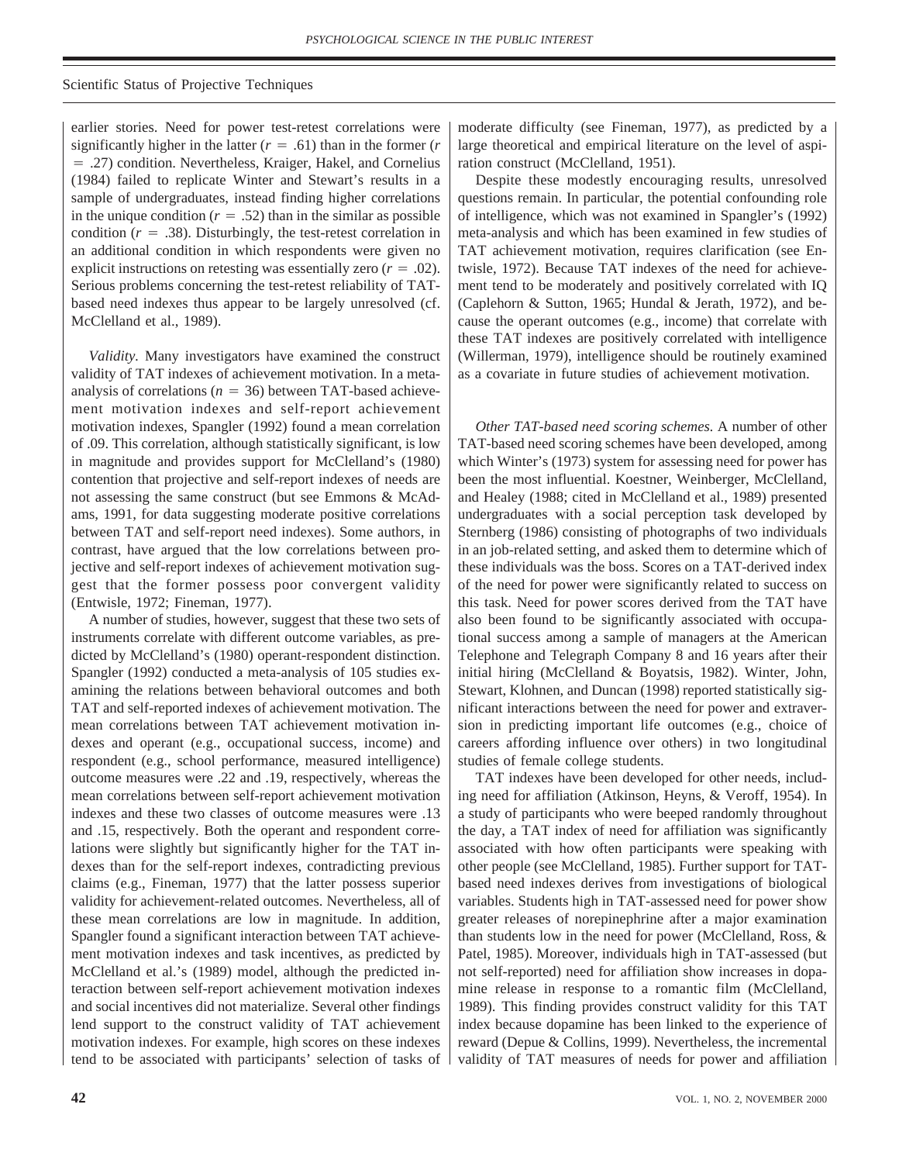earlier stories. Need for power test-retest correlations were significantly higher in the latter  $(r = .61)$  than in the former  $(r = .61)$ 4 .27) condition. Nevertheless, Kraiger, Hakel, and Cornelius (1984) failed to replicate Winter and Stewart's results in a sample of undergraduates, instead finding higher correlations in the unique condition  $(r = .52)$  than in the similar as possible condition  $(r = .38)$ . Disturbingly, the test-retest correlation in an additional condition in which respondents were given no explicit instructions on retesting was essentially zero  $(r = .02)$ . Serious problems concerning the test-retest reliability of TATbased need indexes thus appear to be largely unresolved (cf. McClelland et al., 1989).

*Validity.* Many investigators have examined the construct validity of TAT indexes of achievement motivation. In a metaanalysis of correlations ( $n = 36$ ) between TAT-based achievement motivation indexes and self-report achievement motivation indexes, Spangler (1992) found a mean correlation of .09. This correlation, although statistically significant, is low in magnitude and provides support for McClelland's (1980) contention that projective and self-report indexes of needs are not assessing the same construct (but see Emmons & McAdams, 1991, for data suggesting moderate positive correlations between TAT and self-report need indexes). Some authors, in contrast, have argued that the low correlations between projective and self-report indexes of achievement motivation suggest that the former possess poor convergent validity (Entwisle, 1972; Fineman, 1977).

A number of studies, however, suggest that these two sets of instruments correlate with different outcome variables, as predicted by McClelland's (1980) operant-respondent distinction. Spangler (1992) conducted a meta-analysis of 105 studies examining the relations between behavioral outcomes and both TAT and self-reported indexes of achievement motivation. The mean correlations between TAT achievement motivation indexes and operant (e.g., occupational success, income) and respondent (e.g., school performance, measured intelligence) outcome measures were .22 and .19, respectively, whereas the mean correlations between self-report achievement motivation indexes and these two classes of outcome measures were .13 and .15, respectively. Both the operant and respondent correlations were slightly but significantly higher for the TAT indexes than for the self-report indexes, contradicting previous claims (e.g., Fineman, 1977) that the latter possess superior validity for achievement-related outcomes. Nevertheless, all of these mean correlations are low in magnitude. In addition, Spangler found a significant interaction between TAT achievement motivation indexes and task incentives, as predicted by McClelland et al.'s (1989) model, although the predicted interaction between self-report achievement motivation indexes and social incentives did not materialize. Several other findings lend support to the construct validity of TAT achievement motivation indexes. For example, high scores on these indexes tend to be associated with participants' selection of tasks of

moderate difficulty (see Fineman, 1977), as predicted by a large theoretical and empirical literature on the level of aspiration construct (McClelland, 1951).

Despite these modestly encouraging results, unresolved questions remain. In particular, the potential confounding role of intelligence, which was not examined in Spangler's (1992) meta-analysis and which has been examined in few studies of TAT achievement motivation, requires clarification (see Entwisle, 1972). Because TAT indexes of the need for achievement tend to be moderately and positively correlated with IQ (Caplehorn & Sutton, 1965; Hundal & Jerath, 1972), and because the operant outcomes (e.g., income) that correlate with these TAT indexes are positively correlated with intelligence (Willerman, 1979), intelligence should be routinely examined as a covariate in future studies of achievement motivation.

*Other TAT-based need scoring schemes.* A number of other TAT-based need scoring schemes have been developed, among which Winter's (1973) system for assessing need for power has been the most influential. Koestner, Weinberger, McClelland, and Healey (1988; cited in McClelland et al., 1989) presented undergraduates with a social perception task developed by Sternberg (1986) consisting of photographs of two individuals in an job-related setting, and asked them to determine which of these individuals was the boss. Scores on a TAT-derived index of the need for power were significantly related to success on this task. Need for power scores derived from the TAT have also been found to be significantly associated with occupational success among a sample of managers at the American Telephone and Telegraph Company 8 and 16 years after their initial hiring (McClelland & Boyatsis, 1982). Winter, John, Stewart, Klohnen, and Duncan (1998) reported statistically significant interactions between the need for power and extraversion in predicting important life outcomes (e.g., choice of careers affording influence over others) in two longitudinal studies of female college students.

TAT indexes have been developed for other needs, including need for affiliation (Atkinson, Heyns, & Veroff, 1954). In a study of participants who were beeped randomly throughout the day, a TAT index of need for affiliation was significantly associated with how often participants were speaking with other people (see McClelland, 1985). Further support for TATbased need indexes derives from investigations of biological variables. Students high in TAT-assessed need for power show greater releases of norepinephrine after a major examination than students low in the need for power (McClelland, Ross, & Patel, 1985). Moreover, individuals high in TAT-assessed (but not self-reported) need for affiliation show increases in dopamine release in response to a romantic film (McClelland, 1989). This finding provides construct validity for this TAT index because dopamine has been linked to the experience of reward (Depue & Collins, 1999). Nevertheless, the incremental validity of TAT measures of needs for power and affiliation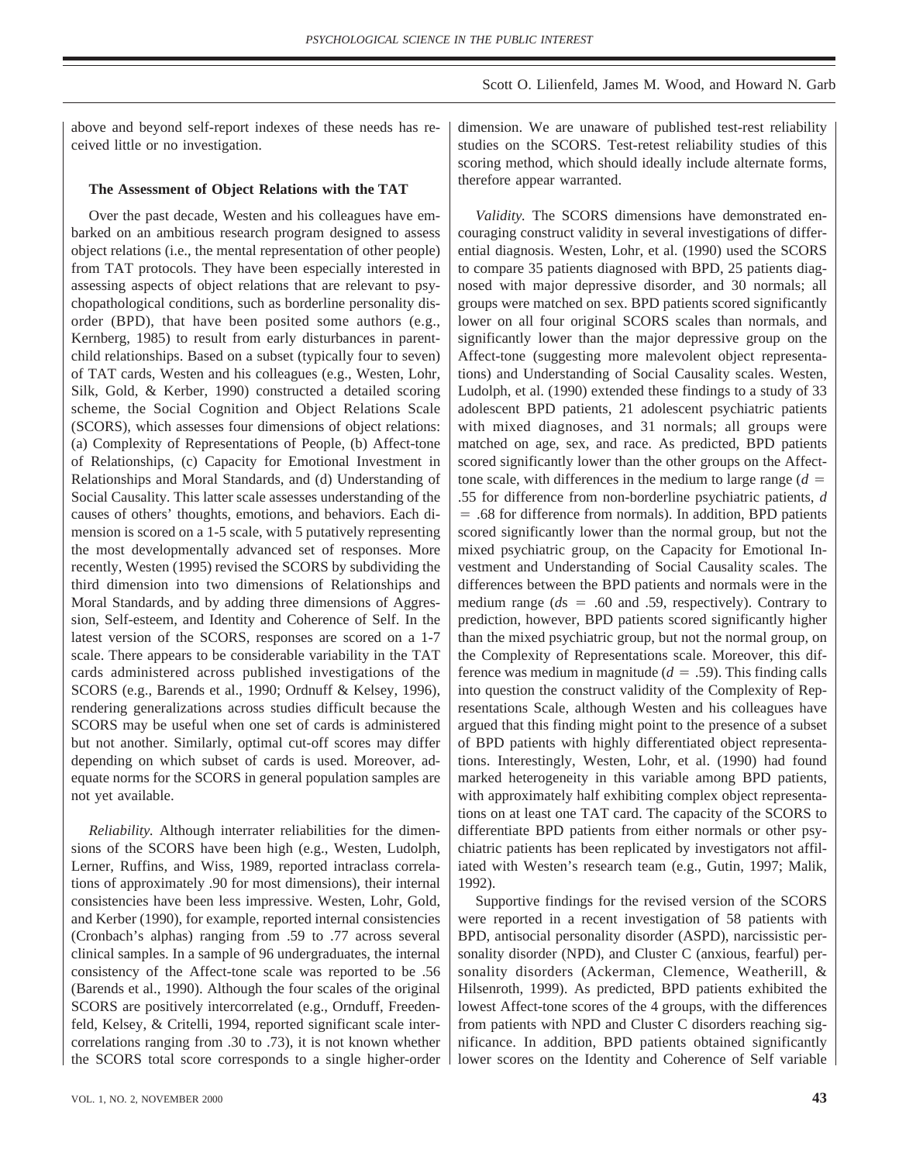above and beyond self-report indexes of these needs has received little or no investigation.

#### **The Assessment of Object Relations with the TAT**

Over the past decade, Westen and his colleagues have embarked on an ambitious research program designed to assess object relations (i.e., the mental representation of other people) from TAT protocols. They have been especially interested in assessing aspects of object relations that are relevant to psychopathological conditions, such as borderline personality disorder (BPD), that have been posited some authors (e.g., Kernberg, 1985) to result from early disturbances in parentchild relationships. Based on a subset (typically four to seven) of TAT cards, Westen and his colleagues (e.g., Westen, Lohr, Silk, Gold, & Kerber, 1990) constructed a detailed scoring scheme, the Social Cognition and Object Relations Scale (SCORS), which assesses four dimensions of object relations: (a) Complexity of Representations of People, (b) Affect-tone of Relationships, (c) Capacity for Emotional Investment in Relationships and Moral Standards, and (d) Understanding of Social Causality. This latter scale assesses understanding of the causes of others' thoughts, emotions, and behaviors. Each dimension is scored on a 1-5 scale, with 5 putatively representing the most developmentally advanced set of responses. More recently, Westen (1995) revised the SCORS by subdividing the third dimension into two dimensions of Relationships and Moral Standards, and by adding three dimensions of Aggression, Self-esteem, and Identity and Coherence of Self. In the latest version of the SCORS, responses are scored on a 1-7 scale. There appears to be considerable variability in the TAT cards administered across published investigations of the SCORS (e.g., Barends et al., 1990; Ordnuff & Kelsey, 1996), rendering generalizations across studies difficult because the SCORS may be useful when one set of cards is administered but not another. Similarly, optimal cut-off scores may differ depending on which subset of cards is used. Moreover, adequate norms for the SCORS in general population samples are not yet available.

*Reliability.* Although interrater reliabilities for the dimensions of the SCORS have been high (e.g., Westen, Ludolph, Lerner, Ruffins, and Wiss, 1989, reported intraclass correlations of approximately .90 for most dimensions), their internal consistencies have been less impressive. Westen, Lohr, Gold, and Kerber (1990), for example, reported internal consistencies (Cronbach's alphas) ranging from .59 to .77 across several clinical samples. In a sample of 96 undergraduates, the internal consistency of the Affect-tone scale was reported to be .56 (Barends et al., 1990). Although the four scales of the original SCORS are positively intercorrelated (e.g., Ornduff, Freedenfeld, Kelsey, & Critelli, 1994, reported significant scale intercorrelations ranging from .30 to .73), it is not known whether the SCORS total score corresponds to a single higher-order dimension. We are unaware of published test-rest reliability studies on the SCORS. Test-retest reliability studies of this scoring method, which should ideally include alternate forms, therefore appear warranted.

*Validity.* The SCORS dimensions have demonstrated encouraging construct validity in several investigations of differential diagnosis. Westen, Lohr, et al. (1990) used the SCORS to compare 35 patients diagnosed with BPD, 25 patients diagnosed with major depressive disorder, and 30 normals; all groups were matched on sex. BPD patients scored significantly lower on all four original SCORS scales than normals, and significantly lower than the major depressive group on the Affect-tone (suggesting more malevolent object representations) and Understanding of Social Causality scales. Westen, Ludolph, et al. (1990) extended these findings to a study of 33 adolescent BPD patients, 21 adolescent psychiatric patients with mixed diagnoses, and 31 normals; all groups were matched on age, sex, and race. As predicted, BPD patients scored significantly lower than the other groups on the Affecttone scale, with differences in the medium to large range  $(d =$ .55 for difference from non-borderline psychiatric patients, *d*  $= .68$  for difference from normals). In addition, BPD patients scored significantly lower than the normal group, but not the mixed psychiatric group, on the Capacity for Emotional Investment and Understanding of Social Causality scales. The differences between the BPD patients and normals were in the medium range  $(ds = .60$  and .59, respectively). Contrary to prediction, however, BPD patients scored significantly higher than the mixed psychiatric group, but not the normal group, on the Complexity of Representations scale. Moreover, this difference was medium in magnitude  $(d = .59)$ . This finding calls into question the construct validity of the Complexity of Representations Scale, although Westen and his colleagues have argued that this finding might point to the presence of a subset of BPD patients with highly differentiated object representations. Interestingly, Westen, Lohr, et al. (1990) had found marked heterogeneity in this variable among BPD patients, with approximately half exhibiting complex object representations on at least one TAT card. The capacity of the SCORS to differentiate BPD patients from either normals or other psychiatric patients has been replicated by investigators not affiliated with Westen's research team (e.g., Gutin, 1997; Malik, 1992).

Supportive findings for the revised version of the SCORS were reported in a recent investigation of 58 patients with BPD, antisocial personality disorder (ASPD), narcissistic personality disorder (NPD), and Cluster C (anxious, fearful) personality disorders (Ackerman, Clemence, Weatherill, & Hilsenroth, 1999). As predicted, BPD patients exhibited the lowest Affect-tone scores of the 4 groups, with the differences from patients with NPD and Cluster C disorders reaching significance. In addition, BPD patients obtained significantly lower scores on the Identity and Coherence of Self variable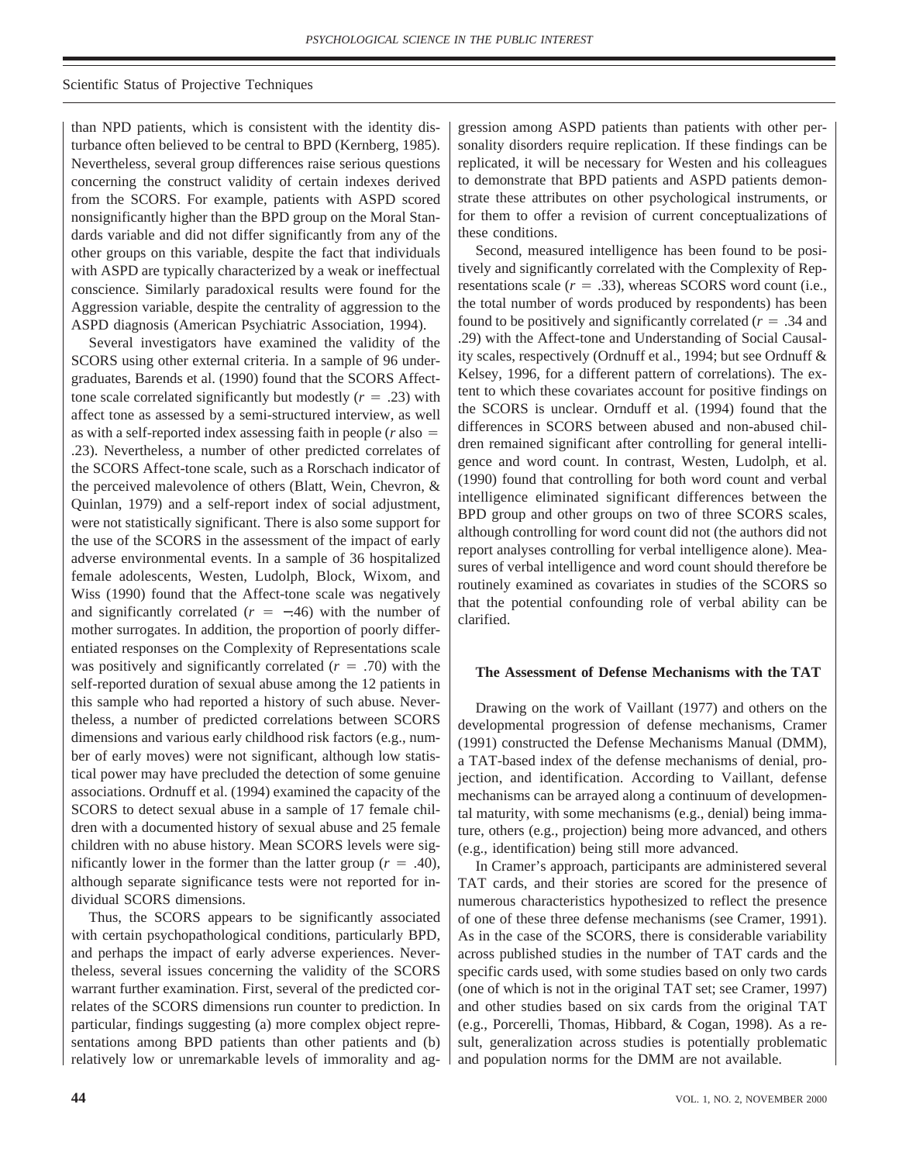than NPD patients, which is consistent with the identity disturbance often believed to be central to BPD (Kernberg, 1985). Nevertheless, several group differences raise serious questions concerning the construct validity of certain indexes derived from the SCORS. For example, patients with ASPD scored nonsignificantly higher than the BPD group on the Moral Standards variable and did not differ significantly from any of the other groups on this variable, despite the fact that individuals with ASPD are typically characterized by a weak or ineffectual conscience. Similarly paradoxical results were found for the Aggression variable, despite the centrality of aggression to the ASPD diagnosis (American Psychiatric Association, 1994).

Several investigators have examined the validity of the SCORS using other external criteria. In a sample of 96 undergraduates, Barends et al. (1990) found that the SCORS Affecttone scale correlated significantly but modestly  $(r = .23)$  with affect tone as assessed by a semi-structured interview, as well as with a self-reported index assessing faith in people  $(r \, \text{also} =$ .23). Nevertheless, a number of other predicted correlates of the SCORS Affect-tone scale, such as a Rorschach indicator of the perceived malevolence of others (Blatt, Wein, Chevron, & Quinlan, 1979) and a self-report index of social adjustment, were not statistically significant. There is also some support for the use of the SCORS in the assessment of the impact of early adverse environmental events. In a sample of 36 hospitalized female adolescents, Westen, Ludolph, Block, Wixom, and Wiss (1990) found that the Affect-tone scale was negatively and significantly correlated  $(r = -.46)$  with the number of mother surrogates. In addition, the proportion of poorly differentiated responses on the Complexity of Representations scale was positively and significantly correlated  $(r = .70)$  with the self-reported duration of sexual abuse among the 12 patients in this sample who had reported a history of such abuse. Nevertheless, a number of predicted correlations between SCORS dimensions and various early childhood risk factors (e.g., number of early moves) were not significant, although low statistical power may have precluded the detection of some genuine associations. Ordnuff et al. (1994) examined the capacity of the SCORS to detect sexual abuse in a sample of 17 female children with a documented history of sexual abuse and 25 female children with no abuse history. Mean SCORS levels were significantly lower in the former than the latter group  $(r = .40)$ , although separate significance tests were not reported for individual SCORS dimensions.

Thus, the SCORS appears to be significantly associated with certain psychopathological conditions, particularly BPD, and perhaps the impact of early adverse experiences. Nevertheless, several issues concerning the validity of the SCORS warrant further examination. First, several of the predicted correlates of the SCORS dimensions run counter to prediction. In particular, findings suggesting (a) more complex object representations among BPD patients than other patients and (b) relatively low or unremarkable levels of immorality and aggression among ASPD patients than patients with other personality disorders require replication. If these findings can be replicated, it will be necessary for Westen and his colleagues to demonstrate that BPD patients and ASPD patients demonstrate these attributes on other psychological instruments, or for them to offer a revision of current conceptualizations of these conditions.

Second, measured intelligence has been found to be positively and significantly correlated with the Complexity of Representations scale  $(r = .33)$ , whereas SCORS word count (i.e., the total number of words produced by respondents) has been found to be positively and significantly correlated  $(r = .34$  and .29) with the Affect-tone and Understanding of Social Causality scales, respectively (Ordnuff et al., 1994; but see Ordnuff & Kelsey, 1996, for a different pattern of correlations). The extent to which these covariates account for positive findings on the SCORS is unclear. Ornduff et al. (1994) found that the differences in SCORS between abused and non-abused children remained significant after controlling for general intelligence and word count. In contrast, Westen, Ludolph, et al. (1990) found that controlling for both word count and verbal intelligence eliminated significant differences between the BPD group and other groups on two of three SCORS scales, although controlling for word count did not (the authors did not report analyses controlling for verbal intelligence alone). Measures of verbal intelligence and word count should therefore be routinely examined as covariates in studies of the SCORS so that the potential confounding role of verbal ability can be clarified.

#### **The Assessment of Defense Mechanisms with the TAT**

Drawing on the work of Vaillant (1977) and others on the developmental progression of defense mechanisms, Cramer (1991) constructed the Defense Mechanisms Manual (DMM), a TAT-based index of the defense mechanisms of denial, projection, and identification. According to Vaillant, defense mechanisms can be arrayed along a continuum of developmental maturity, with some mechanisms (e.g., denial) being immature, others (e.g., projection) being more advanced, and others (e.g., identification) being still more advanced.

In Cramer's approach, participants are administered several TAT cards, and their stories are scored for the presence of numerous characteristics hypothesized to reflect the presence of one of these three defense mechanisms (see Cramer, 1991). As in the case of the SCORS, there is considerable variability across published studies in the number of TAT cards and the specific cards used, with some studies based on only two cards (one of which is not in the original TAT set; see Cramer, 1997) and other studies based on six cards from the original TAT (e.g., Porcerelli, Thomas, Hibbard, & Cogan, 1998). As a result, generalization across studies is potentially problematic and population norms for the DMM are not available.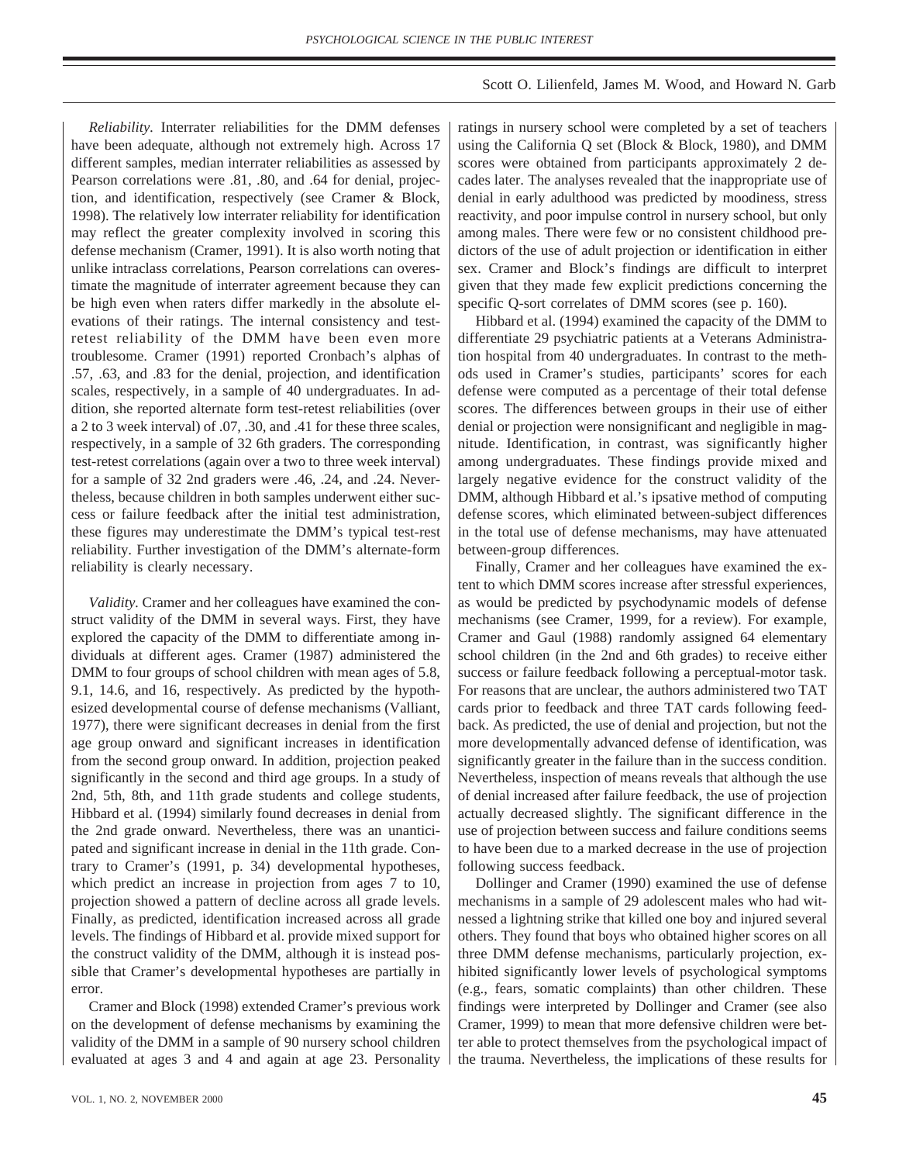*Reliability.* Interrater reliabilities for the DMM defenses have been adequate, although not extremely high. Across 17 different samples, median interrater reliabilities as assessed by Pearson correlations were .81, .80, and .64 for denial, projection, and identification, respectively (see Cramer & Block, 1998). The relatively low interrater reliability for identification may reflect the greater complexity involved in scoring this defense mechanism (Cramer, 1991). It is also worth noting that unlike intraclass correlations, Pearson correlations can overestimate the magnitude of interrater agreement because they can be high even when raters differ markedly in the absolute elevations of their ratings. The internal consistency and testretest reliability of the DMM have been even more troublesome. Cramer (1991) reported Cronbach's alphas of .57, .63, and .83 for the denial, projection, and identification scales, respectively, in a sample of 40 undergraduates. In addition, she reported alternate form test-retest reliabilities (over a 2 to 3 week interval) of .07, .30, and .41 for these three scales, respectively, in a sample of 32 6th graders. The corresponding test-retest correlations (again over a two to three week interval) for a sample of 32 2nd graders were .46, .24, and .24. Nevertheless, because children in both samples underwent either success or failure feedback after the initial test administration, these figures may underestimate the DMM's typical test-rest reliability. Further investigation of the DMM's alternate-form reliability is clearly necessary.

*Validity.* Cramer and her colleagues have examined the construct validity of the DMM in several ways. First, they have explored the capacity of the DMM to differentiate among individuals at different ages. Cramer (1987) administered the DMM to four groups of school children with mean ages of 5.8, 9.1, 14.6, and 16, respectively. As predicted by the hypothesized developmental course of defense mechanisms (Valliant, 1977), there were significant decreases in denial from the first age group onward and significant increases in identification from the second group onward. In addition, projection peaked significantly in the second and third age groups. In a study of 2nd, 5th, 8th, and 11th grade students and college students, Hibbard et al. (1994) similarly found decreases in denial from the 2nd grade onward. Nevertheless, there was an unanticipated and significant increase in denial in the 11th grade. Contrary to Cramer's (1991, p. 34) developmental hypotheses, which predict an increase in projection from ages 7 to 10, projection showed a pattern of decline across all grade levels. Finally, as predicted, identification increased across all grade levels. The findings of Hibbard et al. provide mixed support for the construct validity of the DMM, although it is instead possible that Cramer's developmental hypotheses are partially in error.

Cramer and Block (1998) extended Cramer's previous work on the development of defense mechanisms by examining the validity of the DMM in a sample of 90 nursery school children evaluated at ages 3 and 4 and again at age 23. Personality ratings in nursery school were completed by a set of teachers using the California Q set (Block & Block, 1980), and DMM scores were obtained from participants approximately 2 decades later. The analyses revealed that the inappropriate use of denial in early adulthood was predicted by moodiness, stress reactivity, and poor impulse control in nursery school, but only among males. There were few or no consistent childhood predictors of the use of adult projection or identification in either sex. Cramer and Block's findings are difficult to interpret given that they made few explicit predictions concerning the specific Q-sort correlates of DMM scores (see p. 160).

Hibbard et al. (1994) examined the capacity of the DMM to differentiate 29 psychiatric patients at a Veterans Administration hospital from 40 undergraduates. In contrast to the methods used in Cramer's studies, participants' scores for each defense were computed as a percentage of their total defense scores. The differences between groups in their use of either denial or projection were nonsignificant and negligible in magnitude. Identification, in contrast, was significantly higher among undergraduates. These findings provide mixed and largely negative evidence for the construct validity of the DMM, although Hibbard et al.'s ipsative method of computing defense scores, which eliminated between-subject differences in the total use of defense mechanisms, may have attenuated between-group differences.

Finally, Cramer and her colleagues have examined the extent to which DMM scores increase after stressful experiences, as would be predicted by psychodynamic models of defense mechanisms (see Cramer, 1999, for a review). For example, Cramer and Gaul (1988) randomly assigned 64 elementary school children (in the 2nd and 6th grades) to receive either success or failure feedback following a perceptual-motor task. For reasons that are unclear, the authors administered two TAT cards prior to feedback and three TAT cards following feedback. As predicted, the use of denial and projection, but not the more developmentally advanced defense of identification, was significantly greater in the failure than in the success condition. Nevertheless, inspection of means reveals that although the use of denial increased after failure feedback, the use of projection actually decreased slightly. The significant difference in the use of projection between success and failure conditions seems to have been due to a marked decrease in the use of projection following success feedback.

Dollinger and Cramer (1990) examined the use of defense mechanisms in a sample of 29 adolescent males who had witnessed a lightning strike that killed one boy and injured several others. They found that boys who obtained higher scores on all three DMM defense mechanisms, particularly projection, exhibited significantly lower levels of psychological symptoms (e.g., fears, somatic complaints) than other children. These findings were interpreted by Dollinger and Cramer (see also Cramer, 1999) to mean that more defensive children were better able to protect themselves from the psychological impact of the trauma. Nevertheless, the implications of these results for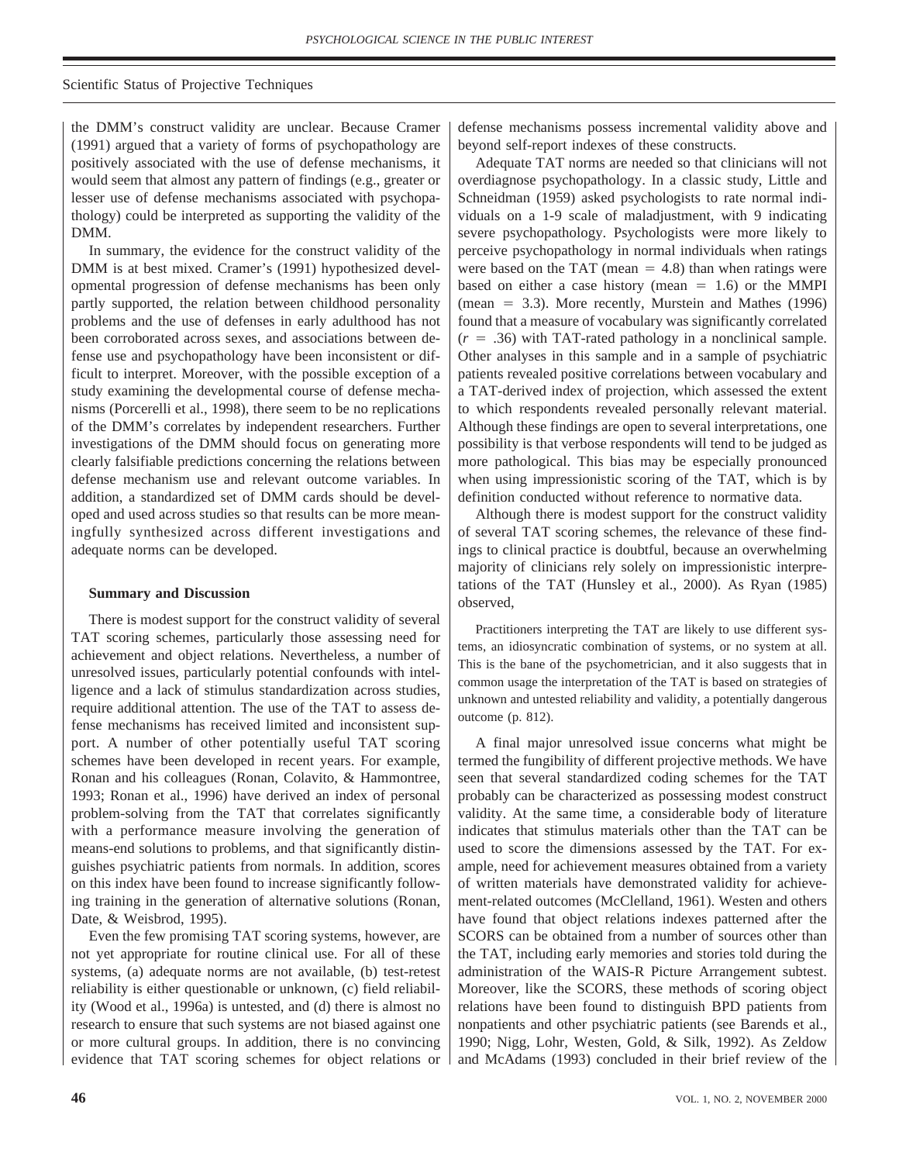the DMM's construct validity are unclear. Because Cramer (1991) argued that a variety of forms of psychopathology are positively associated with the use of defense mechanisms, it would seem that almost any pattern of findings (e.g., greater or lesser use of defense mechanisms associated with psychopathology) could be interpreted as supporting the validity of the DMM.

In summary, the evidence for the construct validity of the DMM is at best mixed. Cramer's (1991) hypothesized developmental progression of defense mechanisms has been only partly supported, the relation between childhood personality problems and the use of defenses in early adulthood has not been corroborated across sexes, and associations between defense use and psychopathology have been inconsistent or difficult to interpret. Moreover, with the possible exception of a study examining the developmental course of defense mechanisms (Porcerelli et al., 1998), there seem to be no replications of the DMM's correlates by independent researchers. Further investigations of the DMM should focus on generating more clearly falsifiable predictions concerning the relations between defense mechanism use and relevant outcome variables. In addition, a standardized set of DMM cards should be developed and used across studies so that results can be more meaningfully synthesized across different investigations and adequate norms can be developed.

#### **Summary and Discussion**

There is modest support for the construct validity of several TAT scoring schemes, particularly those assessing need for achievement and object relations. Nevertheless, a number of unresolved issues, particularly potential confounds with intelligence and a lack of stimulus standardization across studies, require additional attention. The use of the TAT to assess defense mechanisms has received limited and inconsistent support. A number of other potentially useful TAT scoring schemes have been developed in recent years. For example, Ronan and his colleagues (Ronan, Colavito, & Hammontree, 1993; Ronan et al., 1996) have derived an index of personal problem-solving from the TAT that correlates significantly with a performance measure involving the generation of means-end solutions to problems, and that significantly distinguishes psychiatric patients from normals. In addition, scores on this index have been found to increase significantly following training in the generation of alternative solutions (Ronan, Date, & Weisbrod, 1995).

Even the few promising TAT scoring systems, however, are not yet appropriate for routine clinical use. For all of these systems, (a) adequate norms are not available, (b) test-retest reliability is either questionable or unknown, (c) field reliability (Wood et al., 1996a) is untested, and (d) there is almost no research to ensure that such systems are not biased against one or more cultural groups. In addition, there is no convincing evidence that TAT scoring schemes for object relations or defense mechanisms possess incremental validity above and beyond self-report indexes of these constructs.

Adequate TAT norms are needed so that clinicians will not overdiagnose psychopathology. In a classic study, Little and Schneidman (1959) asked psychologists to rate normal individuals on a 1-9 scale of maladjustment, with 9 indicating severe psychopathology. Psychologists were more likely to perceive psychopathology in normal individuals when ratings were based on the TAT (mean  $= 4.8$ ) than when ratings were based on either a case history (mean  $= 1.6$ ) or the MMPI (mean  $= 3.3$ ). More recently, Murstein and Mathes (1996) found that a measure of vocabulary was significantly correlated  $(r = .36)$  with TAT-rated pathology in a nonclinical sample. Other analyses in this sample and in a sample of psychiatric patients revealed positive correlations between vocabulary and a TAT-derived index of projection, which assessed the extent to which respondents revealed personally relevant material. Although these findings are open to several interpretations, one possibility is that verbose respondents will tend to be judged as more pathological. This bias may be especially pronounced when using impressionistic scoring of the TAT, which is by definition conducted without reference to normative data.

Although there is modest support for the construct validity of several TAT scoring schemes, the relevance of these findings to clinical practice is doubtful, because an overwhelming majority of clinicians rely solely on impressionistic interpretations of the TAT (Hunsley et al., 2000). As Ryan (1985) observed,

Practitioners interpreting the TAT are likely to use different systems, an idiosyncratic combination of systems, or no system at all. This is the bane of the psychometrician, and it also suggests that in common usage the interpretation of the TAT is based on strategies of unknown and untested reliability and validity, a potentially dangerous outcome (p. 812).

A final major unresolved issue concerns what might be termed the fungibility of different projective methods. We have seen that several standardized coding schemes for the TAT probably can be characterized as possessing modest construct validity. At the same time, a considerable body of literature indicates that stimulus materials other than the TAT can be used to score the dimensions assessed by the TAT. For example, need for achievement measures obtained from a variety of written materials have demonstrated validity for achievement-related outcomes (McClelland, 1961). Westen and others have found that object relations indexes patterned after the SCORS can be obtained from a number of sources other than the TAT, including early memories and stories told during the administration of the WAIS-R Picture Arrangement subtest. Moreover, like the SCORS, these methods of scoring object relations have been found to distinguish BPD patients from nonpatients and other psychiatric patients (see Barends et al., 1990; Nigg, Lohr, Westen, Gold, & Silk, 1992). As Zeldow and McAdams (1993) concluded in their brief review of the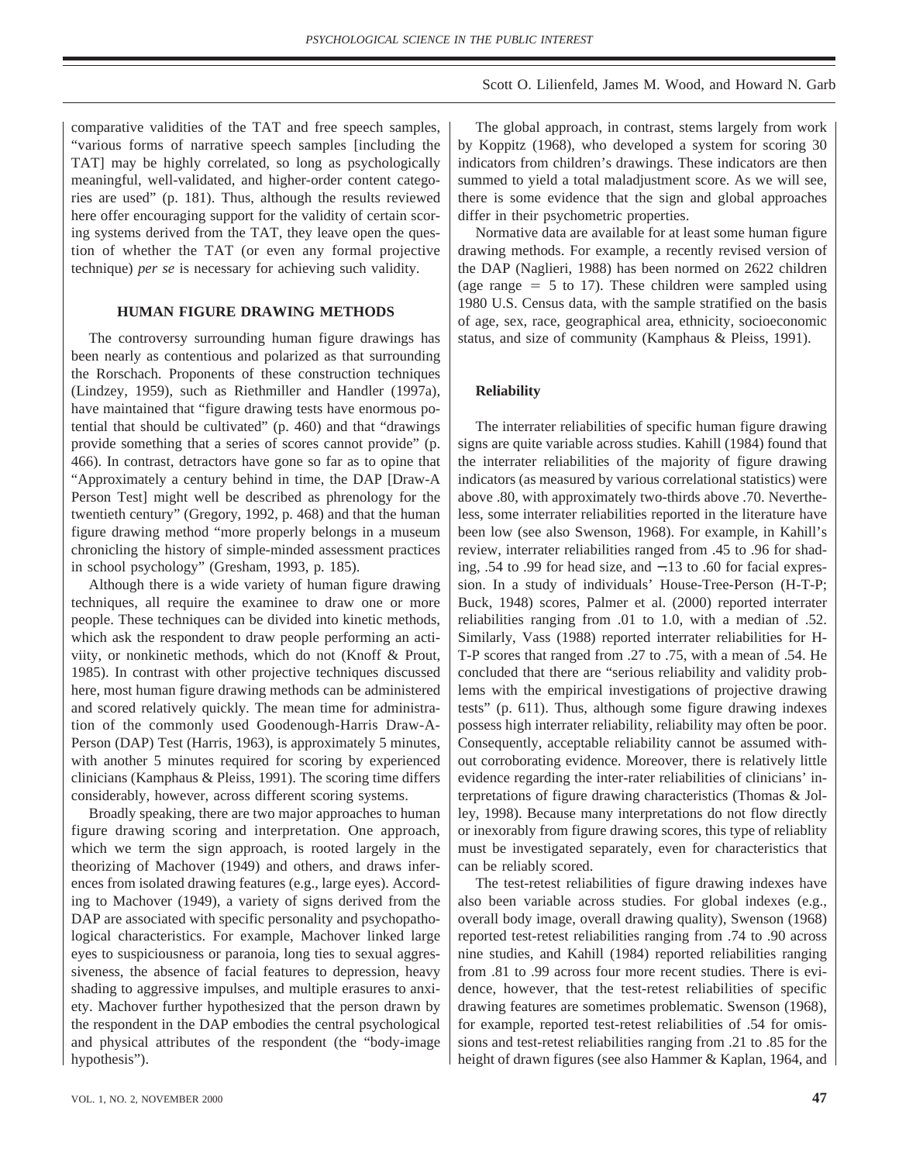comparative validities of the TAT and free speech samples, "various forms of narrative speech samples [including the TAT] may be highly correlated, so long as psychologically meaningful, well-validated, and higher-order content categories are used" (p. 181). Thus, although the results reviewed here offer encouraging support for the validity of certain scoring systems derived from the TAT, they leave open the question of whether the TAT (or even any formal projective technique) *per se* is necessary for achieving such validity.

## **HUMAN FIGURE DRAWING METHODS**

The controversy surrounding human figure drawings has been nearly as contentious and polarized as that surrounding the Rorschach. Proponents of these construction techniques (Lindzey, 1959), such as Riethmiller and Handler (1997a), have maintained that "figure drawing tests have enormous potential that should be cultivated" (p. 460) and that "drawings provide something that a series of scores cannot provide" (p. 466). In contrast, detractors have gone so far as to opine that "Approximately a century behind in time, the DAP [Draw-A Person Test] might well be described as phrenology for the twentieth century" (Gregory, 1992, p. 468) and that the human figure drawing method "more properly belongs in a museum chronicling the history of simple-minded assessment practices in school psychology" (Gresham, 1993, p. 185).

Although there is a wide variety of human figure drawing techniques, all require the examinee to draw one or more people. These techniques can be divided into kinetic methods, which ask the respondent to draw people performing an activiity, or nonkinetic methods, which do not (Knoff & Prout, 1985). In contrast with other projective techniques discussed here, most human figure drawing methods can be administered and scored relatively quickly. The mean time for administration of the commonly used Goodenough-Harris Draw-A-Person (DAP) Test (Harris, 1963), is approximately 5 minutes, with another 5 minutes required for scoring by experienced clinicians (Kamphaus & Pleiss, 1991). The scoring time differs considerably, however, across different scoring systems.

Broadly speaking, there are two major approaches to human figure drawing scoring and interpretation. One approach, which we term the sign approach, is rooted largely in the theorizing of Machover (1949) and others, and draws inferences from isolated drawing features (e.g., large eyes). According to Machover (1949), a variety of signs derived from the DAP are associated with specific personality and psychopathological characteristics. For example, Machover linked large eyes to suspiciousness or paranoia, long ties to sexual aggressiveness, the absence of facial features to depression, heavy shading to aggressive impulses, and multiple erasures to anxiety. Machover further hypothesized that the person drawn by the respondent in the DAP embodies the central psychological and physical attributes of the respondent (the "body-image hypothesis").

The global approach, in contrast, stems largely from work by Koppitz (1968), who developed a system for scoring 30 indicators from children's drawings. These indicators are then summed to yield a total maladjustment score. As we will see, there is some evidence that the sign and global approaches differ in their psychometric properties.

Normative data are available for at least some human figure drawing methods. For example, a recently revised version of the DAP (Naglieri, 1988) has been normed on 2622 children (age range  $= 5$  to 17). These children were sampled using 1980 U.S. Census data, with the sample stratified on the basis of age, sex, race, geographical area, ethnicity, socioeconomic status, and size of community (Kamphaus & Pleiss, 1991).

# **Reliability**

The interrater reliabilities of specific human figure drawing signs are quite variable across studies. Kahill (1984) found that the interrater reliabilities of the majority of figure drawing indicators (as measured by various correlational statistics) were above .80, with approximately two-thirds above .70. Nevertheless, some interrater reliabilities reported in the literature have been low (see also Swenson, 1968). For example, in Kahill's review, interrater reliabilities ranged from .45 to .96 for shading, .54 to .99 for head size, and −.13 to .60 for facial expression. In a study of individuals' House-Tree-Person (H-T-P; Buck, 1948) scores, Palmer et al. (2000) reported interrater reliabilities ranging from .01 to 1.0, with a median of .52. Similarly, Vass (1988) reported interrater reliabilities for H-T-P scores that ranged from .27 to .75, with a mean of .54. He concluded that there are "serious reliability and validity problems with the empirical investigations of projective drawing tests" (p. 611). Thus, although some figure drawing indexes possess high interrater reliability, reliability may often be poor. Consequently, acceptable reliability cannot be assumed without corroborating evidence. Moreover, there is relatively little evidence regarding the inter-rater reliabilities of clinicians' interpretations of figure drawing characteristics (Thomas & Jolley, 1998). Because many interpretations do not flow directly or inexorably from figure drawing scores, this type of reliablity must be investigated separately, even for characteristics that can be reliably scored.

The test-retest reliabilities of figure drawing indexes have also been variable across studies. For global indexes (e.g., overall body image, overall drawing quality), Swenson (1968) reported test-retest reliabilities ranging from .74 to .90 across nine studies, and Kahill (1984) reported reliabilities ranging from .81 to .99 across four more recent studies. There is evidence, however, that the test-retest reliabilities of specific drawing features are sometimes problematic. Swenson (1968), for example, reported test-retest reliabilities of .54 for omissions and test-retest reliabilities ranging from .21 to .85 for the height of drawn figures (see also Hammer & Kaplan, 1964, and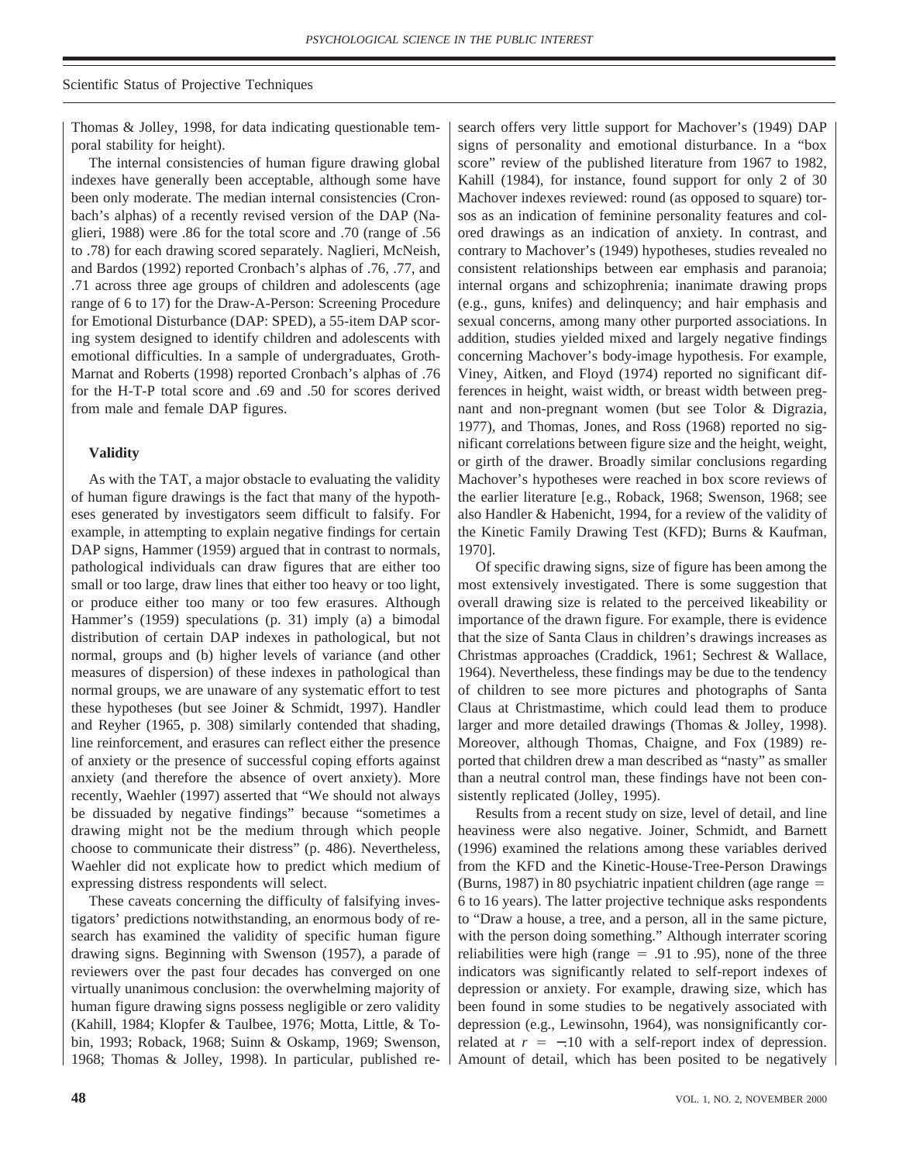Thomas & Jolley, 1998, for data indicating questionable temporal stability for height).

The internal consistencies of human figure drawing global indexes have generally been acceptable, although some have been only moderate. The median internal consistencies (Cronbach's alphas) of a recently revised version of the DAP (Naglieri, 1988) were .86 for the total score and .70 (range of .56 to .78) for each drawing scored separately. Naglieri, McNeish, and Bardos (1992) reported Cronbach's alphas of .76, .77, and .71 across three age groups of children and adolescents (age range of 6 to 17) for the Draw-A-Person: Screening Procedure for Emotional Disturbance (DAP: SPED), a 55-item DAP scoring system designed to identify children and adolescents with emotional difficulties. In a sample of undergraduates, Groth-Marnat and Roberts (1998) reported Cronbach's alphas of .76 for the H-T-P total score and .69 and .50 for scores derived from male and female DAP figures.

## **Validity**

As with the TAT, a major obstacle to evaluating the validity of human figure drawings is the fact that many of the hypotheses generated by investigators seem difficult to falsify. For example, in attempting to explain negative findings for certain DAP signs, Hammer (1959) argued that in contrast to normals, pathological individuals can draw figures that are either too small or too large, draw lines that either too heavy or too light, or produce either too many or too few erasures. Although Hammer's (1959) speculations (p. 31) imply (a) a bimodal distribution of certain DAP indexes in pathological, but not normal, groups and (b) higher levels of variance (and other measures of dispersion) of these indexes in pathological than normal groups, we are unaware of any systematic effort to test these hypotheses (but see Joiner & Schmidt, 1997). Handler and Reyher (1965, p. 308) similarly contended that shading, line reinforcement, and erasures can reflect either the presence of anxiety or the presence of successful coping efforts against anxiety (and therefore the absence of overt anxiety). More recently, Waehler (1997) asserted that "We should not always be dissuaded by negative findings" because "sometimes a drawing might not be the medium through which people choose to communicate their distress" (p. 486). Nevertheless, Waehler did not explicate how to predict which medium of expressing distress respondents will select.

These caveats concerning the difficulty of falsifying investigators' predictions notwithstanding, an enormous body of research has examined the validity of specific human figure drawing signs. Beginning with Swenson (1957), a parade of reviewers over the past four decades has converged on one virtually unanimous conclusion: the overwhelming majority of human figure drawing signs possess negligible or zero validity (Kahill, 1984; Klopfer & Taulbee, 1976; Motta, Little, & Tobin, 1993; Roback, 1968; Suinn & Oskamp, 1969; Swenson, 1968; Thomas & Jolley, 1998). In particular, published research offers very little support for Machover's (1949) DAP signs of personality and emotional disturbance. In a "box score" review of the published literature from 1967 to 1982, Kahill (1984), for instance, found support for only 2 of 30 Machover indexes reviewed: round (as opposed to square) torsos as an indication of feminine personality features and colored drawings as an indication of anxiety. In contrast, and contrary to Machover's (1949) hypotheses, studies revealed no consistent relationships between ear emphasis and paranoia; internal organs and schizophrenia; inanimate drawing props (e.g., guns, knifes) and delinquency; and hair emphasis and sexual concerns, among many other purported associations. In addition, studies yielded mixed and largely negative findings concerning Machover's body-image hypothesis. For example, Viney, Aitken, and Floyd (1974) reported no significant differences in height, waist width, or breast width between pregnant and non-pregnant women (but see Tolor & Digrazia, 1977), and Thomas, Jones, and Ross (1968) reported no significant correlations between figure size and the height, weight, or girth of the drawer. Broadly similar conclusions regarding Machover's hypotheses were reached in box score reviews of the earlier literature [e.g., Roback, 1968; Swenson, 1968; see also Handler & Habenicht, 1994, for a review of the validity of the Kinetic Family Drawing Test (KFD); Burns & Kaufman, 1970].

Of specific drawing signs, size of figure has been among the most extensively investigated. There is some suggestion that overall drawing size is related to the perceived likeability or importance of the drawn figure. For example, there is evidence that the size of Santa Claus in children's drawings increases as Christmas approaches (Craddick, 1961; Sechrest & Wallace, 1964). Nevertheless, these findings may be due to the tendency of children to see more pictures and photographs of Santa Claus at Christmastime, which could lead them to produce larger and more detailed drawings (Thomas & Jolley, 1998). Moreover, although Thomas, Chaigne, and Fox (1989) reported that children drew a man described as "nasty" as smaller than a neutral control man, these findings have not been consistently replicated (Jolley, 1995).

Results from a recent study on size, level of detail, and line heaviness were also negative. Joiner, Schmidt, and Barnett (1996) examined the relations among these variables derived from the KFD and the Kinetic-House-Tree-Person Drawings (Burns, 1987) in 80 psychiatric inpatient children (age range = 6 to 16 years). The latter projective technique asks respondents to "Draw a house, a tree, and a person, all in the same picture, with the person doing something." Although interrater scoring reliabilities were high (range  $= .91$  to .95), none of the three indicators was significantly related to self-report indexes of depression or anxiety. For example, drawing size, which has been found in some studies to be negatively associated with depression (e.g., Lewinsohn, 1964), was nonsignificantly correlated at  $r = -.10$  with a self-report index of depression. Amount of detail, which has been posited to be negatively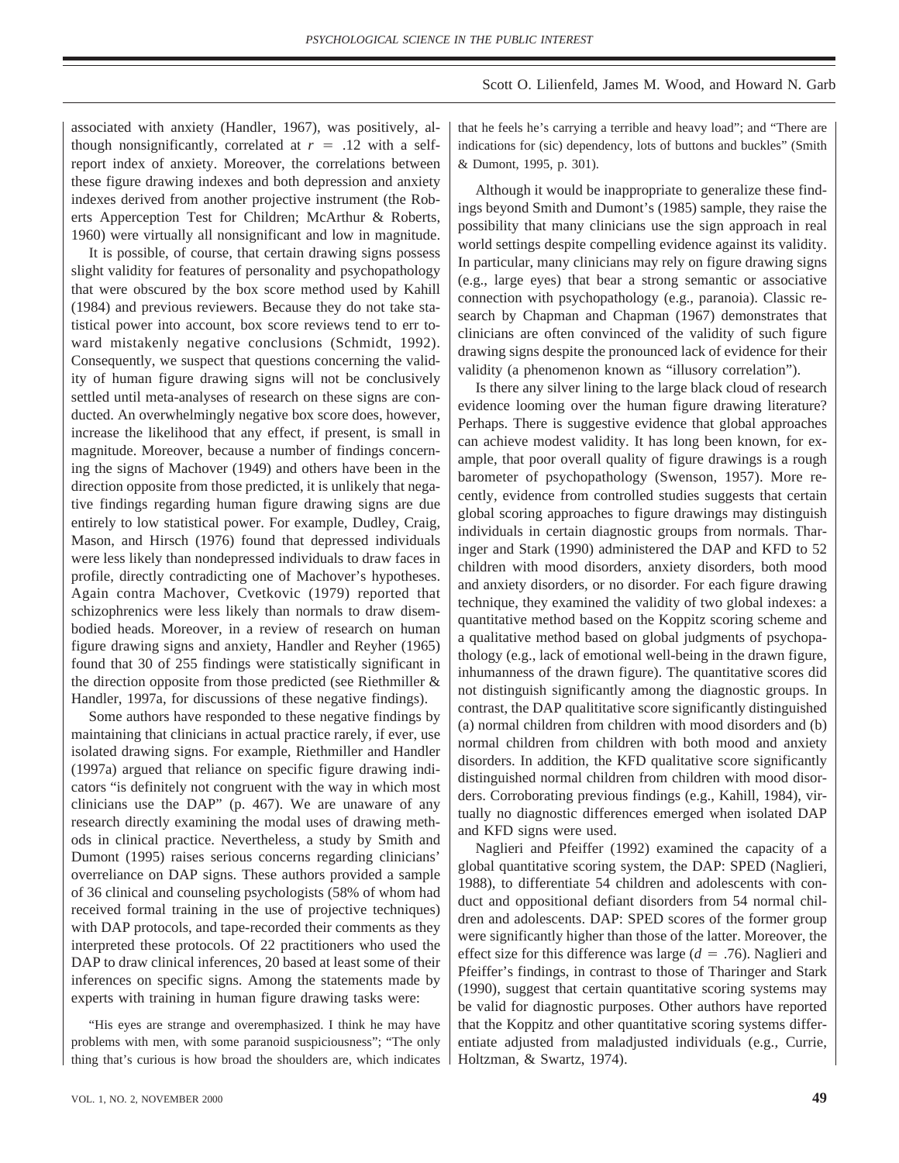associated with anxiety (Handler, 1967), was positively, although nonsignificantly, correlated at  $r = .12$  with a selfreport index of anxiety. Moreover, the correlations between these figure drawing indexes and both depression and anxiety indexes derived from another projective instrument (the Roberts Apperception Test for Children; McArthur & Roberts, 1960) were virtually all nonsignificant and low in magnitude.

It is possible, of course, that certain drawing signs possess slight validity for features of personality and psychopathology that were obscured by the box score method used by Kahill (1984) and previous reviewers. Because they do not take statistical power into account, box score reviews tend to err toward mistakenly negative conclusions (Schmidt, 1992). Consequently, we suspect that questions concerning the validity of human figure drawing signs will not be conclusively settled until meta-analyses of research on these signs are conducted. An overwhelmingly negative box score does, however, increase the likelihood that any effect, if present, is small in magnitude. Moreover, because a number of findings concerning the signs of Machover (1949) and others have been in the direction opposite from those predicted, it is unlikely that negative findings regarding human figure drawing signs are due entirely to low statistical power. For example, Dudley, Craig, Mason, and Hirsch (1976) found that depressed individuals were less likely than nondepressed individuals to draw faces in profile, directly contradicting one of Machover's hypotheses. Again contra Machover, Cvetkovic (1979) reported that schizophrenics were less likely than normals to draw disembodied heads. Moreover, in a review of research on human figure drawing signs and anxiety, Handler and Reyher (1965) found that 30 of 255 findings were statistically significant in the direction opposite from those predicted (see Riethmiller & Handler, 1997a, for discussions of these negative findings).

Some authors have responded to these negative findings by maintaining that clinicians in actual practice rarely, if ever, use isolated drawing signs. For example, Riethmiller and Handler (1997a) argued that reliance on specific figure drawing indicators "is definitely not congruent with the way in which most clinicians use the DAP" (p. 467). We are unaware of any research directly examining the modal uses of drawing methods in clinical practice. Nevertheless, a study by Smith and Dumont (1995) raises serious concerns regarding clinicians' overreliance on DAP signs. These authors provided a sample of 36 clinical and counseling psychologists (58% of whom had received formal training in the use of projective techniques) with DAP protocols, and tape-recorded their comments as they interpreted these protocols. Of 22 practitioners who used the DAP to draw clinical inferences, 20 based at least some of their inferences on specific signs. Among the statements made by experts with training in human figure drawing tasks were:

"His eyes are strange and overemphasized. I think he may have problems with men, with some paranoid suspiciousness"; "The only thing that's curious is how broad the shoulders are, which indicates

VOL. 1, NO. 2, NOVEMBER 2000 **49**

that he feels he's carrying a terrible and heavy load"; and "There are indications for (sic) dependency, lots of buttons and buckles" (Smith & Dumont, 1995, p. 301).

Although it would be inappropriate to generalize these findings beyond Smith and Dumont's (1985) sample, they raise the possibility that many clinicians use the sign approach in real world settings despite compelling evidence against its validity. In particular, many clinicians may rely on figure drawing signs (e.g., large eyes) that bear a strong semantic or associative connection with psychopathology (e.g., paranoia). Classic research by Chapman and Chapman (1967) demonstrates that clinicians are often convinced of the validity of such figure drawing signs despite the pronounced lack of evidence for their validity (a phenomenon known as "illusory correlation").

Is there any silver lining to the large black cloud of research evidence looming over the human figure drawing literature? Perhaps. There is suggestive evidence that global approaches can achieve modest validity. It has long been known, for example, that poor overall quality of figure drawings is a rough barometer of psychopathology (Swenson, 1957). More recently, evidence from controlled studies suggests that certain global scoring approaches to figure drawings may distinguish individuals in certain diagnostic groups from normals. Tharinger and Stark (1990) administered the DAP and KFD to 52 children with mood disorders, anxiety disorders, both mood and anxiety disorders, or no disorder. For each figure drawing technique, they examined the validity of two global indexes: a quantitative method based on the Koppitz scoring scheme and a qualitative method based on global judgments of psychopathology (e.g., lack of emotional well-being in the drawn figure, inhumanness of the drawn figure). The quantitative scores did not distinguish significantly among the diagnostic groups. In contrast, the DAP qualititative score significantly distinguished (a) normal children from children with mood disorders and (b) normal children from children with both mood and anxiety disorders. In addition, the KFD qualitative score significantly distinguished normal children from children with mood disorders. Corroborating previous findings (e.g., Kahill, 1984), virtually no diagnostic differences emerged when isolated DAP and KFD signs were used.

Naglieri and Pfeiffer (1992) examined the capacity of a global quantitative scoring system, the DAP: SPED (Naglieri, 1988), to differentiate 54 children and adolescents with conduct and oppositional defiant disorders from 54 normal children and adolescents. DAP: SPED scores of the former group were significantly higher than those of the latter. Moreover, the effect size for this difference was large  $(d = .76)$ . Naglieri and Pfeiffer's findings, in contrast to those of Tharinger and Stark (1990), suggest that certain quantitative scoring systems may be valid for diagnostic purposes. Other authors have reported that the Koppitz and other quantitative scoring systems differentiate adjusted from maladjusted individuals (e.g., Currie, Holtzman, & Swartz, 1974).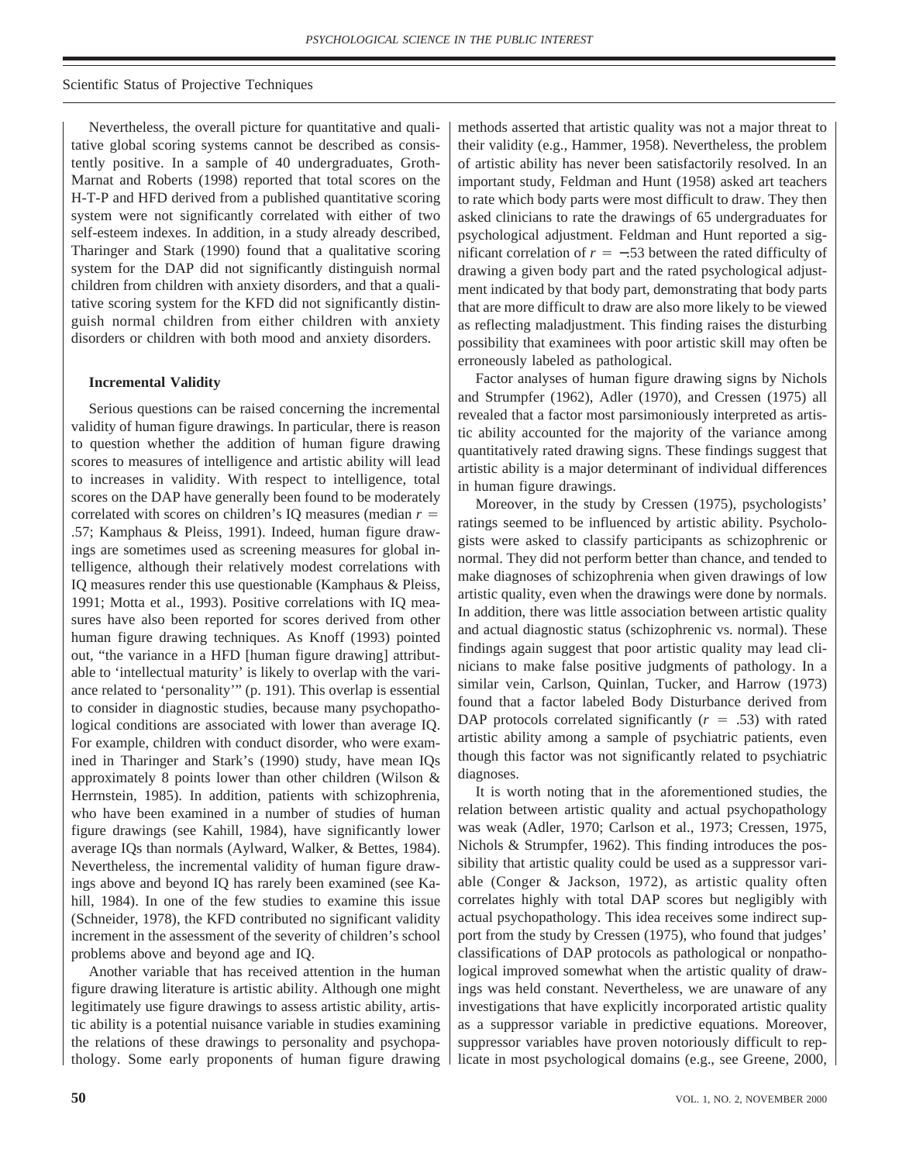Nevertheless, the overall picture for quantitative and qualitative global scoring systems cannot be described as consistently positive. In a sample of 40 undergraduates, Groth-Marnat and Roberts (1998) reported that total scores on the H-T-P and HFD derived from a published quantitative scoring system were not significantly correlated with either of two self-esteem indexes. In addition, in a study already described, Tharinger and Stark (1990) found that a qualitative scoring system for the DAP did not significantly distinguish normal children from children with anxiety disorders, and that a qualitative scoring system for the KFD did not significantly distinguish normal children from either children with anxiety disorders or children with both mood and anxiety disorders.

#### **Incremental Validity**

Serious questions can be raised concerning the incremental validity of human figure drawings. In particular, there is reason to question whether the addition of human figure drawing scores to measures of intelligence and artistic ability will lead to increases in validity. With respect to intelligence, total scores on the DAP have generally been found to be moderately correlated with scores on children's IQ measures (median  $r =$ .57; Kamphaus & Pleiss, 1991). Indeed, human figure drawings are sometimes used as screening measures for global intelligence, although their relatively modest correlations with IQ measures render this use questionable (Kamphaus & Pleiss, 1991; Motta et al., 1993). Positive correlations with IQ measures have also been reported for scores derived from other human figure drawing techniques. As Knoff (1993) pointed out, "the variance in a HFD [human figure drawing] attributable to 'intellectual maturity' is likely to overlap with the variance related to 'personality'" (p. 191). This overlap is essential to consider in diagnostic studies, because many psychopathological conditions are associated with lower than average IQ. For example, children with conduct disorder, who were examined in Tharinger and Stark's (1990) study, have mean IQs approximately 8 points lower than other children (Wilson & Herrnstein, 1985). In addition, patients with schizophrenia, who have been examined in a number of studies of human figure drawings (see Kahill, 1984), have significantly lower average IQs than normals (Aylward, Walker, & Bettes, 1984). Nevertheless, the incremental validity of human figure drawings above and beyond IQ has rarely been examined (see Kahill, 1984). In one of the few studies to examine this issue (Schneider, 1978), the KFD contributed no significant validity increment in the assessment of the severity of children's school problems above and beyond age and IQ.

Another variable that has received attention in the human figure drawing literature is artistic ability. Although one might legitimately use figure drawings to assess artistic ability, artistic ability is a potential nuisance variable in studies examining the relations of these drawings to personality and psychopathology. Some early proponents of human figure drawing

methods asserted that artistic quality was not a major threat to their validity (e.g., Hammer, 1958). Nevertheless, the problem of artistic ability has never been satisfactorily resolved. In an important study, Feldman and Hunt (1958) asked art teachers to rate which body parts were most difficult to draw. They then asked clinicians to rate the drawings of 65 undergraduates for psychological adjustment. Feldman and Hunt reported a significant correlation of  $r = -.53$  between the rated difficulty of drawing a given body part and the rated psychological adjustment indicated by that body part, demonstrating that body parts that are more difficult to draw are also more likely to be viewed as reflecting maladjustment. This finding raises the disturbing possibility that examinees with poor artistic skill may often be erroneously labeled as pathological.

Factor analyses of human figure drawing signs by Nichols and Strumpfer (1962), Adler (1970), and Cressen (1975) all revealed that a factor most parsimoniously interpreted as artistic ability accounted for the majority of the variance among quantitatively rated drawing signs. These findings suggest that artistic ability is a major determinant of individual differences in human figure drawings.

Moreover, in the study by Cressen (1975), psychologists' ratings seemed to be influenced by artistic ability. Psychologists were asked to classify participants as schizophrenic or normal. They did not perform better than chance, and tended to make diagnoses of schizophrenia when given drawings of low artistic quality, even when the drawings were done by normals. In addition, there was little association between artistic quality and actual diagnostic status (schizophrenic vs. normal). These findings again suggest that poor artistic quality may lead clinicians to make false positive judgments of pathology. In a similar vein, Carlson, Quinlan, Tucker, and Harrow (1973) found that a factor labeled Body Disturbance derived from DAP protocols correlated significantly  $(r = .53)$  with rated artistic ability among a sample of psychiatric patients, even though this factor was not significantly related to psychiatric diagnoses.

It is worth noting that in the aforementioned studies, the relation between artistic quality and actual psychopathology was weak (Adler, 1970; Carlson et al., 1973; Cressen, 1975, Nichols & Strumpfer, 1962). This finding introduces the possibility that artistic quality could be used as a suppressor variable (Conger & Jackson, 1972), as artistic quality often correlates highly with total DAP scores but negligibly with actual psychopathology. This idea receives some indirect support from the study by Cressen (1975), who found that judges' classifications of DAP protocols as pathological or nonpathological improved somewhat when the artistic quality of drawings was held constant. Nevertheless, we are unaware of any investigations that have explicitly incorporated artistic quality as a suppressor variable in predictive equations. Moreover, suppressor variables have proven notoriously difficult to replicate in most psychological domains (e.g., see Greene, 2000,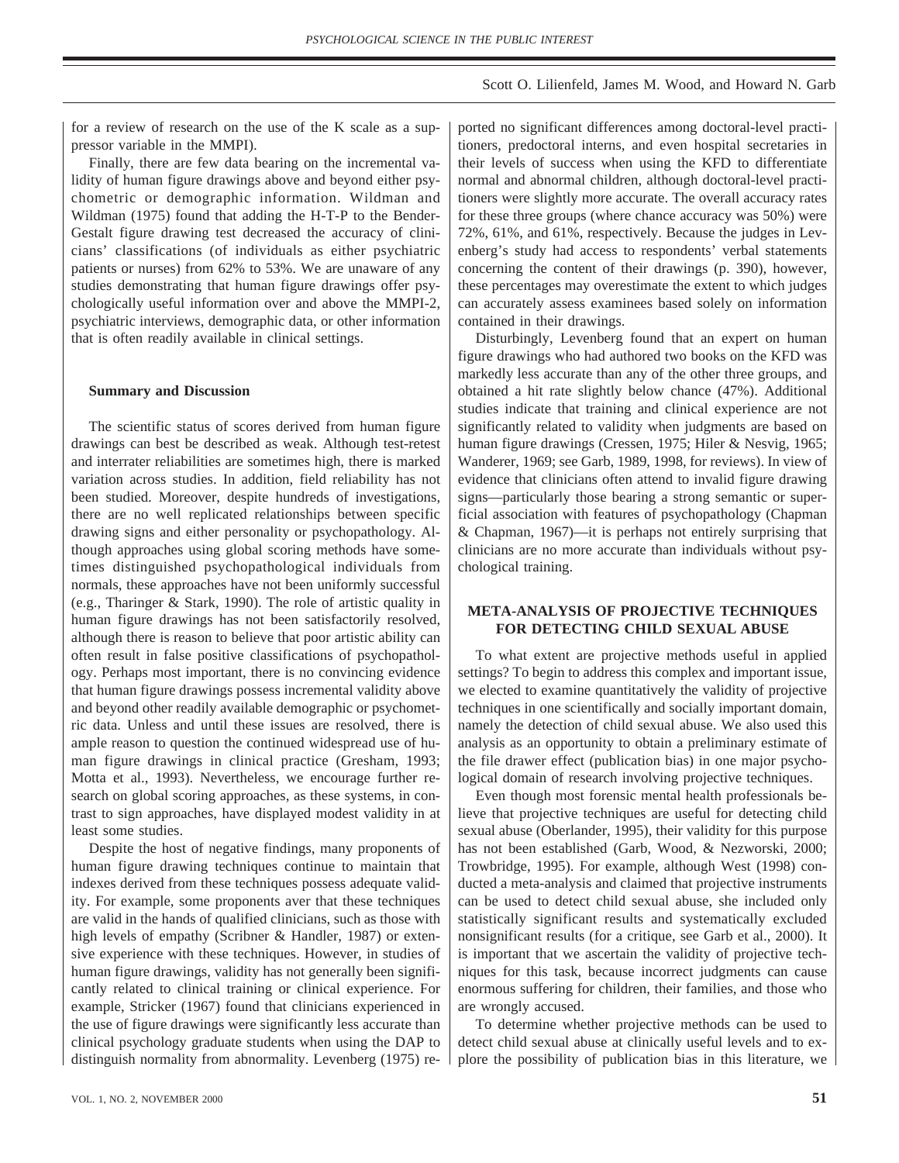for a review of research on the use of the K scale as a suppressor variable in the MMPI).

Finally, there are few data bearing on the incremental validity of human figure drawings above and beyond either psychometric or demographic information. Wildman and Wildman (1975) found that adding the H-T-P to the Bender-Gestalt figure drawing test decreased the accuracy of clinicians' classifications (of individuals as either psychiatric patients or nurses) from 62% to 53%. We are unaware of any studies demonstrating that human figure drawings offer psychologically useful information over and above the MMPI-2, psychiatric interviews, demographic data, or other information that is often readily available in clinical settings.

#### **Summary and Discussion**

The scientific status of scores derived from human figure drawings can best be described as weak. Although test-retest and interrater reliabilities are sometimes high, there is marked variation across studies. In addition, field reliability has not been studied. Moreover, despite hundreds of investigations, there are no well replicated relationships between specific drawing signs and either personality or psychopathology. Although approaches using global scoring methods have sometimes distinguished psychopathological individuals from normals, these approaches have not been uniformly successful (e.g., Tharinger & Stark, 1990). The role of artistic quality in human figure drawings has not been satisfactorily resolved, although there is reason to believe that poor artistic ability can often result in false positive classifications of psychopathology. Perhaps most important, there is no convincing evidence that human figure drawings possess incremental validity above and beyond other readily available demographic or psychometric data. Unless and until these issues are resolved, there is ample reason to question the continued widespread use of human figure drawings in clinical practice (Gresham, 1993; Motta et al., 1993). Nevertheless, we encourage further research on global scoring approaches, as these systems, in contrast to sign approaches, have displayed modest validity in at least some studies.

Despite the host of negative findings, many proponents of human figure drawing techniques continue to maintain that indexes derived from these techniques possess adequate validity. For example, some proponents aver that these techniques are valid in the hands of qualified clinicians, such as those with high levels of empathy (Scribner & Handler, 1987) or extensive experience with these techniques. However, in studies of human figure drawings, validity has not generally been significantly related to clinical training or clinical experience. For example, Stricker (1967) found that clinicians experienced in the use of figure drawings were significantly less accurate than clinical psychology graduate students when using the DAP to distinguish normality from abnormality. Levenberg (1975) reported no significant differences among doctoral-level practitioners, predoctoral interns, and even hospital secretaries in their levels of success when using the KFD to differentiate normal and abnormal children, although doctoral-level practitioners were slightly more accurate. The overall accuracy rates for these three groups (where chance accuracy was 50%) were 72%, 61%, and 61%, respectively. Because the judges in Levenberg's study had access to respondents' verbal statements concerning the content of their drawings (p. 390), however, these percentages may overestimate the extent to which judges can accurately assess examinees based solely on information contained in their drawings.

Disturbingly, Levenberg found that an expert on human figure drawings who had authored two books on the KFD was markedly less accurate than any of the other three groups, and obtained a hit rate slightly below chance (47%). Additional studies indicate that training and clinical experience are not significantly related to validity when judgments are based on human figure drawings (Cressen, 1975; Hiler & Nesvig, 1965; Wanderer, 1969; see Garb, 1989, 1998, for reviews). In view of evidence that clinicians often attend to invalid figure drawing signs—particularly those bearing a strong semantic or superficial association with features of psychopathology (Chapman & Chapman, 1967)—it is perhaps not entirely surprising that clinicians are no more accurate than individuals without psychological training.

# **META-ANALYSIS OF PROJECTIVE TECHNIQUES FOR DETECTING CHILD SEXUAL ABUSE**

To what extent are projective methods useful in applied settings? To begin to address this complex and important issue, we elected to examine quantitatively the validity of projective techniques in one scientifically and socially important domain, namely the detection of child sexual abuse. We also used this analysis as an opportunity to obtain a preliminary estimate of the file drawer effect (publication bias) in one major psychological domain of research involving projective techniques.

Even though most forensic mental health professionals believe that projective techniques are useful for detecting child sexual abuse (Oberlander, 1995), their validity for this purpose has not been established (Garb, Wood, & Nezworski, 2000; Trowbridge, 1995). For example, although West (1998) conducted a meta-analysis and claimed that projective instruments can be used to detect child sexual abuse, she included only statistically significant results and systematically excluded nonsignificant results (for a critique, see Garb et al., 2000). It is important that we ascertain the validity of projective techniques for this task, because incorrect judgments can cause enormous suffering for children, their families, and those who are wrongly accused.

To determine whether projective methods can be used to detect child sexual abuse at clinically useful levels and to explore the possibility of publication bias in this literature, we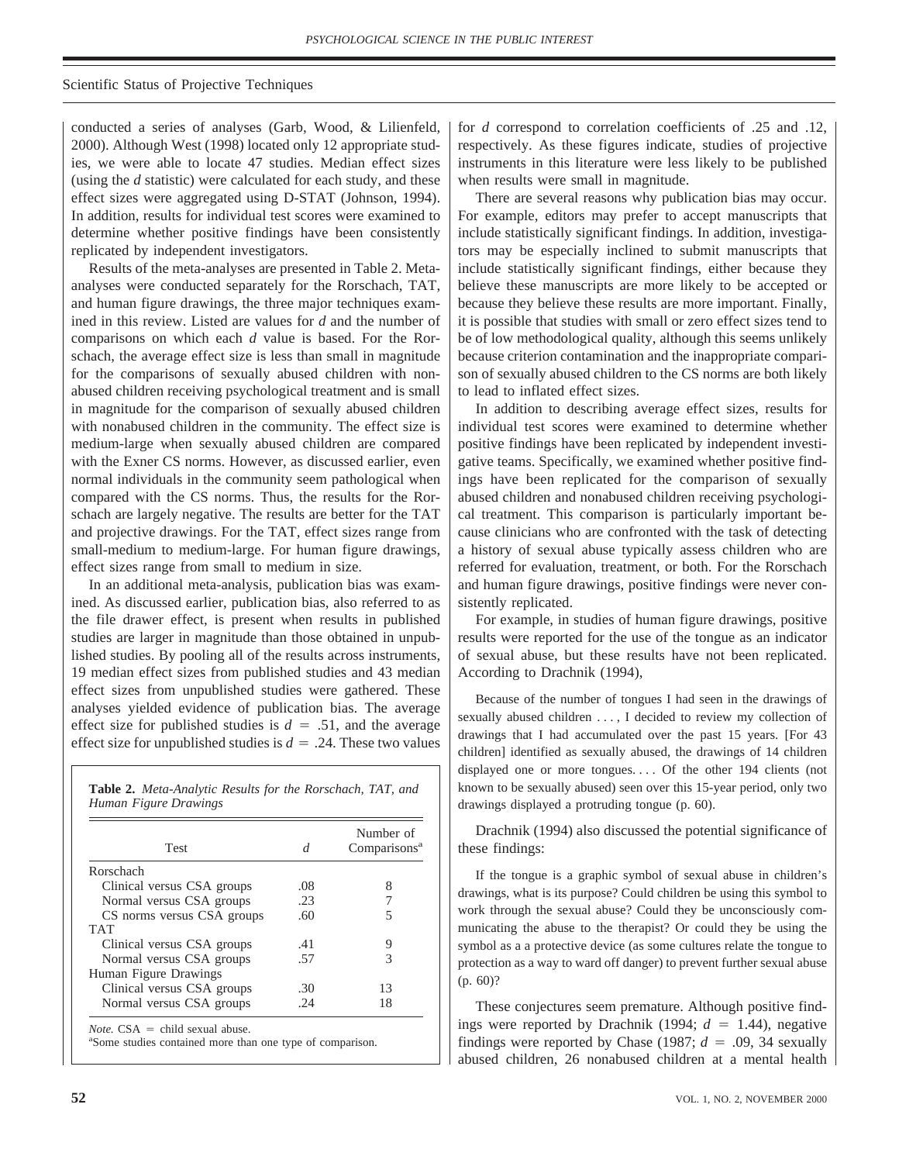conducted a series of analyses (Garb, Wood, & Lilienfeld, 2000). Although West (1998) located only 12 appropriate studies, we were able to locate 47 studies. Median effect sizes (using the *d* statistic) were calculated for each study, and these effect sizes were aggregated using D-STAT (Johnson, 1994). In addition, results for individual test scores were examined to determine whether positive findings have been consistently replicated by independent investigators.

Results of the meta-analyses are presented in Table 2. Metaanalyses were conducted separately for the Rorschach, TAT, and human figure drawings, the three major techniques examined in this review. Listed are values for *d* and the number of comparisons on which each *d* value is based. For the Rorschach, the average effect size is less than small in magnitude for the comparisons of sexually abused children with nonabused children receiving psychological treatment and is small in magnitude for the comparison of sexually abused children with nonabused children in the community. The effect size is medium-large when sexually abused children are compared with the Exner CS norms. However, as discussed earlier, even normal individuals in the community seem pathological when compared with the CS norms. Thus, the results for the Rorschach are largely negative. The results are better for the TAT and projective drawings. For the TAT, effect sizes range from small-medium to medium-large. For human figure drawings, effect sizes range from small to medium in size.

In an additional meta-analysis, publication bias was examined. As discussed earlier, publication bias, also referred to as the file drawer effect, is present when results in published studies are larger in magnitude than those obtained in unpublished studies. By pooling all of the results across instruments, 19 median effect sizes from published studies and 43 median effect sizes from unpublished studies were gathered. These analyses yielded evidence of publication bias. The average effect size for published studies is  $d = .51$ , and the average effect size for unpublished studies is  $d = .24$ . These two values

**Table 2.** *Meta-Analytic Results for the Rorschach, TAT, and Human Figure Drawings*

| <b>Test</b>                |     | Number of<br>Comparisons <sup>a</sup> |
|----------------------------|-----|---------------------------------------|
| Rorschach                  |     |                                       |
| Clinical versus CSA groups | .08 |                                       |
| Normal versus CSA groups   | .23 |                                       |
| CS norms versus CSA groups | .60 | 5                                     |
| <b>TAT</b>                 |     |                                       |
| Clinical versus CSA groups | .41 | Q)                                    |
| Normal versus CSA groups   | .57 | 3                                     |
| Human Figure Drawings      |     |                                       |
| Clinical versus CSA groups | .30 | 13                                    |
| Normal versus CSA groups   | 24  | 18                                    |

*Note.*  $CSA = child sexual abuse$ . <sup>a</sup>Some studies contained more than one type of comparison. for *d* correspond to correlation coefficients of .25 and .12, respectively. As these figures indicate, studies of projective instruments in this literature were less likely to be published when results were small in magnitude.

There are several reasons why publication bias may occur. For example, editors may prefer to accept manuscripts that include statistically significant findings. In addition, investigators may be especially inclined to submit manuscripts that include statistically significant findings, either because they believe these manuscripts are more likely to be accepted or because they believe these results are more important. Finally, it is possible that studies with small or zero effect sizes tend to be of low methodological quality, although this seems unlikely because criterion contamination and the inappropriate comparison of sexually abused children to the CS norms are both likely to lead to inflated effect sizes.

In addition to describing average effect sizes, results for individual test scores were examined to determine whether positive findings have been replicated by independent investigative teams. Specifically, we examined whether positive findings have been replicated for the comparison of sexually abused children and nonabused children receiving psychological treatment. This comparison is particularly important because clinicians who are confronted with the task of detecting a history of sexual abuse typically assess children who are referred for evaluation, treatment, or both. For the Rorschach and human figure drawings, positive findings were never consistently replicated.

For example, in studies of human figure drawings, positive results were reported for the use of the tongue as an indicator of sexual abuse, but these results have not been replicated. According to Drachnik (1994),

Because of the number of tongues I had seen in the drawings of sexually abused children . . . , I decided to review my collection of drawings that I had accumulated over the past 15 years. [For 43 children] identified as sexually abused, the drawings of 14 children displayed one or more tongues. . . . Of the other 194 clients (not known to be sexually abused) seen over this 15-year period, only two drawings displayed a protruding tongue (p. 60).

Drachnik (1994) also discussed the potential significance of these findings:

If the tongue is a graphic symbol of sexual abuse in children's drawings, what is its purpose? Could children be using this symbol to work through the sexual abuse? Could they be unconsciously communicating the abuse to the therapist? Or could they be using the symbol as a a protective device (as some cultures relate the tongue to protection as a way to ward off danger) to prevent further sexual abuse (p. 60)?

These conjectures seem premature. Although positive findings were reported by Drachnik (1994;  $d = 1.44$ ), negative findings were reported by Chase (1987;  $d = .09$ , 34 sexually abused children, 26 nonabused children at a mental health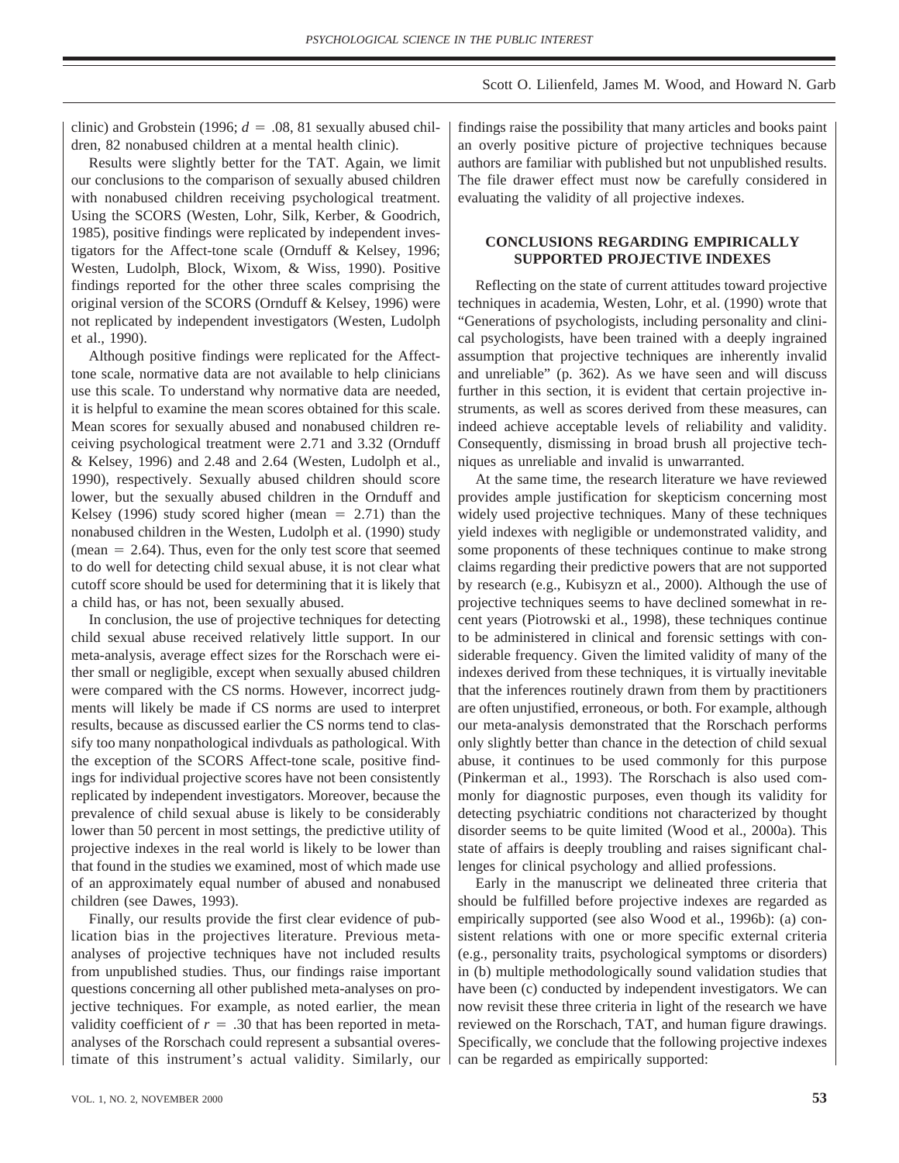clinic) and Grobstein (1996;  $d = 0.08$ , 81 sexually abused children, 82 nonabused children at a mental health clinic).

Results were slightly better for the TAT. Again, we limit our conclusions to the comparison of sexually abused children with nonabused children receiving psychological treatment. Using the SCORS (Westen, Lohr, Silk, Kerber, & Goodrich, 1985), positive findings were replicated by independent investigators for the Affect-tone scale (Ornduff & Kelsey, 1996; Westen, Ludolph, Block, Wixom, & Wiss, 1990). Positive findings reported for the other three scales comprising the original version of the SCORS (Ornduff & Kelsey, 1996) were not replicated by independent investigators (Westen, Ludolph et al., 1990).

Although positive findings were replicated for the Affecttone scale, normative data are not available to help clinicians use this scale. To understand why normative data are needed, it is helpful to examine the mean scores obtained for this scale. Mean scores for sexually abused and nonabused children receiving psychological treatment were 2.71 and 3.32 (Ornduff & Kelsey, 1996) and 2.48 and 2.64 (Westen, Ludolph et al., 1990), respectively. Sexually abused children should score lower, but the sexually abused children in the Ornduff and Kelsey (1996) study scored higher (mean  $= 2.71$ ) than the nonabused children in the Westen, Ludolph et al. (1990) study (mean  $= 2.64$ ). Thus, even for the only test score that seemed to do well for detecting child sexual abuse, it is not clear what cutoff score should be used for determining that it is likely that a child has, or has not, been sexually abused.

In conclusion, the use of projective techniques for detecting child sexual abuse received relatively little support. In our meta-analysis, average effect sizes for the Rorschach were either small or negligible, except when sexually abused children were compared with the CS norms. However, incorrect judgments will likely be made if CS norms are used to interpret results, because as discussed earlier the CS norms tend to classify too many nonpathological indivduals as pathological. With the exception of the SCORS Affect-tone scale, positive findings for individual projective scores have not been consistently replicated by independent investigators. Moreover, because the prevalence of child sexual abuse is likely to be considerably lower than 50 percent in most settings, the predictive utility of projective indexes in the real world is likely to be lower than that found in the studies we examined, most of which made use of an approximately equal number of abused and nonabused children (see Dawes, 1993).

Finally, our results provide the first clear evidence of publication bias in the projectives literature. Previous metaanalyses of projective techniques have not included results from unpublished studies. Thus, our findings raise important questions concerning all other published meta-analyses on projective techniques. For example, as noted earlier, the mean validity coefficient of  $r = .30$  that has been reported in metaanalyses of the Rorschach could represent a subsantial overestimate of this instrument's actual validity. Similarly, our

findings raise the possibility that many articles and books paint an overly positive picture of projective techniques because authors are familiar with published but not unpublished results. The file drawer effect must now be carefully considered in evaluating the validity of all projective indexes.

# **CONCLUSIONS REGARDING EMPIRICALLY SUPPORTED PROJECTIVE INDEXES**

Reflecting on the state of current attitudes toward projective techniques in academia, Westen, Lohr, et al. (1990) wrote that "Generations of psychologists, including personality and clinical psychologists, have been trained with a deeply ingrained assumption that projective techniques are inherently invalid and unreliable" (p. 362). As we have seen and will discuss further in this section, it is evident that certain projective instruments, as well as scores derived from these measures, can indeed achieve acceptable levels of reliability and validity. Consequently, dismissing in broad brush all projective techniques as unreliable and invalid is unwarranted.

At the same time, the research literature we have reviewed provides ample justification for skepticism concerning most widely used projective techniques. Many of these techniques yield indexes with negligible or undemonstrated validity, and some proponents of these techniques continue to make strong claims regarding their predictive powers that are not supported by research (e.g., Kubisyzn et al., 2000). Although the use of projective techniques seems to have declined somewhat in recent years (Piotrowski et al., 1998), these techniques continue to be administered in clinical and forensic settings with considerable frequency. Given the limited validity of many of the indexes derived from these techniques, it is virtually inevitable that the inferences routinely drawn from them by practitioners are often unjustified, erroneous, or both. For example, although our meta-analysis demonstrated that the Rorschach performs only slightly better than chance in the detection of child sexual abuse, it continues to be used commonly for this purpose (Pinkerman et al., 1993). The Rorschach is also used commonly for diagnostic purposes, even though its validity for detecting psychiatric conditions not characterized by thought disorder seems to be quite limited (Wood et al., 2000a). This state of affairs is deeply troubling and raises significant challenges for clinical psychology and allied professions.

Early in the manuscript we delineated three criteria that should be fulfilled before projective indexes are regarded as empirically supported (see also Wood et al., 1996b): (a) consistent relations with one or more specific external criteria (e.g., personality traits, psychological symptoms or disorders) in (b) multiple methodologically sound validation studies that have been (c) conducted by independent investigators. We can now revisit these three criteria in light of the research we have reviewed on the Rorschach, TAT, and human figure drawings. Specifically, we conclude that the following projective indexes can be regarded as empirically supported: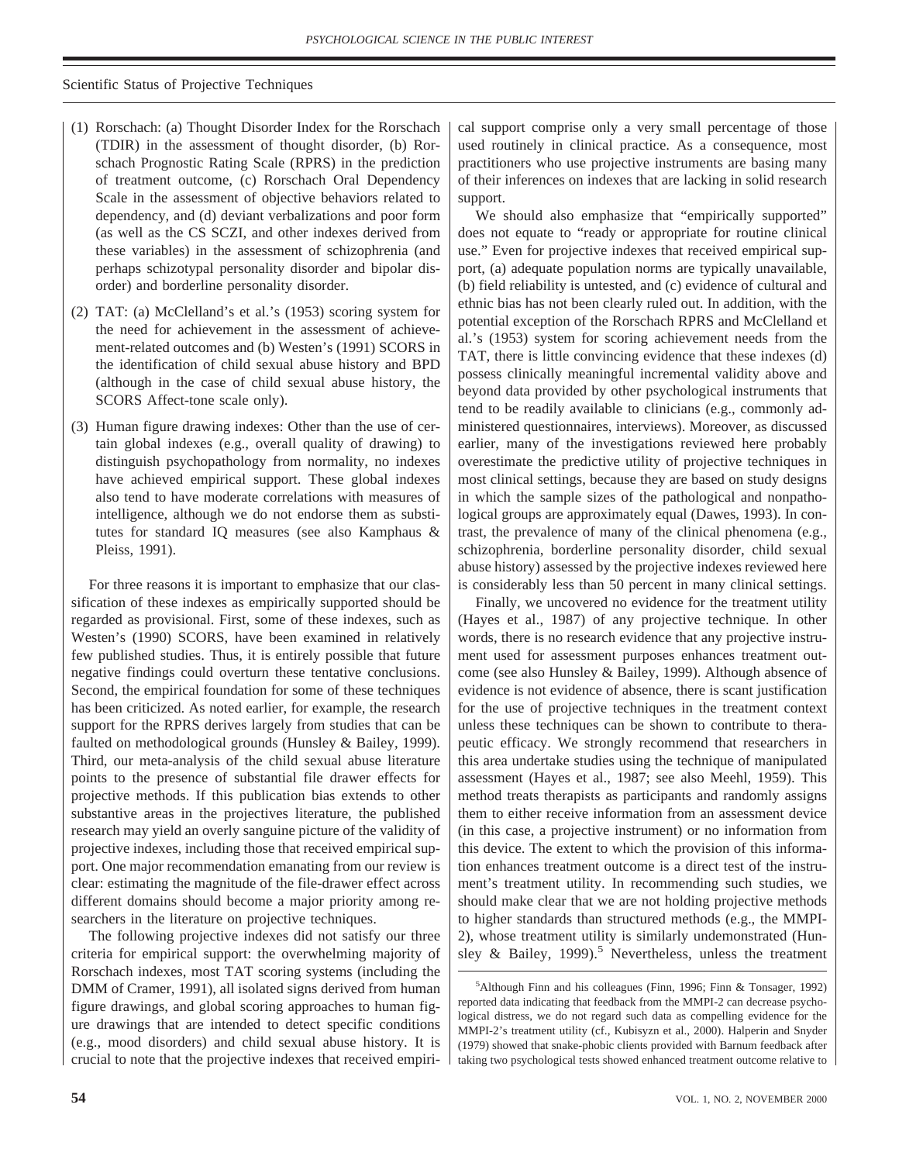- (1) Rorschach: (a) Thought Disorder Index for the Rorschach (TDIR) in the assessment of thought disorder, (b) Rorschach Prognostic Rating Scale (RPRS) in the prediction of treatment outcome, (c) Rorschach Oral Dependency Scale in the assessment of objective behaviors related to dependency, and (d) deviant verbalizations and poor form (as well as the CS SCZI, and other indexes derived from these variables) in the assessment of schizophrenia (and perhaps schizotypal personality disorder and bipolar disorder) and borderline personality disorder.
- (2) TAT: (a) McClelland's et al.'s (1953) scoring system for the need for achievement in the assessment of achievement-related outcomes and (b) Westen's (1991) SCORS in the identification of child sexual abuse history and BPD (although in the case of child sexual abuse history, the SCORS Affect-tone scale only).
- (3) Human figure drawing indexes: Other than the use of certain global indexes (e.g., overall quality of drawing) to distinguish psychopathology from normality, no indexes have achieved empirical support. These global indexes also tend to have moderate correlations with measures of intelligence, although we do not endorse them as substitutes for standard IQ measures (see also Kamphaus & Pleiss, 1991).

For three reasons it is important to emphasize that our classification of these indexes as empirically supported should be regarded as provisional. First, some of these indexes, such as Westen's (1990) SCORS, have been examined in relatively few published studies. Thus, it is entirely possible that future negative findings could overturn these tentative conclusions. Second, the empirical foundation for some of these techniques has been criticized. As noted earlier, for example, the research support for the RPRS derives largely from studies that can be faulted on methodological grounds (Hunsley & Bailey, 1999). Third, our meta-analysis of the child sexual abuse literature points to the presence of substantial file drawer effects for projective methods. If this publication bias extends to other substantive areas in the projectives literature, the published research may yield an overly sanguine picture of the validity of projective indexes, including those that received empirical support. One major recommendation emanating from our review is clear: estimating the magnitude of the file-drawer effect across different domains should become a major priority among researchers in the literature on projective techniques.

The following projective indexes did not satisfy our three criteria for empirical support: the overwhelming majority of Rorschach indexes, most TAT scoring systems (including the DMM of Cramer, 1991), all isolated signs derived from human figure drawings, and global scoring approaches to human figure drawings that are intended to detect specific conditions (e.g., mood disorders) and child sexual abuse history. It is crucial to note that the projective indexes that received empirical support comprise only a very small percentage of those used routinely in clinical practice. As a consequence, most practitioners who use projective instruments are basing many of their inferences on indexes that are lacking in solid research support.

We should also emphasize that "empirically supported" does not equate to "ready or appropriate for routine clinical use." Even for projective indexes that received empirical support, (a) adequate population norms are typically unavailable, (b) field reliability is untested, and (c) evidence of cultural and ethnic bias has not been clearly ruled out. In addition, with the potential exception of the Rorschach RPRS and McClelland et al.'s (1953) system for scoring achievement needs from the TAT, there is little convincing evidence that these indexes (d) possess clinically meaningful incremental validity above and beyond data provided by other psychological instruments that tend to be readily available to clinicians (e.g., commonly administered questionnaires, interviews). Moreover, as discussed earlier, many of the investigations reviewed here probably overestimate the predictive utility of projective techniques in most clinical settings, because they are based on study designs in which the sample sizes of the pathological and nonpathological groups are approximately equal (Dawes, 1993). In contrast, the prevalence of many of the clinical phenomena (e.g., schizophrenia, borderline personality disorder, child sexual abuse history) assessed by the projective indexes reviewed here is considerably less than 50 percent in many clinical settings.

Finally, we uncovered no evidence for the treatment utility (Hayes et al., 1987) of any projective technique. In other words, there is no research evidence that any projective instrument used for assessment purposes enhances treatment outcome (see also Hunsley & Bailey, 1999). Although absence of evidence is not evidence of absence, there is scant justification for the use of projective techniques in the treatment context unless these techniques can be shown to contribute to therapeutic efficacy. We strongly recommend that researchers in this area undertake studies using the technique of manipulated assessment (Hayes et al., 1987; see also Meehl, 1959). This method treats therapists as participants and randomly assigns them to either receive information from an assessment device (in this case, a projective instrument) or no information from this device. The extent to which the provision of this information enhances treatment outcome is a direct test of the instrument's treatment utility. In recommending such studies, we should make clear that we are not holding projective methods to higher standards than structured methods (e.g., the MMPI-2), whose treatment utility is similarly undemonstrated (Hunsley & Bailey, 1999).<sup>5</sup> Nevertheless, unless the treatment

<sup>5</sup> Although Finn and his colleagues (Finn, 1996; Finn & Tonsager, 1992) reported data indicating that feedback from the MMPI-2 can decrease psychological distress, we do not regard such data as compelling evidence for the MMPI-2's treatment utility (cf., Kubisyzn et al., 2000). Halperin and Snyder (1979) showed that snake-phobic clients provided with Barnum feedback after taking two psychological tests showed enhanced treatment outcome relative to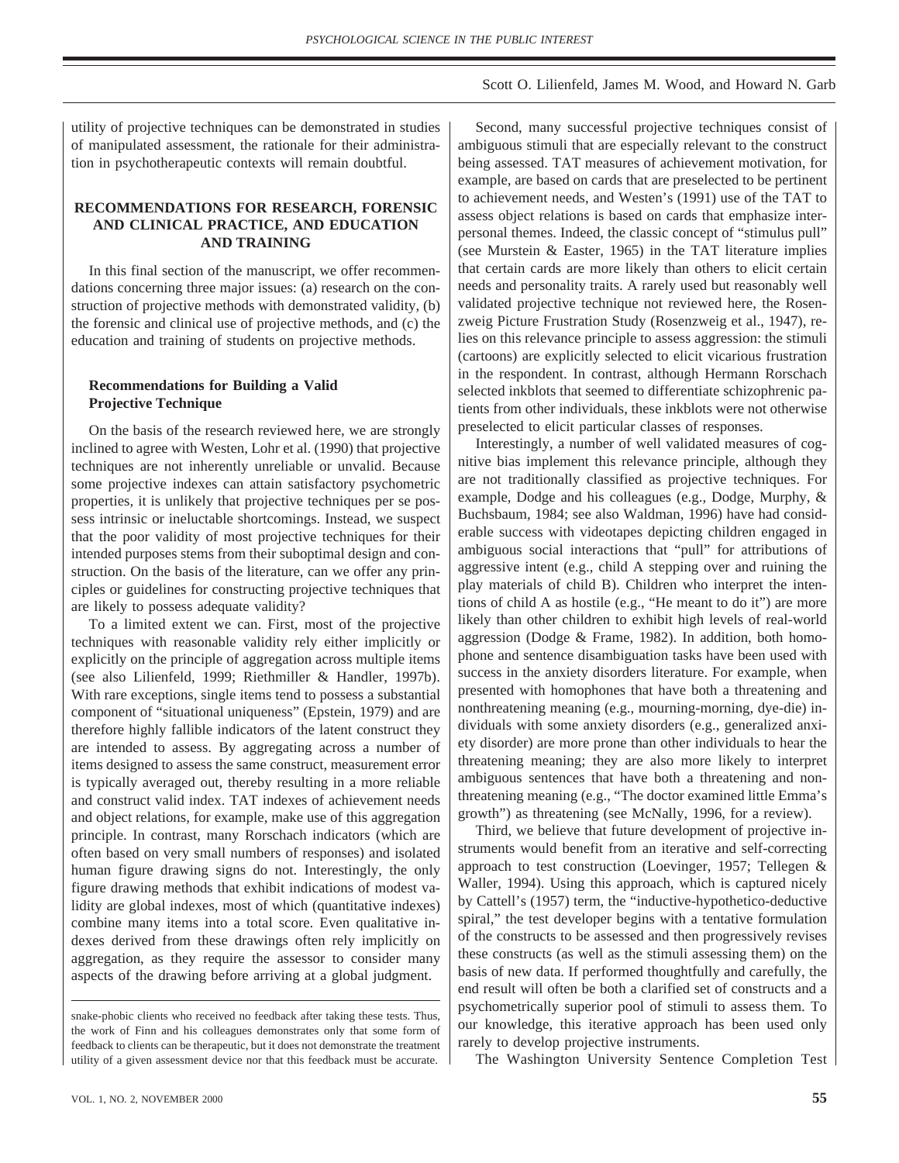utility of projective techniques can be demonstrated in studies of manipulated assessment, the rationale for their administration in psychotherapeutic contexts will remain doubtful.

# **RECOMMENDATIONS FOR RESEARCH, FORENSIC AND CLINICAL PRACTICE, AND EDUCATION AND TRAINING**

In this final section of the manuscript, we offer recommendations concerning three major issues: (a) research on the construction of projective methods with demonstrated validity, (b) the forensic and clinical use of projective methods, and (c) the education and training of students on projective methods.

# **Recommendations for Building a Valid Projective Technique**

On the basis of the research reviewed here, we are strongly inclined to agree with Westen, Lohr et al. (1990) that projective techniques are not inherently unreliable or unvalid. Because some projective indexes can attain satisfactory psychometric properties, it is unlikely that projective techniques per se possess intrinsic or ineluctable shortcomings. Instead, we suspect that the poor validity of most projective techniques for their intended purposes stems from their suboptimal design and construction. On the basis of the literature, can we offer any principles or guidelines for constructing projective techniques that are likely to possess adequate validity?

To a limited extent we can. First, most of the projective techniques with reasonable validity rely either implicitly or explicitly on the principle of aggregation across multiple items (see also Lilienfeld, 1999; Riethmiller & Handler, 1997b). With rare exceptions, single items tend to possess a substantial component of "situational uniqueness" (Epstein, 1979) and are therefore highly fallible indicators of the latent construct they are intended to assess. By aggregating across a number of items designed to assess the same construct, measurement error is typically averaged out, thereby resulting in a more reliable and construct valid index. TAT indexes of achievement needs and object relations, for example, make use of this aggregation principle. In contrast, many Rorschach indicators (which are often based on very small numbers of responses) and isolated human figure drawing signs do not. Interestingly, the only figure drawing methods that exhibit indications of modest validity are global indexes, most of which (quantitative indexes) combine many items into a total score. Even qualitative indexes derived from these drawings often rely implicitly on aggregation, as they require the assessor to consider many aspects of the drawing before arriving at a global judgment.

Second, many successful projective techniques consist of ambiguous stimuli that are especially relevant to the construct being assessed. TAT measures of achievement motivation, for example, are based on cards that are preselected to be pertinent to achievement needs, and Westen's (1991) use of the TAT to assess object relations is based on cards that emphasize interpersonal themes. Indeed, the classic concept of "stimulus pull" (see Murstein & Easter, 1965) in the TAT literature implies that certain cards are more likely than others to elicit certain needs and personality traits. A rarely used but reasonably well validated projective technique not reviewed here, the Rosenzweig Picture Frustration Study (Rosenzweig et al., 1947), relies on this relevance principle to assess aggression: the stimuli (cartoons) are explicitly selected to elicit vicarious frustration in the respondent. In contrast, although Hermann Rorschach selected inkblots that seemed to differentiate schizophrenic patients from other individuals, these inkblots were not otherwise preselected to elicit particular classes of responses.

Interestingly, a number of well validated measures of cognitive bias implement this relevance principle, although they are not traditionally classified as projective techniques. For example, Dodge and his colleagues (e.g., Dodge, Murphy, & Buchsbaum, 1984; see also Waldman, 1996) have had considerable success with videotapes depicting children engaged in ambiguous social interactions that "pull" for attributions of aggressive intent (e.g., child A stepping over and ruining the play materials of child B). Children who interpret the intentions of child A as hostile (e.g., "He meant to do it") are more likely than other children to exhibit high levels of real-world aggression (Dodge & Frame, 1982). In addition, both homophone and sentence disambiguation tasks have been used with success in the anxiety disorders literature. For example, when presented with homophones that have both a threatening and nonthreatening meaning (e.g., mourning-morning, dye-die) individuals with some anxiety disorders (e.g., generalized anxiety disorder) are more prone than other individuals to hear the threatening meaning; they are also more likely to interpret ambiguous sentences that have both a threatening and nonthreatening meaning (e.g., "The doctor examined little Emma's growth") as threatening (see McNally, 1996, for a review).

Third, we believe that future development of projective instruments would benefit from an iterative and self-correcting approach to test construction (Loevinger, 1957; Tellegen & Waller, 1994). Using this approach, which is captured nicely by Cattell's (1957) term, the "inductive-hypothetico-deductive spiral," the test developer begins with a tentative formulation of the constructs to be assessed and then progressively revises these constructs (as well as the stimuli assessing them) on the basis of new data. If performed thoughtfully and carefully, the end result will often be both a clarified set of constructs and a psychometrically superior pool of stimuli to assess them. To our knowledge, this iterative approach has been used only rarely to develop projective instruments.

The Washington University Sentence Completion Test

snake-phobic clients who received no feedback after taking these tests. Thus, the work of Finn and his colleagues demonstrates only that some form of feedback to clients can be therapeutic, but it does not demonstrate the treatment utility of a given assessment device nor that this feedback must be accurate.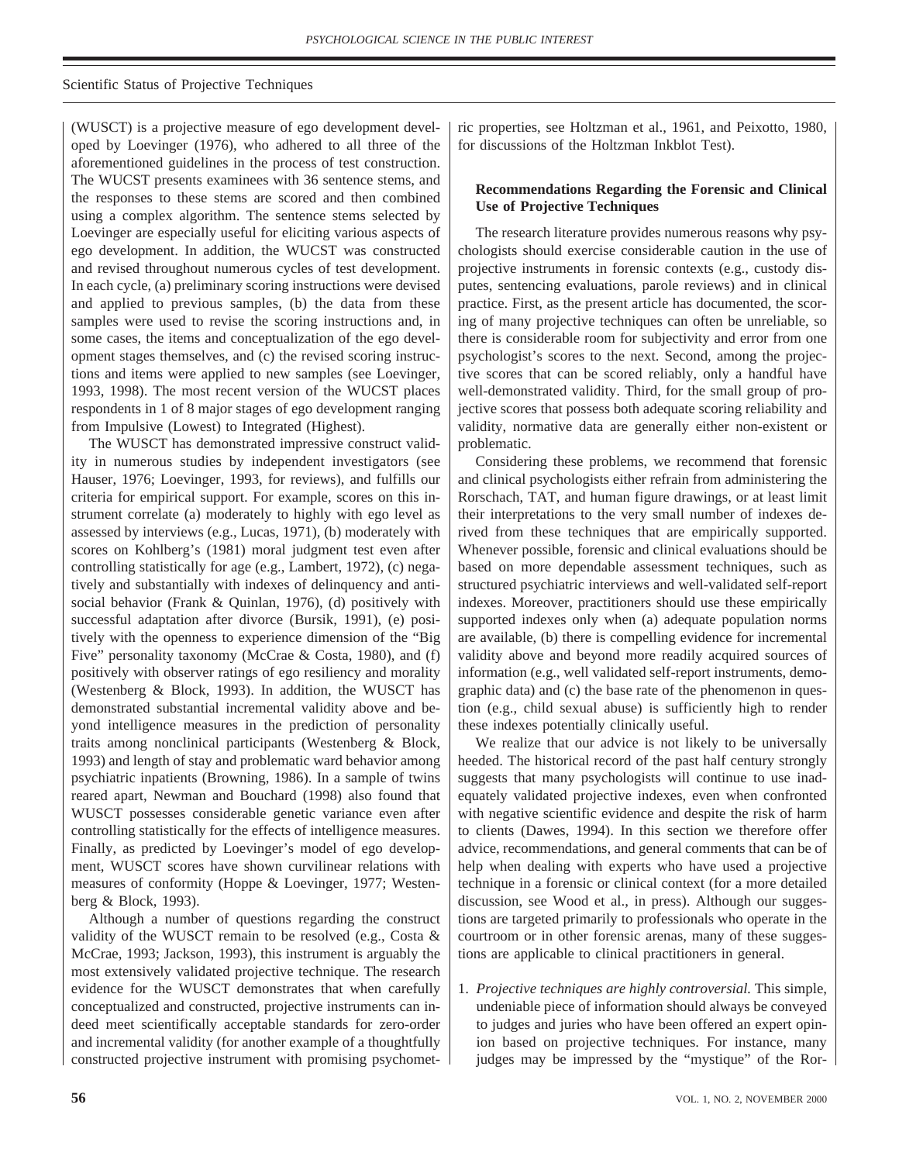(WUSCT) is a projective measure of ego development developed by Loevinger (1976), who adhered to all three of the aforementioned guidelines in the process of test construction. The WUCST presents examinees with 36 sentence stems, and the responses to these stems are scored and then combined using a complex algorithm. The sentence stems selected by Loevinger are especially useful for eliciting various aspects of ego development. In addition, the WUCST was constructed and revised throughout numerous cycles of test development. In each cycle, (a) preliminary scoring instructions were devised and applied to previous samples, (b) the data from these samples were used to revise the scoring instructions and, in some cases, the items and conceptualization of the ego development stages themselves, and (c) the revised scoring instructions and items were applied to new samples (see Loevinger, 1993, 1998). The most recent version of the WUCST places respondents in 1 of 8 major stages of ego development ranging from Impulsive (Lowest) to Integrated (Highest).

The WUSCT has demonstrated impressive construct validity in numerous studies by independent investigators (see Hauser, 1976; Loevinger, 1993, for reviews), and fulfills our criteria for empirical support. For example, scores on this instrument correlate (a) moderately to highly with ego level as assessed by interviews (e.g., Lucas, 1971), (b) moderately with scores on Kohlberg's (1981) moral judgment test even after controlling statistically for age (e.g., Lambert, 1972), (c) negatively and substantially with indexes of delinquency and antisocial behavior (Frank & Quinlan, 1976), (d) positively with successful adaptation after divorce (Bursik, 1991), (e) positively with the openness to experience dimension of the "Big Five" personality taxonomy (McCrae & Costa, 1980), and (f) positively with observer ratings of ego resiliency and morality (Westenberg & Block, 1993). In addition, the WUSCT has demonstrated substantial incremental validity above and beyond intelligence measures in the prediction of personality traits among nonclinical participants (Westenberg & Block, 1993) and length of stay and problematic ward behavior among psychiatric inpatients (Browning, 1986). In a sample of twins reared apart, Newman and Bouchard (1998) also found that WUSCT possesses considerable genetic variance even after controlling statistically for the effects of intelligence measures. Finally, as predicted by Loevinger's model of ego development, WUSCT scores have shown curvilinear relations with measures of conformity (Hoppe & Loevinger, 1977; Westenberg & Block, 1993).

Although a number of questions regarding the construct validity of the WUSCT remain to be resolved (e.g., Costa & McCrae, 1993; Jackson, 1993), this instrument is arguably the most extensively validated projective technique. The research evidence for the WUSCT demonstrates that when carefully conceptualized and constructed, projective instruments can indeed meet scientifically acceptable standards for zero-order and incremental validity (for another example of a thoughtfully constructed projective instrument with promising psychometric properties, see Holtzman et al., 1961, and Peixotto, 1980, for discussions of the Holtzman Inkblot Test).

# **Recommendations Regarding the Forensic and Clinical Use of Projective Techniques**

The research literature provides numerous reasons why psychologists should exercise considerable caution in the use of projective instruments in forensic contexts (e.g., custody disputes, sentencing evaluations, parole reviews) and in clinical practice. First, as the present article has documented, the scoring of many projective techniques can often be unreliable, so there is considerable room for subjectivity and error from one psychologist's scores to the next. Second, among the projective scores that can be scored reliably, only a handful have well-demonstrated validity. Third, for the small group of projective scores that possess both adequate scoring reliability and validity, normative data are generally either non-existent or problematic.

Considering these problems, we recommend that forensic and clinical psychologists either refrain from administering the Rorschach, TAT, and human figure drawings, or at least limit their interpretations to the very small number of indexes derived from these techniques that are empirically supported. Whenever possible, forensic and clinical evaluations should be based on more dependable assessment techniques, such as structured psychiatric interviews and well-validated self-report indexes. Moreover, practitioners should use these empirically supported indexes only when (a) adequate population norms are available, (b) there is compelling evidence for incremental validity above and beyond more readily acquired sources of information (e.g., well validated self-report instruments, demographic data) and (c) the base rate of the phenomenon in question (e.g., child sexual abuse) is sufficiently high to render these indexes potentially clinically useful.

We realize that our advice is not likely to be universally heeded. The historical record of the past half century strongly suggests that many psychologists will continue to use inadequately validated projective indexes, even when confronted with negative scientific evidence and despite the risk of harm to clients (Dawes, 1994). In this section we therefore offer advice, recommendations, and general comments that can be of help when dealing with experts who have used a projective technique in a forensic or clinical context (for a more detailed discussion, see Wood et al., in press). Although our suggestions are targeted primarily to professionals who operate in the courtroom or in other forensic arenas, many of these suggestions are applicable to clinical practitioners in general.

1. *Projective techniques are highly controversial.* This simple, undeniable piece of information should always be conveyed to judges and juries who have been offered an expert opinion based on projective techniques. For instance, many judges may be impressed by the "mystique" of the Ror-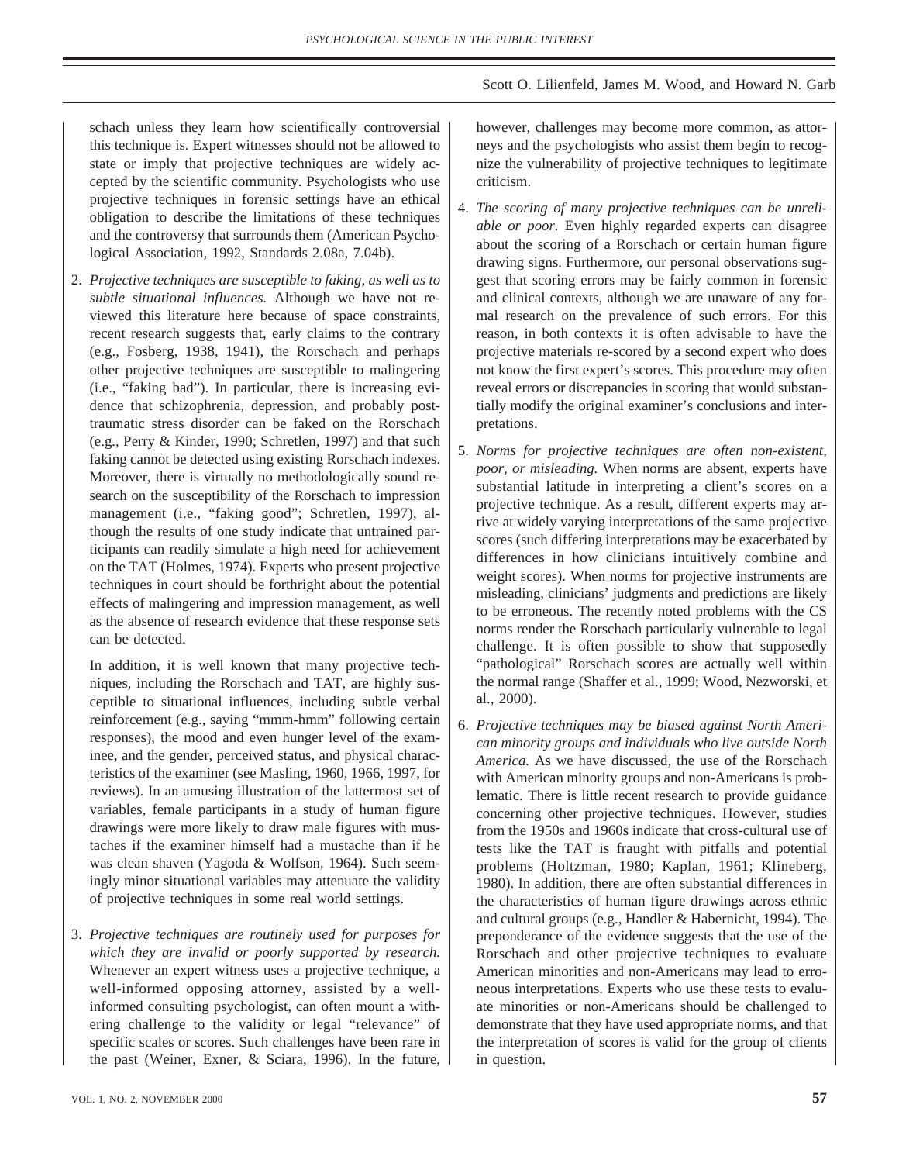schach unless they learn how scientifically controversial this technique is. Expert witnesses should not be allowed to state or imply that projective techniques are widely accepted by the scientific community. Psychologists who use projective techniques in forensic settings have an ethical obligation to describe the limitations of these techniques and the controversy that surrounds them (American Psychological Association, 1992, Standards 2.08a, 7.04b).

2. *Projective techniques are susceptible to faking, as well as to subtle situational influences.* Although we have not reviewed this literature here because of space constraints, recent research suggests that, early claims to the contrary (e.g., Fosberg, 1938, 1941), the Rorschach and perhaps other projective techniques are susceptible to malingering (i.e., "faking bad"). In particular, there is increasing evidence that schizophrenia, depression, and probably posttraumatic stress disorder can be faked on the Rorschach (e.g., Perry & Kinder, 1990; Schretlen, 1997) and that such faking cannot be detected using existing Rorschach indexes. Moreover, there is virtually no methodologically sound research on the susceptibility of the Rorschach to impression management (i.e., "faking good"; Schretlen, 1997), although the results of one study indicate that untrained participants can readily simulate a high need for achievement on the TAT (Holmes, 1974). Experts who present projective techniques in court should be forthright about the potential effects of malingering and impression management, as well as the absence of research evidence that these response sets can be detected.

In addition, it is well known that many projective techniques, including the Rorschach and TAT, are highly susceptible to situational influences, including subtle verbal reinforcement (e.g., saying "mmm-hmm" following certain responses), the mood and even hunger level of the examinee, and the gender, perceived status, and physical characteristics of the examiner (see Masling, 1960, 1966, 1997, for reviews). In an amusing illustration of the lattermost set of variables, female participants in a study of human figure drawings were more likely to draw male figures with mustaches if the examiner himself had a mustache than if he was clean shaven (Yagoda & Wolfson, 1964). Such seemingly minor situational variables may attenuate the validity of projective techniques in some real world settings.

3. *Projective techniques are routinely used for purposes for which they are invalid or poorly supported by research.* Whenever an expert witness uses a projective technique, a well-informed opposing attorney, assisted by a wellinformed consulting psychologist, can often mount a withering challenge to the validity or legal "relevance" of specific scales or scores. Such challenges have been rare in the past (Weiner, Exner, & Sciara, 1996). In the future, however, challenges may become more common, as attorneys and the psychologists who assist them begin to recognize the vulnerability of projective techniques to legitimate criticism.

- 4. *The scoring of many projective techniques can be unreliable or poor.* Even highly regarded experts can disagree about the scoring of a Rorschach or certain human figure drawing signs. Furthermore, our personal observations suggest that scoring errors may be fairly common in forensic and clinical contexts, although we are unaware of any formal research on the prevalence of such errors. For this reason, in both contexts it is often advisable to have the projective materials re-scored by a second expert who does not know the first expert's scores. This procedure may often reveal errors or discrepancies in scoring that would substantially modify the original examiner's conclusions and interpretations.
- 5. *Norms for projective techniques are often non-existent, poor, or misleading.* When norms are absent, experts have substantial latitude in interpreting a client's scores on a projective technique. As a result, different experts may arrive at widely varying interpretations of the same projective scores (such differing interpretations may be exacerbated by differences in how clinicians intuitively combine and weight scores). When norms for projective instruments are misleading, clinicians' judgments and predictions are likely to be erroneous. The recently noted problems with the CS norms render the Rorschach particularly vulnerable to legal challenge. It is often possible to show that supposedly "pathological" Rorschach scores are actually well within the normal range (Shaffer et al., 1999; Wood, Nezworski, et al., 2000).
- 6. *Projective techniques may be biased against North American minority groups and individuals who live outside North America.* As we have discussed, the use of the Rorschach with American minority groups and non-Americans is problematic. There is little recent research to provide guidance concerning other projective techniques. However, studies from the 1950s and 1960s indicate that cross-cultural use of tests like the TAT is fraught with pitfalls and potential problems (Holtzman, 1980; Kaplan, 1961; Klineberg, 1980). In addition, there are often substantial differences in the characteristics of human figure drawings across ethnic and cultural groups (e.g., Handler & Habernicht, 1994). The preponderance of the evidence suggests that the use of the Rorschach and other projective techniques to evaluate American minorities and non-Americans may lead to erroneous interpretations. Experts who use these tests to evaluate minorities or non-Americans should be challenged to demonstrate that they have used appropriate norms, and that the interpretation of scores is valid for the group of clients in question.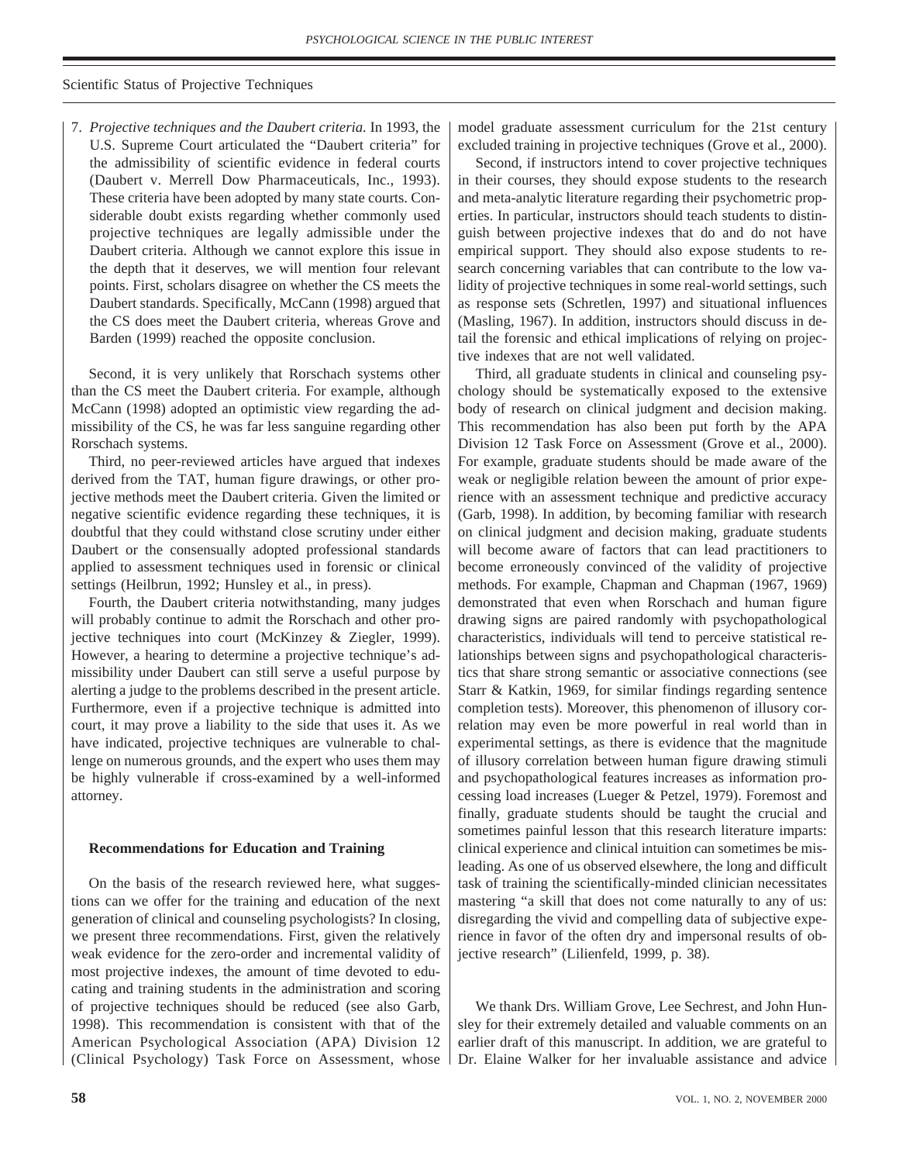7. *Projective techniques and the Daubert criteria.* In 1993, the U.S. Supreme Court articulated the "Daubert criteria" for the admissibility of scientific evidence in federal courts (Daubert v. Merrell Dow Pharmaceuticals, Inc., 1993). These criteria have been adopted by many state courts. Considerable doubt exists regarding whether commonly used projective techniques are legally admissible under the Daubert criteria. Although we cannot explore this issue in the depth that it deserves, we will mention four relevant points. First, scholars disagree on whether the CS meets the Daubert standards. Specifically, McCann (1998) argued that the CS does meet the Daubert criteria, whereas Grove and Barden (1999) reached the opposite conclusion.

Second, it is very unlikely that Rorschach systems other than the CS meet the Daubert criteria. For example, although McCann (1998) adopted an optimistic view regarding the admissibility of the CS, he was far less sanguine regarding other Rorschach systems.

Third, no peer-reviewed articles have argued that indexes derived from the TAT, human figure drawings, or other projective methods meet the Daubert criteria. Given the limited or negative scientific evidence regarding these techniques, it is doubtful that they could withstand close scrutiny under either Daubert or the consensually adopted professional standards applied to assessment techniques used in forensic or clinical settings (Heilbrun, 1992; Hunsley et al., in press).

Fourth, the Daubert criteria notwithstanding, many judges will probably continue to admit the Rorschach and other projective techniques into court (McKinzey & Ziegler, 1999). However, a hearing to determine a projective technique's admissibility under Daubert can still serve a useful purpose by alerting a judge to the problems described in the present article. Furthermore, even if a projective technique is admitted into court, it may prove a liability to the side that uses it. As we have indicated, projective techniques are vulnerable to challenge on numerous grounds, and the expert who uses them may be highly vulnerable if cross-examined by a well-informed attorney.

## **Recommendations for Education and Training**

On the basis of the research reviewed here, what suggestions can we offer for the training and education of the next generation of clinical and counseling psychologists? In closing, we present three recommendations. First, given the relatively weak evidence for the zero-order and incremental validity of most projective indexes, the amount of time devoted to educating and training students in the administration and scoring of projective techniques should be reduced (see also Garb, 1998). This recommendation is consistent with that of the American Psychological Association (APA) Division 12 (Clinical Psychology) Task Force on Assessment, whose

model graduate assessment curriculum for the 21st century excluded training in projective techniques (Grove et al., 2000).

Second, if instructors intend to cover projective techniques in their courses, they should expose students to the research and meta-analytic literature regarding their psychometric properties. In particular, instructors should teach students to distinguish between projective indexes that do and do not have empirical support. They should also expose students to research concerning variables that can contribute to the low validity of projective techniques in some real-world settings, such as response sets (Schretlen, 1997) and situational influences (Masling, 1967). In addition, instructors should discuss in detail the forensic and ethical implications of relying on projective indexes that are not well validated.

Third, all graduate students in clinical and counseling psychology should be systematically exposed to the extensive body of research on clinical judgment and decision making. This recommendation has also been put forth by the APA Division 12 Task Force on Assessment (Grove et al., 2000). For example, graduate students should be made aware of the weak or negligible relation beween the amount of prior experience with an assessment technique and predictive accuracy (Garb, 1998). In addition, by becoming familiar with research on clinical judgment and decision making, graduate students will become aware of factors that can lead practitioners to become erroneously convinced of the validity of projective methods. For example, Chapman and Chapman (1967, 1969) demonstrated that even when Rorschach and human figure drawing signs are paired randomly with psychopathological characteristics, individuals will tend to perceive statistical relationships between signs and psychopathological characteristics that share strong semantic or associative connections (see Starr & Katkin, 1969, for similar findings regarding sentence completion tests). Moreover, this phenomenon of illusory correlation may even be more powerful in real world than in experimental settings, as there is evidence that the magnitude of illusory correlation between human figure drawing stimuli and psychopathological features increases as information processing load increases (Lueger & Petzel, 1979). Foremost and finally, graduate students should be taught the crucial and sometimes painful lesson that this research literature imparts: clinical experience and clinical intuition can sometimes be misleading. As one of us observed elsewhere, the long and difficult task of training the scientifically-minded clinician necessitates mastering "a skill that does not come naturally to any of us: disregarding the vivid and compelling data of subjective experience in favor of the often dry and impersonal results of objective research" (Lilienfeld, 1999, p. 38).

We thank Drs. William Grove, Lee Sechrest, and John Hunsley for their extremely detailed and valuable comments on an earlier draft of this manuscript. In addition, we are grateful to Dr. Elaine Walker for her invaluable assistance and advice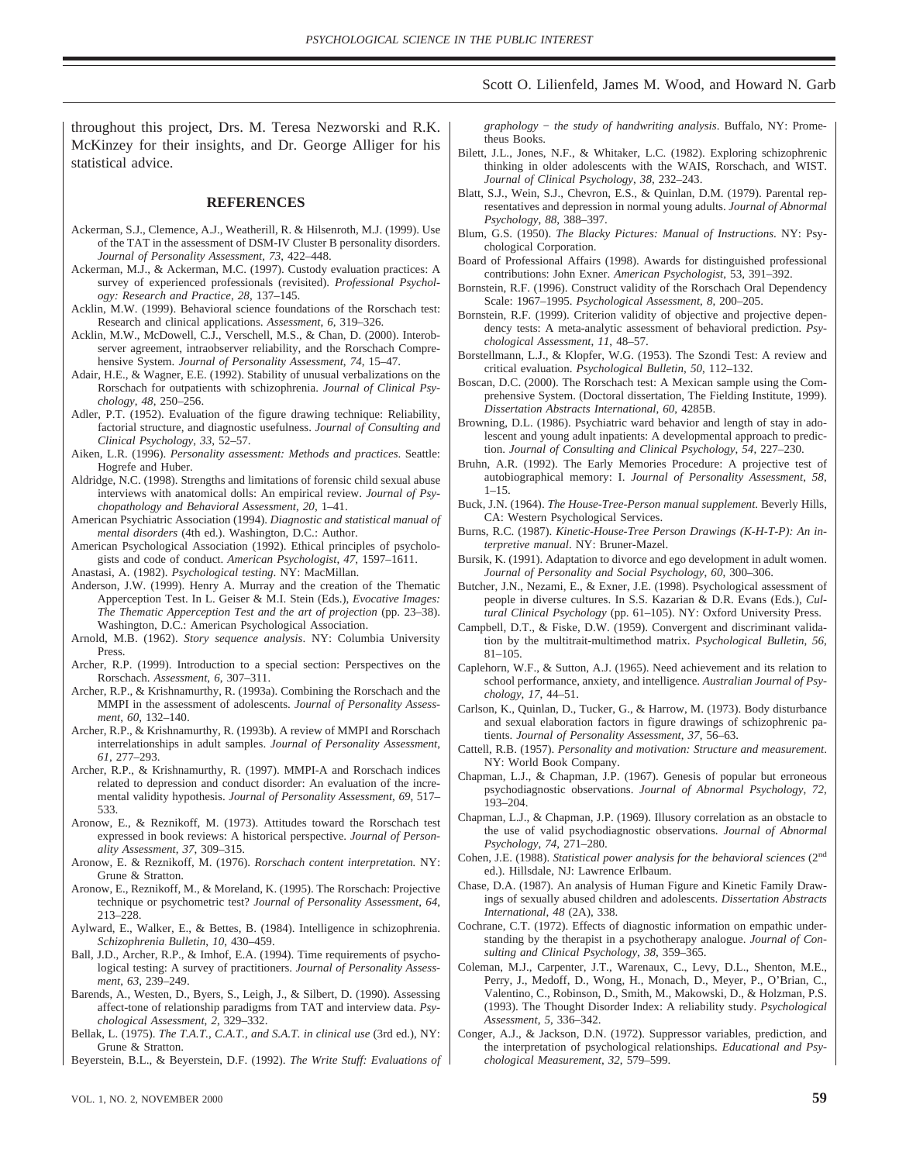throughout this project, Drs. M. Teresa Nezworski and R.K. McKinzey for their insights, and Dr. George Alliger for his statistical advice.

#### **REFERENCES**

- Ackerman, S.J., Clemence, A.J., Weatherill, R. & Hilsenroth, M.J. (1999). Use of the TAT in the assessment of DSM-IV Cluster B personality disorders. *Journal of Personality Assessment*, *73*, 422–448.
- Ackerman, M.J., & Ackerman, M.C. (1997). Custody evaluation practices: A survey of experienced professionals (revisited). *Professional Psychology: Research and Practice*, *28*, 137–145.
- Acklin, M.W. (1999). Behavioral science foundations of the Rorschach test: Research and clinical applications. *Assessment*, *6*, 319–326.
- Acklin, M.W., McDowell, C.J., Verschell, M.S., & Chan, D. (2000). Interobserver agreement, intraobserver reliability, and the Rorschach Comprehensive System. *Journal of Personality Assessment*, *74*, 15–47.
- Adair, H.E., & Wagner, E.E. (1992). Stability of unusual verbalizations on the Rorschach for outpatients with schizophrenia. *Journal of Clinical Psychology*, *48*, 250–256.
- Adler, P.T. (1952). Evaluation of the figure drawing technique: Reliability, factorial structure, and diagnostic usefulness. *Journal of Consulting and Clinical Psychology*, *33*, 52–57.
- Aiken, L.R. (1996). *Personality assessment: Methods and practices*. Seattle: Hogrefe and Huber.
- Aldridge, N.C. (1998). Strengths and limitations of forensic child sexual abuse interviews with anatomical dolls: An empirical review. *Journal of Psychopathology and Behavioral Assessment*, *20*, 1–41.
- American Psychiatric Association (1994). *Diagnostic and statistical manual of mental disorders* (4th ed.). Washington, D.C.: Author.
- American Psychological Association (1992). Ethical principles of psychologists and code of conduct. *American Psychologist*, *47*, 1597–1611.
- Anastasi, A. (1982). *Psychological testing*. NY: MacMillan.
- Anderson, J.W. (1999). Henry A. Murray and the creation of the Thematic Apperception Test. In L. Geiser & M.I. Stein (Eds.), *Evocative Images: The Thematic Apperception Test and the art of projection* (pp. 23–38). Washington, D.C.: American Psychological Association.
- Arnold, M.B. (1962). *Story sequence analysis*. NY: Columbia University Press.
- Archer, R.P. (1999). Introduction to a special section: Perspectives on the Rorschach. *Assessment*, *6*, 307–311.
- Archer, R.P., & Krishnamurthy, R. (1993a). Combining the Rorschach and the MMPI in the assessment of adolescents. *Journal of Personality Assessment*, *60*, 132–140.
- Archer, R.P., & Krishnamurthy, R. (1993b). A review of MMPI and Rorschach interrelationships in adult samples. *Journal of Personality Assessment*, *61*, 277–293.
- Archer, R.P., & Krishnamurthy, R. (1997). MMPI-A and Rorschach indices related to depression and conduct disorder: An evaluation of the incremental validity hypothesis. *Journal of Personality Assessment*, *69*, 517– 533.
- Aronow, E., & Reznikoff, M. (1973). Attitudes toward the Rorschach test expressed in book reviews: A historical perspective. *Journal of Personality Assessment*, *37*, 309–315.
- Aronow, E. & Reznikoff, M. (1976). *Rorschach content interpretation.* NY: Grune & Stratton.
- Aronow, E., Reznikoff, M., & Moreland, K. (1995). The Rorschach: Projective technique or psychometric test? *Journal of Personality Assessment*, *64*, 213–228.
- Aylward, E., Walker, E., & Bettes, B. (1984). Intelligence in schizophrenia. *Schizophrenia Bulletin*, *10*, 430–459.
- Ball, J.D., Archer, R.P., & Imhof, E.A. (1994). Time requirements of psychological testing: A survey of practitioners. *Journal of Personality Assessment*, *63*, 239–249.
- Barends, A., Westen, D., Byers, S., Leigh, J., & Silbert, D. (1990). Assessing affect-tone of relationship paradigms from TAT and interview data. *Psychological Assessment*, *2*, 329–332.
- Bellak, L. (1975). *The T.A.T., C.A.T., and S.A.T. in clinical use* (3rd ed.), NY: Grune & Stratton.
- Beyerstein, B.L., & Beyerstein, D.F. (1992). *The Write Stuff: Evaluations of*

*graphology* − *the study of handwriting analysis*. Buffalo, NY: Prometheus Books.

- Bilett, J.L., Jones, N.F., & Whitaker, L.C. (1982). Exploring schizophrenic thinking in older adolescents with the WAIS, Rorschach, and WIST. *Journal of Clinical Psychology*, *38*, 232–243.
- Blatt, S.J., Wein, S.J., Chevron, E.S., & Quinlan, D.M. (1979). Parental representatives and depression in normal young adults. *Journal of Abnormal Psychology*, *88*, 388–397.
- Blum, G.S. (1950). *The Blacky Pictures: Manual of Instructions*. NY: Psychological Corporation.
- Board of Professional Affairs (1998). Awards for distinguished professional contributions: John Exner. *American Psychologist*, 53, 391–392.
- Bornstein, R.F. (1996). Construct validity of the Rorschach Oral Dependency Scale: 1967–1995. *Psychological Assessment*, *8*, 200–205.
- Bornstein, R.F. (1999). Criterion validity of objective and projective dependency tests: A meta-analytic assessment of behavioral prediction. *Psychological Assessment*, *11*, 48–57.
- Borstellmann, L.J., & Klopfer, W.G. (1953). The Szondi Test: A review and critical evaluation. *Psychological Bulletin*, *50*, 112–132.
- Boscan, D.C. (2000). The Rorschach test: A Mexican sample using the Comprehensive System. (Doctoral dissertation, The Fielding Institute, 1999). *Dissertation Abstracts International*, *60*, 4285B.
- Browning, D.L. (1986). Psychiatric ward behavior and length of stay in adolescent and young adult inpatients: A developmental approach to prediction. *Journal of Consulting and Clinical Psychology*, *54*, 227–230.
- Bruhn, A.R. (1992). The Early Memories Procedure: A projective test of autobiographical memory: I. *Journal of Personality Assessment*, *58*,  $1 - 15$
- Buck, J.N. (1964). *The House-Tree-Person manual supplement*. Beverly Hills, CA: Western Psychological Services.
- Burns, R.C. (1987). *Kinetic-House-Tree Person Drawings (K-H-T-P): An interpretive manual*. NY: Bruner-Mazel.
- Bursik, K. (1991). Adaptation to divorce and ego development in adult women. *Journal of Personality and Social Psychology*, *60*, 300–306.
- Butcher, J.N., Nezami, E., & Exner, J.E. (1998). Psychological assessment of people in diverse cultures. In S.S. Kazarian & D.R. Evans (Eds.), *Cultural Clinical Psychology* (pp. 61–105). NY: Oxford University Press.
- Campbell, D.T., & Fiske, D.W. (1959). Convergent and discriminant validation by the multitrait-multimethod matrix. *Psychological Bulletin*, *56*, 81–105.
- Caplehorn, W.F., & Sutton, A.J. (1965). Need achievement and its relation to school performance, anxiety, and intelligence. *Australian Journal of Psychology*, *17*, 44–51.
- Carlson, K., Quinlan, D., Tucker, G., & Harrow, M. (1973). Body disturbance and sexual elaboration factors in figure drawings of schizophrenic patients. *Journal of Personality Assessment*, *37*, 56–63.
- Cattell, R.B. (1957). *Personality and motivation: Structure and measurement*. NY: World Book Company.
- Chapman, L.J., & Chapman, J.P. (1967). Genesis of popular but erroneous psychodiagnostic observations. *Journal of Abnormal Psychology*, *72*, 193–204.
- Chapman, L.J., & Chapman, J.P. (1969). Illusory correlation as an obstacle to the use of valid psychodiagnostic observations. *Journal of Abnormal Psychology*, *74*, 271–280.
- Cohen, J.E. (1988). *Statistical power analysis for the behavioral sciences* (2nd ed.). Hillsdale, NJ: Lawrence Erlbaum.
- Chase, D.A. (1987). An analysis of Human Figure and Kinetic Family Drawings of sexually abused children and adolescents. *Dissertation Abstracts International*, *48* (2A), 338.
- Cochrane, C.T. (1972). Effects of diagnostic information on empathic understanding by the therapist in a psychotherapy analogue. *Journal of Consulting and Clinical Psychology*, *38*, 359–365.
- Coleman, M.J., Carpenter, J.T., Warenaux, C., Levy, D.L., Shenton, M.E., Perry, J., Medoff, D., Wong, H., Monach, D., Meyer, P., O'Brian, C., Valentino, C., Robinson, D., Smith, M., Makowski, D., & Holzman, P.S. (1993). The Thought Disorder Index: A reliability study. *Psychological Assessment*, *5*, 336–342.
- Conger, A.J., & Jackson, D.N. (1972). Suppressor variables, prediction, and the interpretation of psychological relationships. *Educational and Psychological Measurement*, *32*, 579–599.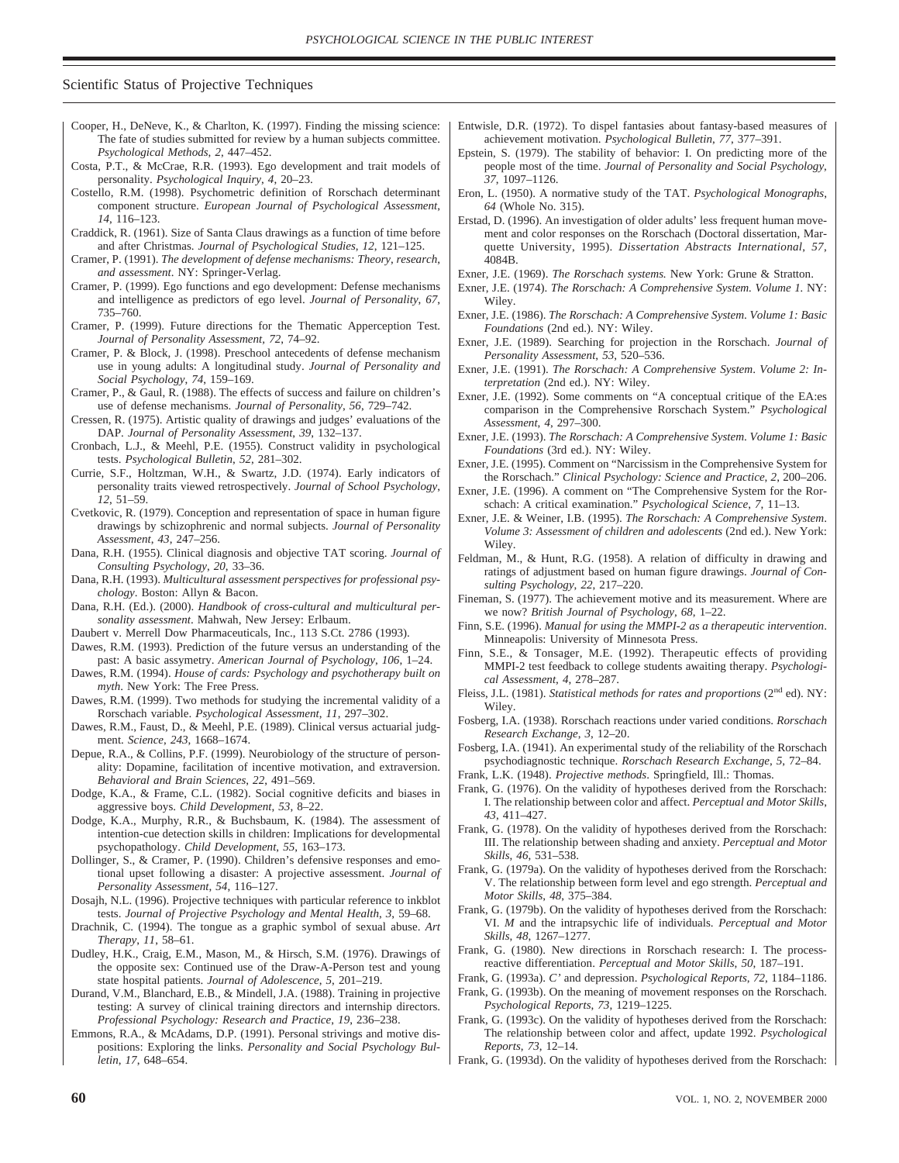- Cooper, H., DeNeve, K., & Charlton, K. (1997). Finding the missing science: The fate of studies submitted for review by a human subjects committee. *Psychological Methods*, *2*, 447–452.
- Costa, P.T., & McCrae, R.R. (1993). Ego development and trait models of personality. *Psychological Inquiry*, *4*, 20–23.
- Costello, R.M. (1998). Psychometric definition of Rorschach determinant component structure. *European Journal of Psychological Assessment*, *14*, 116–123.
- Craddick, R. (1961). Size of Santa Claus drawings as a function of time before and after Christmas. *Journal of Psychological Studies*, *12*, 121–125.
- Cramer, P. (1991). *The development of defense mechanisms: Theory*, *research*, *and assessment*. NY: Springer-Verlag.
- Cramer, P. (1999). Ego functions and ego development: Defense mechanisms and intelligence as predictors of ego level. *Journal of Personality*, *67*, 735–760.
- Cramer, P. (1999). Future directions for the Thematic Apperception Test. *Journal of Personality Assessment, 72*, 74–92.
- Cramer, P. & Block, J. (1998). Preschool antecedents of defense mechanism use in young adults: A longitudinal study. *Journal of Personality and Social Psychology*, *74*, 159–169.
- Cramer, P., & Gaul, R. (1988). The effects of success and failure on children's use of defense mechanisms. *Journal of Personality*, *56*, 729–742.
- Cressen, R. (1975). Artistic quality of drawings and judges' evaluations of the DAP. *Journal of Personality Assessment*, *39*, 132–137.
- Cronbach, L.J., & Meehl, P.E. (1955). Construct validity in psychological tests. *Psychological Bulletin*, *52*, 281–302.
- Currie, S.F., Holtzman, W.H., & Swartz, J.D. (1974). Early indicators of personality traits viewed retrospectively. *Journal of School Psychology*, *12*, 51–59.
- Cvetkovic, R. (1979). Conception and representation of space in human figure drawings by schizophrenic and normal subjects. *Journal of Personality Assessment*, *43*, 247–256.
- Dana, R.H. (1955). Clinical diagnosis and objective TAT scoring. *Journal of Consulting Psychology*, *20*, 33–36.
- Dana, R.H. (1993). *Multicultural assessment perspectives for professional psychology*. Boston: Allyn & Bacon.
- Dana, R.H. (Ed.). (2000). *Handbook of cross-cultural and multicultural personality assessment*. Mahwah, New Jersey: Erlbaum.
- Daubert v. Merrell Dow Pharmaceuticals, Inc., 113 S.Ct. 2786 (1993).
- Dawes, R.M. (1993). Prediction of the future versus an understanding of the past: A basic assymetry. *American Journal of Psychology*, *106*, 1–24.
- Dawes, R.M. (1994). *House of cards: Psychology and psychotherapy built on myth*. New York: The Free Press.
- Dawes, R.M. (1999). Two methods for studying the incremental validity of a Rorschach variable. *Psychological Assessment*, *11*, 297–302.
- Dawes, R.M., Faust, D., & Meehl, P.E. (1989). Clinical versus actuarial judgment. *Science*, *243*, 1668–1674.
- Depue, R.A., & Collins, P.F. (1999). Neurobiology of the structure of personality: Dopamine, facilitation of incentive motivation, and extraversion. *Behavioral and Brain Sciences*, *22*, 491–569.
- Dodge, K.A., & Frame, C.L. (1982). Social cognitive deficits and biases in aggressive boys. *Child Development*, *53*, 8–22.
- Dodge, K.A., Murphy, R.R., & Buchsbaum, K. (1984). The assessment of intention-cue detection skills in children: Implications for developmental psychopathology. *Child Development*, *55*, 163–173.
- Dollinger, S., & Cramer, P. (1990). Children's defensive responses and emotional upset following a disaster: A projective assessment. *Journal of Personality Assessment*, *54*, 116–127.
- Dosajh, N.L. (1996). Projective techniques with particular reference to inkblot tests. *Journal of Projective Psychology and Mental Health*, *3*, 59–68.
- Drachnik, C. (1994). The tongue as a graphic symbol of sexual abuse. *Art Therapy*, *11*, 58–61.
- Dudley, H.K., Craig, E.M., Mason, M., & Hirsch, S.M. (1976). Drawings of the opposite sex: Continued use of the Draw-A-Person test and young state hospital patients. *Journal of Adolescence*, *5*, 201–219.
- Durand, V.M., Blanchard, E.B., & Mindell, J.A. (1988). Training in projective testing: A survey of clinical training directors and internship directors. *Professional Psychology: Research and Practice*, *19*, 236–238.
- Emmons, R.A., & McAdams, D.P. (1991). Personal strivings and motive dispositions: Exploring the links. *Personality and Social Psychology Bulletin*, *17*, 648–654.
- Entwisle, D.R. (1972). To dispel fantasies about fantasy-based measures of achievement motivation. *Psychological Bulletin*, *77*, 377–391.
- Epstein, S. (1979). The stability of behavior: I. On predicting more of the people most of the time. *Journal of Personality and Social Psychology*, *37*, 1097–1126.
- Eron, L. (1950). A normative study of the TAT. *Psychological Monographs*, *64* (Whole No. 315).
- Erstad, D. (1996). An investigation of older adults' less frequent human movement and color responses on the Rorschach (Doctoral dissertation, Marquette University, 1995). *Dissertation Abstracts International*, *57*, 4084B.
- Exner, J.E. (1969). *The Rorschach systems.* New York: Grune & Stratton.
- Exner, J.E. (1974). *The Rorschach: A Comprehensive System. Volume 1.* NY: Wiley.
- Exner, J.E. (1986). *The Rorschach: A Comprehensive System*. *Volume 1: Basic Foundations* (2nd ed.). NY: Wiley.
- Exner, J.E. (1989). Searching for projection in the Rorschach. *Journal of Personality Assessment*, *53*, 520–536.
- Exner, J.E. (1991). *The Rorschach: A Comprehensive System*. *Volume 2: Interpretation* (2nd ed.). NY: Wiley.
- Exner, J.E. (1992). Some comments on "A conceptual critique of the EA:es comparison in the Comprehensive Rorschach System." *Psychological Assessment*, *4*, 297–300.
- Exner, J.E. (1993). *The Rorschach: A Comprehensive System*. *Volume 1: Basic Foundations* (3rd ed.). NY: Wiley.
- Exner, J.E. (1995). Comment on "Narcissism in the Comprehensive System for the Rorschach." *Clinical Psychology: Science and Practice*, *2*, 200–206.
- Exner, J.E. (1996). A comment on "The Comprehensive System for the Rorschach: A critical examination." *Psychological Science*, *7*, 11–13.
- Exner, J.E. & Weiner, I.B. (1995). *The Rorschach: A Comprehensive System*. *Volume 3: Assessment of children and adolescents* (2nd ed.). New York: Wiley.
- Feldman, M., & Hunt, R.G. (1958). A relation of difficulty in drawing and ratings of adjustment based on human figure drawings. *Journal of Consulting Psychology*, *22*, 217–220.
- Fineman, S. (1977). The achievement motive and its measurement. Where are we now? *British Journal of Psychology*, *68*, 1–22.
- Finn, S.E. (1996). *Manual for using the MMPI-2 as a therapeutic intervention*. Minneapolis: University of Minnesota Press.
- Finn, S.E., & Tonsager, M.E. (1992). Therapeutic effects of providing MMPI-2 test feedback to college students awaiting therapy. *Psychological Assessment*, *4*, 278–287.
- Fleiss, J.L. (1981). *Statistical methods for rates and proportions* (2nd ed). NY: Wiley.
- Fosberg, I.A. (1938). Rorschach reactions under varied conditions. *Rorschach Research Exchange*, *3*, 12–20.

Fosberg, I.A. (1941). An experimental study of the reliability of the Rorschach psychodiagnostic technique. *Rorschach Research Exchange*, *5*, 72–84.

- Frank, L.K. (1948). *Projective methods*. Springfield, Ill.: Thomas.
- Frank, G. (1976). On the validity of hypotheses derived from the Rorschach: I. The relationship between color and affect. *Perceptual and Motor Skills*, *43*, 411–427.
- Frank, G. (1978). On the validity of hypotheses derived from the Rorschach: III. The relationship between shading and anxiety. *Perceptual and Motor Skills*, *46*, 531–538.
- Frank, G. (1979a). On the validity of hypotheses derived from the Rorschach: V. The relationship between form level and ego strength. *Perceptual and Motor Skills*, *48*, 375–384.
- Frank, G. (1979b). On the validity of hypotheses derived from the Rorschach: VI. *M* and the intrapsychic life of individuals. *Perceptual and Motor Skills*, *48*, 1267–1277.
- Frank, G. (1980). New directions in Rorschach research: I. The processreactive differentiation. *Perceptual and Motor Skills*, *50*, 187–191.
- Frank, G. (1993a). *C'* and depression. *Psychological Reports*, *72*, 1184–1186.
- Frank, G. (1993b). On the meaning of movement responses on the Rorschach. *Psychological Reports*, *73*, 1219–1225.
- Frank, G. (1993c). On the validity of hypotheses derived from the Rorschach: The relationship between color and affect, update 1992. *Psychological Reports*, *73*, 12–14.
- Frank, G. (1993d). On the validity of hypotheses derived from the Rorschach: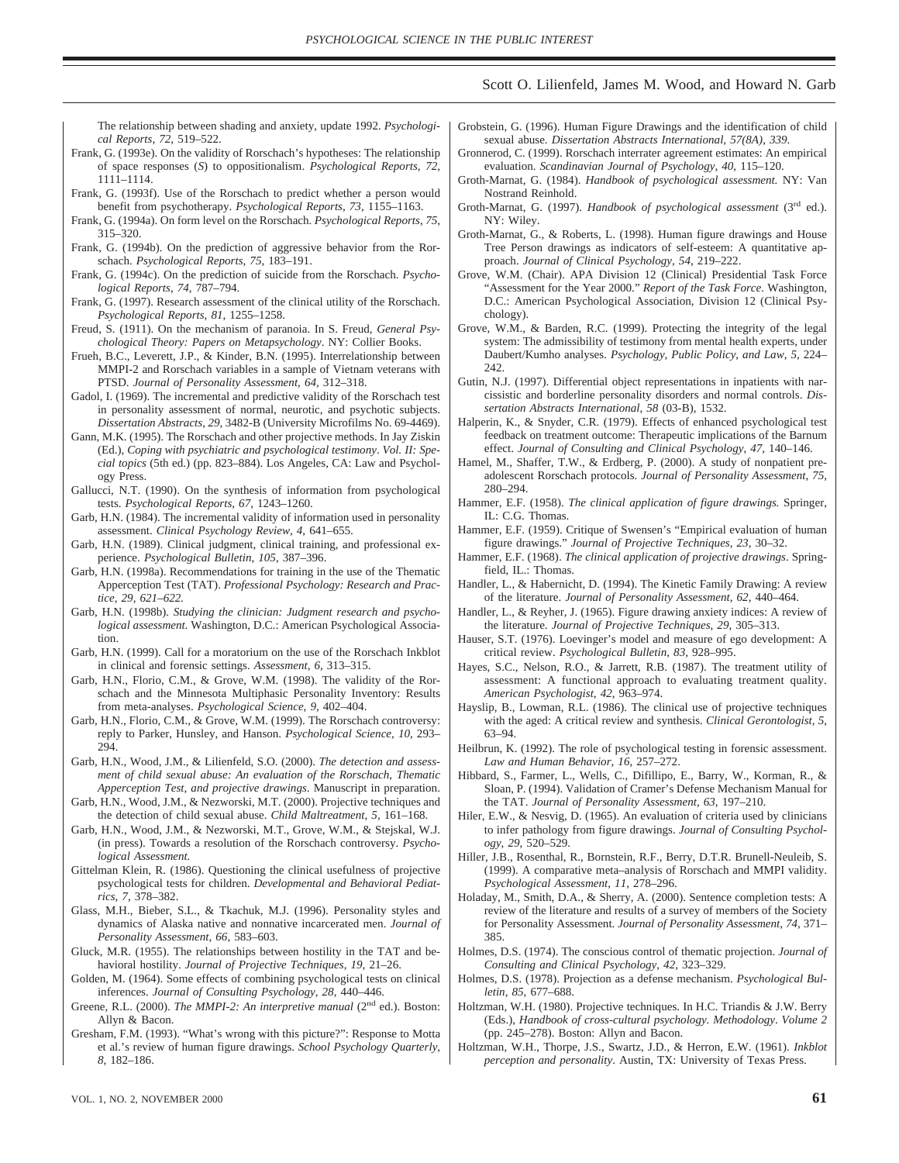The relationship between shading and anxiety, update 1992. *Psychological Reports*, *72*, 519–522.

- Frank, G. (1993e). On the validity of Rorschach's hypotheses: The relationship of space responses (*S*) to oppositionalism. *Psychological Reports*, *72*, 1111–1114.
- Frank, G. (1993f). Use of the Rorschach to predict whether a person would benefit from psychotherapy. *Psychological Reports*, *73*, 1155–1163.
- Frank, G. (1994a). On form level on the Rorschach. *Psychological Reports*, *75*, 315–320.
- Frank, G. (1994b). On the prediction of aggressive behavior from the Rorschach. *Psychological Reports*, *75*, 183–191.
- Frank, G. (1994c). On the prediction of suicide from the Rorschach. *Psychological Reports*, *74*, 787–794.
- Frank, G. (1997). Research assessment of the clinical utility of the Rorschach. *Psychological Reports*, *81*, 1255–1258.
- Freud, S. (1911). On the mechanism of paranoia. In S. Freud, *General Psychological Theory: Papers on Metapsychology*. NY: Collier Books.
- Frueh, B.C., Leverett, J.P., & Kinder, B.N. (1995). Interrelationship between MMPI-2 and Rorschach variables in a sample of Vietnam veterans with PTSD. *Journal of Personality Assessment*, *64*, 312–318.
- Gadol, I. (1969). The incremental and predictive validity of the Rorschach test in personality assessment of normal, neurotic, and psychotic subjects. *Dissertation Abstracts*, *29,* 3482-B (University Microfilms No. 69-4469).
- Gann, M.K. (1995). The Rorschach and other projective methods. In Jay Ziskin (Ed.), *Coping with psychiatric and psychological testimony*. *Vol. II: Special topics* (5th ed.) (pp. 823–884). Los Angeles, CA: Law and Psychology Press.
- Gallucci, N.T. (1990). On the synthesis of information from psychological tests. *Psychological Reports*, *67*, 1243–1260.
- Garb, H.N. (1984). The incremental validity of information used in personality assessment. *Clinical Psychology Review*, *4*, 641–655.
- Garb, H.N. (1989). Clinical judgment, clinical training, and professional experience. *Psychological Bulletin*, *105*, 387–396.
- Garb, H.N. (1998a). Recommendations for training in the use of the Thematic Apperception Test (TAT). *Professional Psychology: Research and Practice*, *29, 621–622.*
- Garb, H.N. (1998b). *Studying the clinician: Judgment research and psychological assessment.* Washington, D.C.: American Psychological Association.
- Garb, H.N. (1999). Call for a moratorium on the use of the Rorschach Inkblot in clinical and forensic settings. *Assessment*, *6*, 313–315.
- Garb, H.N., Florio, C.M., & Grove, W.M. (1998). The validity of the Rorschach and the Minnesota Multiphasic Personality Inventory: Results from meta-analyses. *Psychological Science*, *9*, 402–404.
- Garb, H.N., Florio, C.M., & Grove, W.M. (1999). The Rorschach controversy: reply to Parker, Hunsley, and Hanson. *Psychological Science*, *10*, 293– 294.
- Garb, H.N., Wood, J.M., & Lilienfeld, S.O. (2000). *The detection and assessment of child sexual abuse: An evaluation of the Rorschach*, *Thematic Apperception Test, and projective drawings*. Manuscript in preparation.
- Garb, H.N., Wood, J.M., & Nezworski, M.T. (2000). Projective techniques and the detection of child sexual abuse. *Child Maltreatment*, *5*, 161–168.
- Garb, H.N., Wood, J.M., & Nezworski, M.T., Grove, W.M., & Stejskal, W.J. (in press). Towards a resolution of the Rorschach controversy. *Psychological Assessment.*
- Gittelman Klein, R. (1986). Questioning the clinical usefulness of projective psychological tests for children. *Developmental and Behavioral Pediatrics*, *7*, 378–382.
- Glass, M.H., Bieber, S.L., & Tkachuk, M.J. (1996). Personality styles and dynamics of Alaska native and nonnative incarcerated men. *Journal of Personality Assessment*, *66*, 583–603.
- Gluck, M.R. (1955). The relationships between hostility in the TAT and behavioral hostility. *Journal of Projective Techniques*, *19*, 21–26.
- Golden, M. (1964). Some effects of combining psychological tests on clinical inferences. *Journal of Consulting Psychology*, *28*, 440–446.
- Greene, R.L. (2000). *The MMPI-2: An interpretive manual* (2<sup>nd</sup> ed.). Boston: Allyn & Bacon.
- Gresham, F.M. (1993). "What's wrong with this picture?": Response to Motta et al.'s review of human figure drawings. *School Psychology Quarterly*, *8*, 182–186.
- Grobstein, G. (1996). Human Figure Drawings and the identification of child sexual abuse. *Dissertation Abstracts International*, *57(8A), 339*.
- Gronnerod, C. (1999). Rorschach interrater agreement estimates: An empirical evaluation. *Scandinavian Journal of Psychology*, *40*, 115–120.
- Groth-Marnat, G. (1984). *Handbook of psychological assessment.* NY: Van Nostrand Reinhold.
- Groth-Marnat, G. (1997). *Handbook of psychological assessment* (3rd ed.). NY: Wiley.
- Groth-Marnat, G., & Roberts, L. (1998). Human figure drawings and House Tree Person drawings as indicators of self-esteem: A quantitative approach. *Journal of Clinical Psychology*, *54*, 219–222.
- Grove, W.M. (Chair). APA Division 12 (Clinical) Presidential Task Force "Assessment for the Year 2000." *Report of the Task Force*. Washington, D.C.: American Psychological Association, Division 12 (Clinical Psychology).
- Grove, W.M., & Barden, R.C. (1999). Protecting the integrity of the legal system: The admissibility of testimony from mental health experts, under Daubert/Kumho analyses. *Psychology, Public Policy*, *and Law*, *5*, 224– 242.
- Gutin, N.J. (1997). Differential object representations in inpatients with narcissistic and borderline personality disorders and normal controls. *Dissertation Abstracts International*, *58* (03-B), 1532.
- Halperin, K., & Snyder, C.R. (1979). Effects of enhanced psychological test feedback on treatment outcome: Therapeutic implications of the Barnum effect. *Journal of Consulting and Clinical Psychology*, *47*, 140–146.
- Hamel, M., Shaffer, T.W., & Erdberg, P. (2000). A study of nonpatient preadolescent Rorschach protocols. *Journal of Personality Assessment*, *75*, 280–294.
- Hammer, E.F. (1958). *The clinical application of figure drawings.* Springer, IL: C.G. Thomas.
- Hammer, E.F. (1959). Critique of Swensen's "Empirical evaluation of human figure drawings." *Journal of Projective Techniques*, *23*, 30–32.
- Hammer, E.F. (1968). *The clinical application of projective drawings*. Springfield, IL.: Thomas.
- Handler, L., & Habernicht, D. (1994). The Kinetic Family Drawing: A review of the literature. *Journal of Personality Assessment*, *62*, 440–464.
- Handler, L., & Reyher, J. (1965). Figure drawing anxiety indices: A review of the literature. *Journal of Projective Techniques*, *29*, 305–313.
- Hauser, S.T. (1976). Loevinger's model and measure of ego development: A critical review. *Psychological Bulletin*, *83*, 928–995.
- Hayes, S.C., Nelson, R.O., & Jarrett, R.B. (1987). The treatment utility of assessment: A functional approach to evaluating treatment quality. *American Psychologist*, *42*, 963–974.
- Hayslip, B., Lowman, R.L. (1986). The clinical use of projective techniques with the aged: A critical review and synthesis. *Clinical Gerontologist*, *5*, 63–94.
- Heilbrun, K. (1992). The role of psychological testing in forensic assessment. *Law and Human Behavior*, *16*, 257–272.
- Hibbard, S., Farmer, L., Wells, C., Difillipo, E., Barry, W., Korman, R., & Sloan, P. (1994). Validation of Cramer's Defense Mechanism Manual for the TAT. *Journal of Personality Assessment*, *63*, 197–210.
- Hiler, E.W., & Nesvig, D. (1965). An evaluation of criteria used by clinicians to infer pathology from figure drawings. *Journal of Consulting Psychology*, *29*, 520–529.
- Hiller, J.B., Rosenthal, R., Bornstein, R.F., Berry, D.T.R. Brunell-Neuleib, S. (1999). A comparative meta–analysis of Rorschach and MMPI validity. *Psychological Assessment*, *11*, 278–296.
- Holaday, M., Smith, D.A., & Sherry, A. (2000). Sentence completion tests: A review of the literature and results of a survey of members of the Society for Personality Assessment. *Journal of Personality Assessment*, *74*, 371– 385.
- Holmes, D.S. (1974). The conscious control of thematic projection. *Journal of Consulting and Clinical Psychology*, *42*, 323–329.
- Holmes, D.S. (1978). Projection as a defense mechanism. *Psychological Bulletin*, *85*, 677–688.
- Holtzman, W.H. (1980). Projective techniques. In H.C. Triandis & J.W. Berry (Eds.), *Handbook of cross-cultural psychology. Methodology*. *Volume 2* (pp. 245–278). Boston: Allyn and Bacon.
- Holtzman, W.H., Thorpe, J.S., Swartz, J.D., & Herron, E.W. (1961). *Inkblot perception and personality*. Austin, TX: University of Texas Press.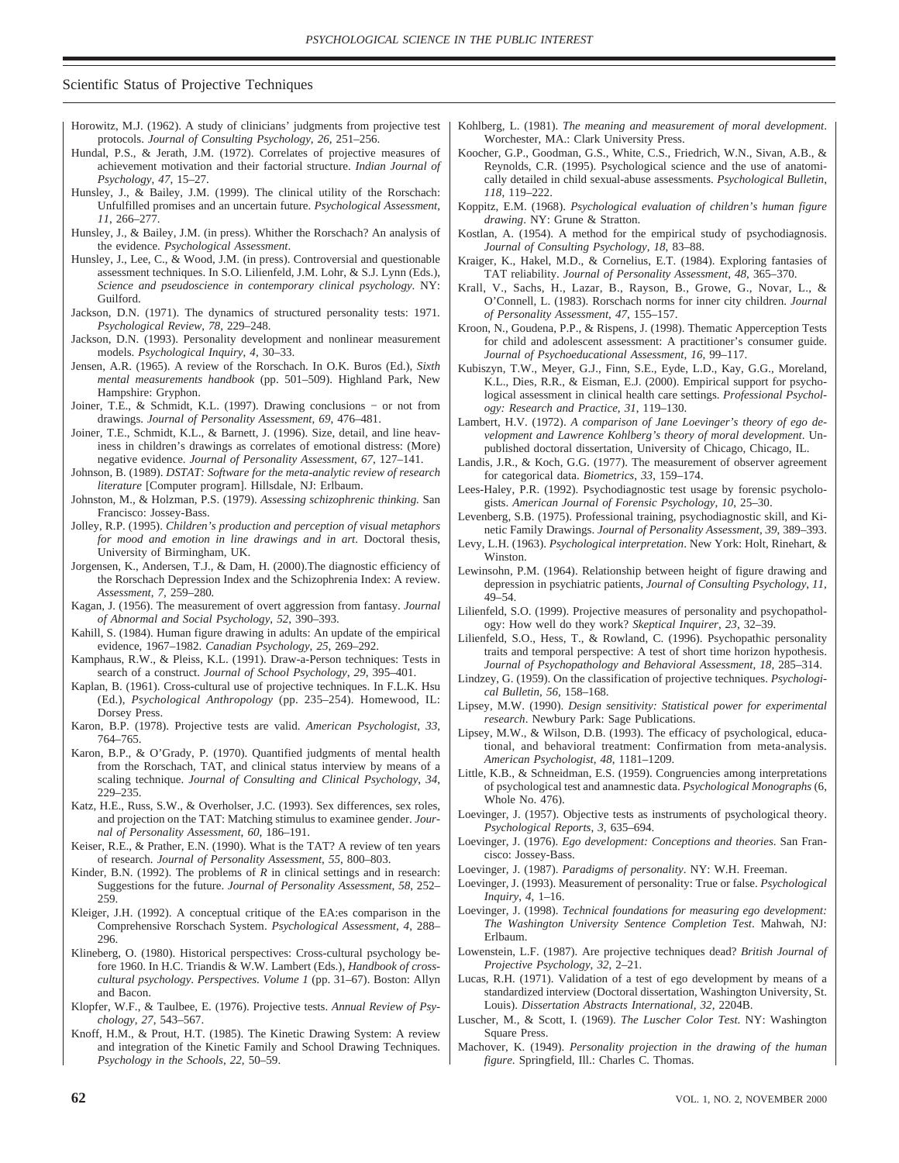- Horowitz, M.J. (1962). A study of clinicians' judgments from projective test protocols. *Journal of Consulting Psychology*, *26*, 251–256.
- Hundal, P.S., & Jerath, J.M. (1972). Correlates of projective measures of achievement motivation and their factorial structure. *Indian Journal of Psychology*, *47*, 15–27.
- Hunsley, J., & Bailey, J.M. (1999). The clinical utility of the Rorschach: Unfulfilled promises and an uncertain future. *Psychological Assessment*, *11*, 266–277.
- Hunsley, J., & Bailey, J.M. (in press). Whither the Rorschach? An analysis of the evidence. *Psychological Assessment*.
- Hunsley, J., Lee, C., & Wood, J.M. (in press). Controversial and questionable assessment techniques. In S.O. Lilienfeld, J.M. Lohr, & S.J. Lynn (Eds.), *Science and pseudoscience in contemporary clinical psychology*. NY: Guilford.
- Jackson, D.N. (1971). The dynamics of structured personality tests: 1971*. Psychological Review*, *78*, 229–248.
- Jackson, D.N. (1993). Personality development and nonlinear measurement models. *Psychological Inquiry*, *4*, 30–33.
- Jensen, A.R. (1965). A review of the Rorschach. In O.K. Buros (Ed.), *Sixth mental measurements handbook* (pp. 501–509). Highland Park, New Hampshire: Gryphon.
- Joiner, T.E., & Schmidt, K.L. (1997). Drawing conclusions − or not from drawings. *Journal of Personality Assessment*, *69*, 476–481.
- Joiner, T.E., Schmidt, K.L., & Barnett, J. (1996). Size, detail, and line heaviness in children's drawings as correlates of emotional distress: (More) negative evidence. *Journal of Personality Assessment*, *67*, 127–141.
- Johnson, B. (1989). *DSTAT: Software for the meta-analytic review of research literature* [Computer program]. Hillsdale, NJ: Erlbaum.
- Johnston, M., & Holzman, P.S. (1979). *Assessing schizophrenic thinking.* San Francisco: Jossey-Bass.
- Jolley, R.P. (1995). *Children's production and perception of visual metaphors for mood and emotion in line drawings and in art*. Doctoral thesis, University of Birmingham, UK.
- Jorgensen, K., Andersen, T.J., & Dam, H. (2000).The diagnostic efficiency of the Rorschach Depression Index and the Schizophrenia Index: A review. *Assessment*, *7,* 259–280*.*
- Kagan, J. (1956). The measurement of overt aggression from fantasy. *Journal of Abnormal and Social Psychology*, *52*, 390–393.
- Kahill, S. (1984). Human figure drawing in adults: An update of the empirical evidence, 1967–1982. *Canadian Psychology*, *25*, 269–292.
- Kamphaus, R.W., & Pleiss, K.L. (1991). Draw-a-Person techniques: Tests in search of a construct. *Journal of School Psychology*, *29*, 395–401.
- Kaplan, B. (1961). Cross-cultural use of projective techniques. In F.L.K. Hsu (Ed.), *Psychological Anthropology* (pp. 235–254). Homewood, IL: Dorsey Press.
- Karon, B.P. (1978). Projective tests are valid. *American Psychologist*, *33*, 764–765.
- Karon, B.P., & O'Grady, P. (1970). Quantified judgments of mental health from the Rorschach, TAT, and clinical status interview by means of a scaling technique. *Journal of Consulting and Clinical Psychology*, *34*, 229–235.
- Katz, H.E., Russ, S.W., & Overholser, J.C. (1993). Sex differences, sex roles, and projection on the TAT: Matching stimulus to examinee gender. *Journal of Personality Assessment*, *60*, 186–191.
- Keiser, R.E., & Prather, E.N. (1990). What is the TAT? A review of ten years of research. *Journal of Personality Assessment*, *55*, 800–803.
- Kinder, B.N. (1992). The problems of *R* in clinical settings and in research: Suggestions for the future. *Journal of Personality Assessment*, *58*, 252– 259.
- Kleiger, J.H. (1992). A conceptual critique of the EA:es comparison in the Comprehensive Rorschach System. *Psychological Assessment*, *4*, 288– 296.
- Klineberg, O. (1980). Historical perspectives: Cross-cultural psychology before 1960. In H.C. Triandis & W.W. Lambert (Eds.), *Handbook of crosscultural psychology*. *Perspectives*. *Volume 1* (pp. 31–67). Boston: Allyn and Bacon.
- Klopfer, W.F., & Taulbee, E. (1976). Projective tests. *Annual Review of Psychology*, *27*, 543–567.
- Knoff, H.M., & Prout, H.T. (1985). The Kinetic Drawing System: A review and integration of the Kinetic Family and School Drawing Techniques. *Psychology in the Schools*, *22*, 50–59.
- Kohlberg, L. (1981). *The meaning and measurement of moral development*. Worchester, MA.: Clark University Press.
- Koocher, G.P., Goodman, G.S., White, C.S., Friedrich, W.N., Sivan, A.B., & Reynolds, C.R. (1995). Psychological science and the use of anatomically detailed in child sexual-abuse assessments. *Psychological Bulletin*, *118*, 119–222.
- Koppitz, E.M. (1968). *Psychological evaluation of children's human figure drawing*. NY: Grune & Stratton.
- Kostlan, A. (1954). A method for the empirical study of psychodiagnosis. *Journal of Consulting Psychology*, *18*, 83–88.
- Kraiger, K., Hakel, M.D., & Cornelius, E.T. (1984). Exploring fantasies of TAT reliability. *Journal of Personality Assessment*, *48*, 365–370.
- Krall, V., Sachs, H., Lazar, B., Rayson, B., Growe, G., Novar, L., & O'Connell, L. (1983). Rorschach norms for inner city children. *Journal of Personality Assessment*, *47*, 155–157.
- Kroon, N., Goudena, P.P., & Rispens, J. (1998). Thematic Apperception Tests for child and adolescent assessment: A practitioner's consumer guide. *Journal of Psychoeducational Assessment*, *16*, 99–117.
- Kubiszyn, T.W., Meyer, G.J., Finn, S.E., Eyde, L.D., Kay, G.G., Moreland, K.L., Dies, R.R., & Eisman, E.J. (2000). Empirical support for psychological assessment in clinical health care settings. *Professional Psychology: Research and Practice*, *31*, 119–130.
- Lambert, H.V. (1972). *A comparison of Jane Loevinger's theory of ego development and Lawrence Kohlberg's theory of moral development*. Unpublished doctoral dissertation, University of Chicago, Chicago, IL.
- Landis, J.R., & Koch, G.G. (1977). The measurement of observer agreement for categorical data. *Biometrics*, *33*, 159–174.
- Lees-Haley, P.R. (1992). Psychodiagnostic test usage by forensic psychologists. *American Journal of Forensic Psychology*, *10*, 25–30.
- Levenberg, S.B. (1975). Professional training, psychodiagnostic skill, and Kinetic Family Drawings. *Journal of Personality Assessment*, *39*, 389–393.
- Levy, L.H. (1963). *Psychological interpretation*. New York: Holt, Rinehart, & Winston.
- Lewinsohn, P.M. (1964). Relationship between height of figure drawing and depression in psychiatric patients, *Journal of Consulting Psychology*, *11*, 49–54.
- Lilienfeld, S.O. (1999). Projective measures of personality and psychopathology: How well do they work? *Skeptical Inquirer*, *23*, 32–39.
- Lilienfeld, S.O., Hess, T., & Rowland, C. (1996). Psychopathic personality traits and temporal perspective: A test of short time horizon hypothesis. *Journal of Psychopathology and Behavioral Assessment*, *18*, 285–314.
- Lindzey, G. (1959). On the classification of projective techniques. *Psychological Bulletin*, *56*, 158–168.
- Lipsey, M.W. (1990). *Design sensitivity: Statistical power for experimental research*. Newbury Park: Sage Publications.
- Lipsey, M.W., & Wilson, D.B. (1993). The efficacy of psychological, educational, and behavioral treatment: Confirmation from meta-analysis. *American Psychologist*, *48*, 1181–1209.
- Little, K.B., & Schneidman, E.S. (1959). Congruencies among interpretations of psychological test and anamnestic data. *Psychological Monographs* (6, Whole No. 476).
- Loevinger, J. (1957). Objective tests as instruments of psychological theory. *Psychological Reports*, *3*, 635–694.
- Loevinger, J. (1976). *Ego development: Conceptions and theories*. San Francisco: Jossey-Bass.
- Loevinger, J. (1987). *Paradigms of personality*. NY: W.H. Freeman.
- Loevinger, J. (1993). Measurement of personality: True or false. *Psychological Inquiry*, *4*, 1–16.
- Loevinger, J. (1998). *Technical foundations for measuring ego development: The Washington University Sentence Completion Test*. Mahwah, NJ: Erlbaum.
- Lowenstein, L.F. (1987). Are projective techniques dead? *British Journal of Projective Psychology*, *32*, 2–21.
- Lucas, R.H. (1971). Validation of a test of ego development by means of a standardized interview (Doctoral dissertation, Washington University, St. Louis). *Dissertation Abstracts International*, *32*, 2204B.
- Luscher, M., & Scott, I. (1969). *The Luscher Color Test*. NY: Washington Square Press.
- Machover, K. (1949). *Personality projection in the drawing of the human figure*. Springfield, Ill.: Charles C. Thomas.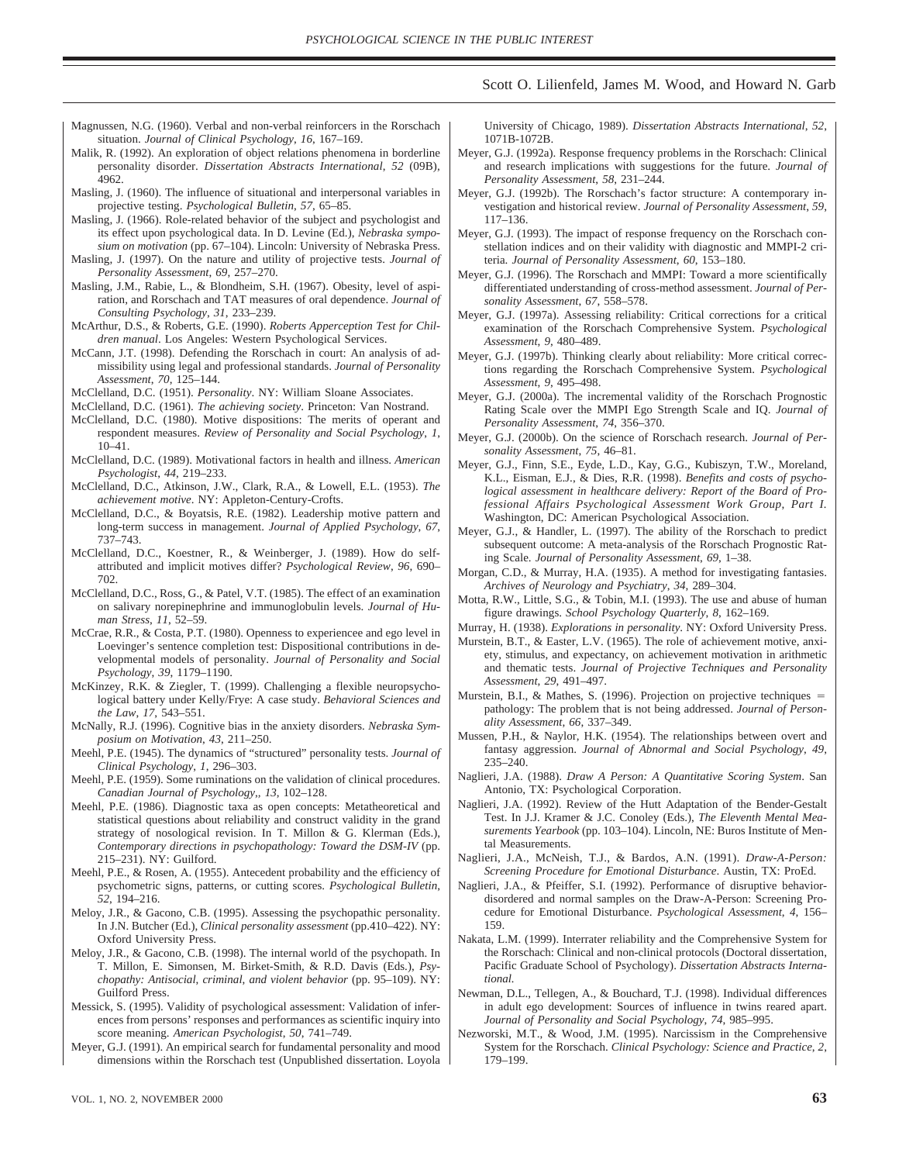- Magnussen, N.G. (1960). Verbal and non-verbal reinforcers in the Rorschach situation. *Journal of Clinical Psychology*, *16*, 167–169.
- Malik, R. (1992). An exploration of object relations phenomena in borderline personality disorder. *Dissertation Abstracts International*, *52* (09B), 4962.
- Masling, J. (1960). The influence of situational and interpersonal variables in projective testing. *Psychological Bulletin*, *57*, 65–85.
- Masling, J. (1966). Role-related behavior of the subject and psychologist and its effect upon psychological data. In D. Levine (Ed.), *Nebraska symposium on motivation* (pp. 67–104). Lincoln: University of Nebraska Press.
- Masling, J. (1997). On the nature and utility of projective tests. *Journal of Personality Assessment*, *69*, 257–270.
- Masling, J.M., Rabie, L., & Blondheim, S.H. (1967). Obesity, level of aspiration, and Rorschach and TAT measures of oral dependence. *Journal of Consulting Psychology*, *31*, 233–239.
- McArthur, D.S., & Roberts, G.E. (1990). *Roberts Apperception Test for Children manual*. Los Angeles: Western Psychological Services.
- McCann, J.T. (1998). Defending the Rorschach in court: An analysis of admissibility using legal and professional standards. *Journal of Personality Assessment*, *70*, 125–144.
- McClelland, D.C. (1951). *Personality*. NY: William Sloane Associates.
- McClelland, D.C. (1961). *The achieving society*. Princeton: Van Nostrand.
- McClelland, D.C. (1980). Motive dispositions: The merits of operant and respondent measures. *Review of Personality and Social Psychology*, *1*, 10–41.
- McClelland, D.C. (1989). Motivational factors in health and illness. *American Psychologist*, *44*, 219–233.
- McClelland, D.C., Atkinson, J.W., Clark, R.A., & Lowell, E.L. (1953). *The achievement motive*. NY: Appleton-Century-Crofts.
- McClelland, D.C., & Boyatsis, R.E. (1982). Leadership motive pattern and long-term success in management. *Journal of Applied Psychology*, *67*, 737–743.
- McClelland, D.C., Koestner, R., & Weinberger, J. (1989). How do selfattributed and implicit motives differ? *Psychological Review*, *96*, 690– 702.
- McClelland, D.C., Ross, G., & Patel, V.T. (1985). The effect of an examination on salivary norepinephrine and immunoglobulin levels. *Journal of Human Stress*, *11*, 52–59.
- McCrae, R.R., & Costa, P.T. (1980). Openness to experiencee and ego level in Loevinger's sentence completion test: Dispositional contributions in developmental models of personality. *Journal of Personality and Social Psychology*, *39*, 1179–1190.
- McKinzey, R.K. & Ziegler, T. (1999). Challenging a flexible neuropsychological battery under Kelly/Frye: A case study. *Behavioral Sciences and the Law*, *17*, 543–551.
- McNally, R.J. (1996). Cognitive bias in the anxiety disorders. *Nebraska Symposium on Motivation*, *43*, 211–250.
- Meehl, P.E. (1945). The dynamics of "structured" personality tests. *Journal of Clinical Psychology*, *1*, 296–303.
- Meehl, P.E. (1959). Some ruminations on the validation of clinical procedures. *Canadian Journal of Psychology*,*, 13*, 102–128.
- Meehl, P.E. (1986). Diagnostic taxa as open concepts: Metatheoretical and statistical questions about reliability and construct validity in the grand strategy of nosological revision. In T. Millon & G. Klerman (Eds.), *Contemporary directions in psychopathology: Toward the DSM-IV* (pp. 215–231). NY: Guilford.
- Meehl, P.E., & Rosen, A. (1955). Antecedent probability and the efficiency of psychometric signs, patterns, or cutting scores. *Psychological Bulletin*, *52*, 194–216.
- Meloy, J.R., & Gacono, C.B. (1995). Assessing the psychopathic personality. In J.N. Butcher (Ed.), *Clinical personality assessment* (pp.410–422). NY: Oxford University Press.
- Meloy, J.R., & Gacono, C.B. (1998). The internal world of the psychopath. In T. Millon, E. Simonsen, M. Birket-Smith, & R.D. Davis (Eds.), *Psychopathy: Antisocial*, *criminal*, *and violent behavior* (pp. 95–109). NY: Guilford Press.
- Messick, S. (1995). Validity of psychological assessment: Validation of inferences from persons' responses and performances as scientific inquiry into score meaning. *American Psychologist*, *50*, 741–749.
- Meyer, G.J. (1991). An empirical search for fundamental personality and mood dimensions within the Rorschach test (Unpublished dissertation. Loyola

University of Chicago, 1989). *Dissertation Abstracts International*, *52*, 1071B-1072B.

- Meyer, G.J. (1992a). Response frequency problems in the Rorschach: Clinical and research implications with suggestions for the future. *Journal of Personality Assessment*, *58*, 231–244.
- Meyer, G.J. (1992b). The Rorschach's factor structure: A contemporary investigation and historical review. *Journal of Personality Assessment*, *59*, 117–136.
- Meyer, G.J. (1993). The impact of response frequency on the Rorschach constellation indices and on their validity with diagnostic and MMPI-2 criteria. *Journal of Personality Assessment*, *60*, 153–180.
- Meyer, G.J. (1996). The Rorschach and MMPI: Toward a more scientifically differentiated understanding of cross-method assessment. *Journal of Personality Assessment*, *67*, 558–578.
- Meyer, G.J. (1997a). Assessing reliability: Critical corrections for a critical examination of the Rorschach Comprehensive System. *Psychological Assessment*, *9*, 480–489.
- Meyer, G.J. (1997b). Thinking clearly about reliability: More critical corrections regarding the Rorschach Comprehensive System. *Psychological Assessment*, *9*, 495–498.
- Meyer, G.J. (2000a). The incremental validity of the Rorschach Prognostic Rating Scale over the MMPI Ego Strength Scale and IQ. *Journal of Personality Assessment*, *74*, 356–370.
- Meyer, G.J. (2000b). On the science of Rorschach research. *Journal of Personality Assessment*, *75*, 46–81.
- Meyer, G.J., Finn, S.E., Eyde, L.D., Kay, G.G., Kubiszyn, T.W., Moreland, K.L., Eisman, E.J., & Dies, R.R. (1998). *Benefits and costs of psychological assessment in healthcare delivery: Report of the Board of Professional Affairs Psychological Assessment Work Group*, *Part I.* Washington, DC: American Psychological Association.
- Meyer, G.J., & Handler, L. (1997). The ability of the Rorschach to predict subsequent outcome: A meta-analysis of the Rorschach Prognostic Rating Scale. *Journal of Personality Assessment*, *69*, 1–38.
- Morgan, C.D., & Murray, H.A. (1935). A method for investigating fantasies. *Archives of Neurology and Psychiatry*, *34*, 289–304.
- Motta, R.W., Little, S.G., & Tobin, M.I. (1993). The use and abuse of human figure drawings. *School Psychology Quarterly*, *8*, 162–169.

Murray, H. (1938). *Explorations in personality*. NY: Oxford University Press.

- Murstein, B.T., & Easter, L.V. (1965). The role of achievement motive, anxiety, stimulus, and expectancy, on achievement motivation in arithmetic and thematic tests. *Journal of Projective Techniques and Personality Assessment*, *29*, 491–497.
- Murstein, B.I., & Mathes, S. (1996). Projection on projective techniques = pathology: The problem that is not being addressed. *Journal of Personality Assessment*, *66*, 337–349.
- Mussen, P.H., & Naylor, H.K. (1954). The relationships between overt and fantasy aggression. *Journal of Abnormal and Social Psychology*, *49*, 235–240.
- Naglieri, J.A. (1988). *Draw A Person: A Quantitative Scoring System*. San Antonio, TX: Psychological Corporation.
- Naglieri, J.A. (1992). Review of the Hutt Adaptation of the Bender-Gestalt Test. In J.J. Kramer & J.C. Conoley (Eds.), *The Eleventh Mental Measurements Yearbook* (pp. 103–104). Lincoln, NE: Buros Institute of Mental Measurements.
- Naglieri, J.A., McNeish, T.J., & Bardos, A.N. (1991). *Draw-A-Person: Screening Procedure for Emotional Disturbance*. Austin, TX: ProEd.
- Naglieri, J.A., & Pfeiffer, S.I. (1992). Performance of disruptive behaviordisordered and normal samples on the Draw-A-Person: Screening Procedure for Emotional Disturbance. *Psychological Assessment*, *4*, 156– 159.
- Nakata, L.M. (1999). Interrater reliability and the Comprehensive System for the Rorschach: Clinical and non-clinical protocols (Doctoral dissertation, Pacific Graduate School of Psychology). *Dissertation Abstracts International.*
- Newman, D.L., Tellegen, A., & Bouchard, T.J. (1998). Individual differences in adult ego development: Sources of influence in twins reared apart. *Journal of Personality and Social Psychology*, *74*, 985–995.
- Nezworski, M.T., & Wood, J.M. (1995). Narcissism in the Comprehensive System for the Rorschach. *Clinical Psychology: Science and Practice*, *2*, 179–199.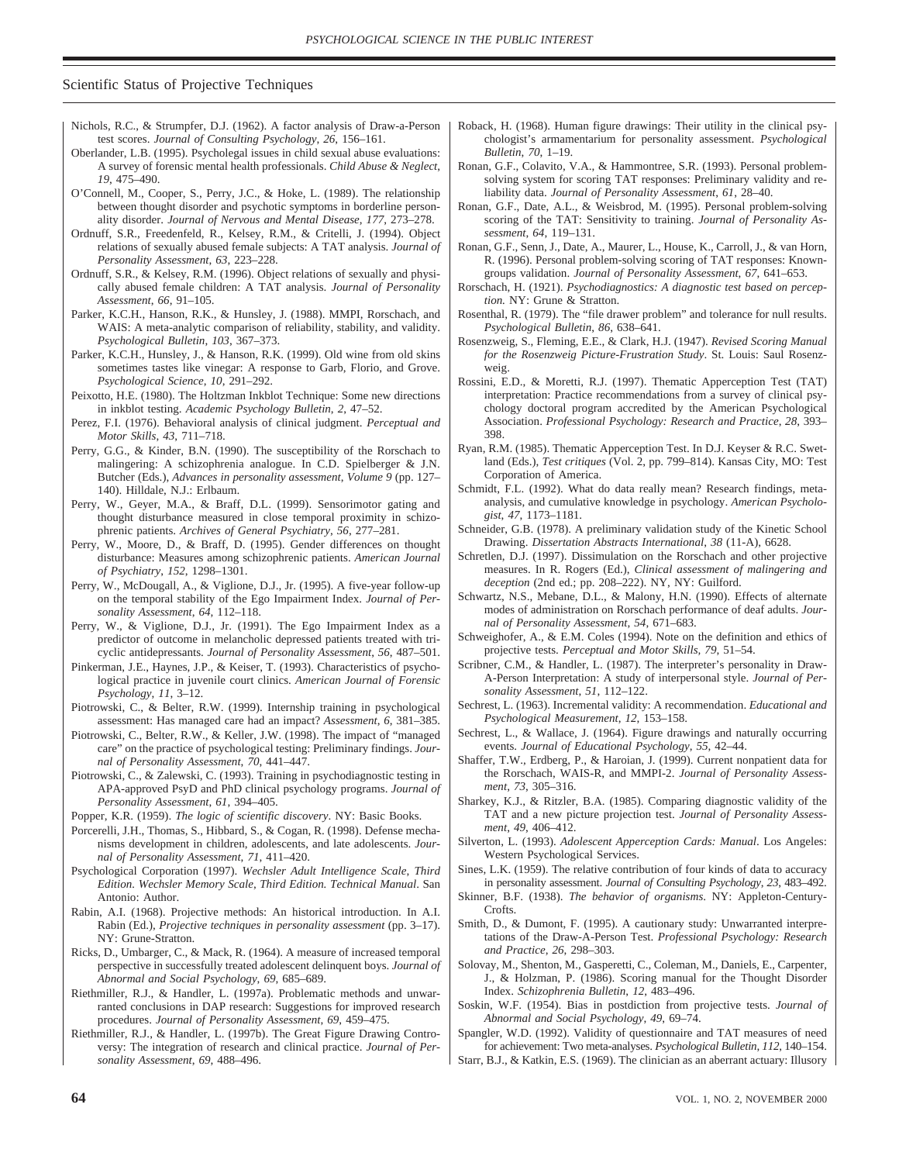- Nichols, R.C., & Strumpfer, D.J. (1962). A factor analysis of Draw-a-Person test scores. *Journal of Consulting Psychology*, *26*, 156–161.
- Oberlander, L.B. (1995). Psycholegal issues in child sexual abuse evaluations: A survey of forensic mental health professionals. *Child Abuse & Neglect*, *19*, 475–490.
- O'Connell, M., Cooper, S., Perry, J.C., & Hoke, L. (1989). The relationship between thought disorder and psychotic symptoms in borderline personality disorder. *Journal of Nervous and Mental Disease*, *177*, 273–278.
- Ordnuff, S.R., Freedenfeld, R., Kelsey, R.M., & Critelli, J. (1994). Object relations of sexually abused female subjects: A TAT analysis. *Journal of Personality Assessment*, *63*, 223–228.
- Ordnuff, S.R., & Kelsey, R.M. (1996). Object relations of sexually and physically abused female children: A TAT analysis. *Journal of Personality Assessment*, *66*, 91–105.
- Parker, K.C.H., Hanson, R.K., & Hunsley, J. (1988). MMPI, Rorschach, and WAIS: A meta-analytic comparison of reliability, stability, and validity. *Psychological Bulletin*, *103*, 367–373.
- Parker, K.C.H., Hunsley, J., & Hanson, R.K. (1999). Old wine from old skins sometimes tastes like vinegar: A response to Garb, Florio, and Grove. *Psychological Science*, *10*, 291–292.
- Peixotto, H.E. (1980). The Holtzman Inkblot Technique: Some new directions in inkblot testing. *Academic Psychology Bulletin*, *2*, 47–52.
- Perez, F.I. (1976). Behavioral analysis of clinical judgment. *Perceptual and Motor Skills*, *43*, 711–718.
- Perry, G.G., & Kinder, B.N. (1990). The susceptibility of the Rorschach to malingering: A schizophrenia analogue. In C.D. Spielberger & J.N. Butcher (Eds.), *Advances in personality assessment*, *Volume 9* (pp. 127– 140). Hilldale, N.J.: Erlbaum.
- Perry, W., Geyer, M.A., & Braff, D.L. (1999). Sensorimotor gating and thought disturbance measured in close temporal proximity in schizophrenic patients. *Archives of General Psychiatry*, *56*, 277–281.
- Perry, W., Moore, D., & Braff, D. (1995). Gender differences on thought disturbance: Measures among schizophrenic patients. *American Journal of Psychiatry*, *152*, 1298–1301.
- Perry, W., McDougall, A., & Viglione, D.J., Jr. (1995). A five-year follow-up on the temporal stability of the Ego Impairment Index. *Journal of Personality Assessment*, *64*, 112–118.
- Perry, W., & Viglione, D.J., Jr. (1991). The Ego Impairment Index as a predictor of outcome in melancholic depressed patients treated with tricyclic antidepressants. *Journal of Personality Assessment*, *56*, 487–501.
- Pinkerman, J.E., Haynes, J.P., & Keiser, T. (1993). Characteristics of psychological practice in juvenile court clinics. *American Journal of Forensic Psychology*, *11*, 3–12.
- Piotrowski, C., & Belter, R.W. (1999). Internship training in psychological assessment: Has managed care had an impact? *Assessment*, *6*, 381–385.
- Piotrowski, C., Belter, R.W., & Keller, J.W. (1998). The impact of "managed care" on the practice of psychological testing: Preliminary findings. *Journal of Personality Assessment*, *70*, 441–447.
- Piotrowski, C., & Zalewski, C. (1993). Training in psychodiagnostic testing in APA-approved PsyD and PhD clinical psychology programs. *Journal of Personality Assessment*, *61*, 394–405.

Popper, K.R. (1959). *The logic of scientific discovery*. NY: Basic Books.

- Porcerelli, J.H., Thomas, S., Hibbard, S., & Cogan, R. (1998). Defense mechanisms development in children, adolescents, and late adolescents. *Journal of Personality Assessment*, *71*, 411–420.
- Psychological Corporation (1997). *Wechsler Adult Intelligence Scale*, *Third Edition. Wechsler Memory Scale*, *Third Edition. Technical Manual*. San Antonio: Author.
- Rabin, A.I. (1968). Projective methods: An historical introduction. In A.I. Rabin (Ed.), *Projective techniques in personality assessment* (pp. 3–17). NY: Grune-Stratton.
- Ricks, D., Umbarger, C., & Mack, R. (1964). A measure of increased temporal perspective in successfully treated adolescent delinquent boys. *Journal of Abnormal and Social Psychology*, *69*, 685–689.
- Riethmiller, R.J., & Handler, L. (1997a). Problematic methods and unwarranted conclusions in DAP research: Suggestions for improved research procedures. *Journal of Personality Assessment*, *69*, 459–475.
- Riethmiller, R.J., & Handler, L. (1997b). The Great Figure Drawing Controversy: The integration of research and clinical practice. *Journal of Personality Assessment*, *69*, 488–496.
- Roback, H. (1968). Human figure drawings: Their utility in the clinical psychologist's armamentarium for personality assessment. *Psychological Bulletin*, *70*, 1–19.
- Ronan, G.F., Colavito, V.A., & Hammontree, S.R. (1993). Personal problemsolving system for scoring TAT responses: Preliminary validity and reliability data. *Journal of Personality Assessment*, *61*, 28–40.
- Ronan, G.F., Date, A.L., & Weisbrod, M. (1995). Personal problem-solving scoring of the TAT: Sensitivity to training. *Journal of Personality Assessment*, *64*, 119–131.
- Ronan, G.F., Senn, J., Date, A., Maurer, L., House, K., Carroll, J., & van Horn, R. (1996). Personal problem-solving scoring of TAT responses: Knowngroups validation. *Journal of Personality Assessment*, *67*, 641–653.
- Rorschach, H. (1921). *Psychodiagnostics: A diagnostic test based on perception.* NY: Grune & Stratton.
- Rosenthal, R. (1979). The "file drawer problem" and tolerance for null results. *Psychological Bulletin*, *86*, 638–641.
- Rosenzweig, S., Fleming, E.E., & Clark, H.J. (1947). *Revised Scoring Manual for the Rosenzweig Picture-Frustration Study*. St. Louis: Saul Rosenzweig.
- Rossini, E.D., & Moretti, R.J. (1997). Thematic Apperception Test (TAT) interpretation: Practice recommendations from a survey of clinical psychology doctoral program accredited by the American Psychological Association. *Professional Psychology: Research and Practice*, *28*, 393– 398.
- Ryan, R.M. (1985). Thematic Apperception Test. In D.J. Keyser & R.C. Swetland (Eds.), *Test critiques* (Vol. 2, pp. 799–814). Kansas City, MO: Test Corporation of America.
- Schmidt, F.L. (1992). What do data really mean? Research findings, metaanalysis, and cumulative knowledge in psychology. *American Psychologist*, *47*, 1173–1181.
- Schneider, G.B. (1978). A preliminary validation study of the Kinetic School Drawing. *Dissertation Abstracts International*, *38* (11-A), 6628.
- Schretlen, D.J. (1997). Dissimulation on the Rorschach and other projective measures. In R. Rogers (Ed.), *Clinical assessment of malingering and deception* (2nd ed.; pp. 208–222). NY, NY: Guilford.
- Schwartz, N.S., Mebane, D.L., & Malony, H.N. (1990). Effects of alternate modes of administration on Rorschach performance of deaf adults. *Journal of Personality Assessment*, *54*, 671–683.
- Schweighofer, A., & E.M. Coles (1994). Note on the definition and ethics of projective tests. *Perceptual and Motor Skills, 79*, 51–54.
- Scribner, C.M., & Handler, L. (1987). The interpreter's personality in Draw-A-Person Interpretation: A study of interpersonal style. *Journal of Personality Assessment*, *51*, 112–122.
- Sechrest, L. (1963). Incremental validity: A recommendation. *Educational and Psychological Measurement*, *12*, 153–158.
- Sechrest, L., & Wallace, J. (1964). Figure drawings and naturally occurring events. *Journal of Educational Psychology*, *55*, 42–44.
- Shaffer, T.W., Erdberg, P., & Haroian, J. (1999). Current nonpatient data for the Rorschach, WAIS-R, and MMPI-2. *Journal of Personality Assessment*, *73*, 305–316.
- Sharkey, K.J., & Ritzler, B.A. (1985). Comparing diagnostic validity of the TAT and a new picture projection test. *Journal of Personality Assessment*, *49*, 406–412.
- Silverton, L. (1993). *Adolescent Apperception Cards: Manual*. Los Angeles: Western Psychological Services.
- Sines, L.K. (1959). The relative contribution of four kinds of data to accuracy in personality assessment. *Journal of Consulting Psychology*, *23*, 483–492.
- Skinner, B.F. (1938). *The behavior of organisms*. NY: Appleton-Century-Crofts.
- Smith, D., & Dumont, F. (1995). A cautionary study: Unwarranted interpretations of the Draw-A-Person Test. *Professional Psychology: Research and Practice*, *26*, 298–303.
- Solovay, M., Shenton, M., Gasperetti, C., Coleman, M., Daniels, E., Carpenter, J., & Holzman, P. (1986). Scoring manual for the Thought Disorder Index. *Schizophrenia Bulletin*, *12*, 483–496.
- Soskin, W.F. (1954). Bias in postdiction from projective tests. *Journal of Abnormal and Social Psychology*, *49*, 69–74.
- Spangler, W.D. (1992). Validity of questionnaire and TAT measures of need for achievement: Two meta-analyses. *Psychological Bulletin*, *112*, 140–154.

Starr, B.J., & Katkin, E.S. (1969). The clinician as an aberrant actuary: Illusory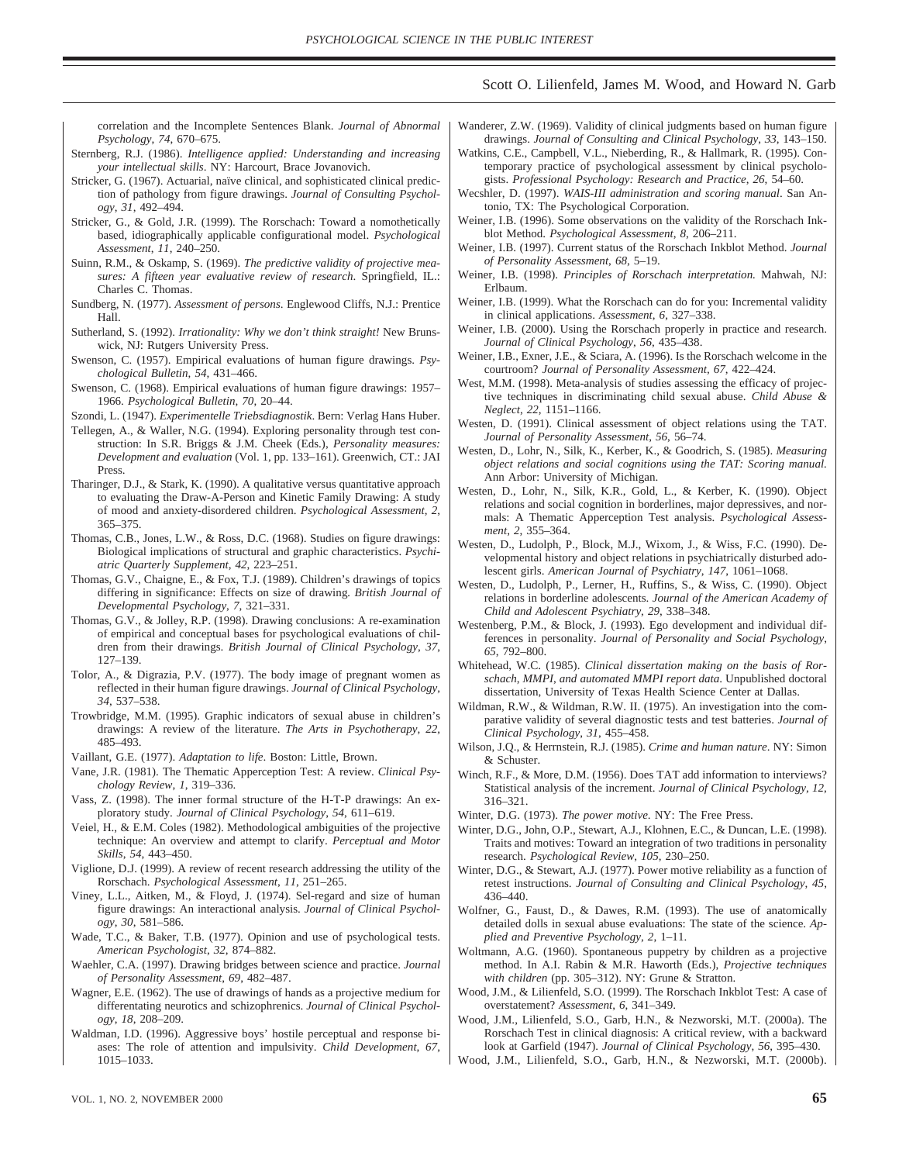correlation and the Incomplete Sentences Blank. *Journal of Abnormal Psychology*, *74*, 670–675.

- Sternberg, R.J. (1986). *Intelligence applied: Understanding and increasing your intellectual skills*. NY: Harcourt, Brace Jovanovich.
- Stricker, G. (1967). Actuarial, naïve clinical, and sophisticated clinical prediction of pathology from figure drawings. *Journal of Consulting Psychology*, *31*, 492–494.
- Stricker, G., & Gold, J.R. (1999). The Rorschach: Toward a nomothetically based, idiographically applicable configurational model. *Psychological Assessment*, *11*, 240–250.
- Suinn, R.M., & Oskamp, S. (1969). *The predictive validity of projective measures: A fifteen year evaluative review of research*. Springfield, IL.: Charles C. Thomas.
- Sundberg, N. (1977). *Assessment of persons*. Englewood Cliffs, N.J.: Prentice Hall.
- Sutherland, S. (1992). *Irrationality: Why we don't think straight!* New Brunswick, NJ: Rutgers University Press.
- Swenson, C. (1957). Empirical evaluations of human figure drawings. *Psychological Bulletin*, *54*, 431–466.
- Swenson, C. (1968). Empirical evaluations of human figure drawings: 1957– 1966. *Psychological Bulletin*, *70*, 20–44.

Szondi, L. (1947). *Experimentelle Triebsdiagnostik*. Bern: Verlag Hans Huber.

- Tellegen, A., & Waller, N.G. (1994). Exploring personality through test construction: In S.R. Briggs & J.M. Cheek (Eds.), *Personality measures: Development and evaluation* (Vol. 1, pp. 133–161). Greenwich, CT.: JAI Press.
- Tharinger, D.J., & Stark, K. (1990). A qualitative versus quantitative approach to evaluating the Draw-A-Person and Kinetic Family Drawing: A study of mood and anxiety-disordered children. *Psychological Assessment*, *2*, 365–375.
- Thomas, C.B., Jones, L.W., & Ross, D.C. (1968). Studies on figure drawings: Biological implications of structural and graphic characteristics. *Psychiatric Quarterly Supplement*, *42*, 223–251.
- Thomas, G.V., Chaigne, E., & Fox, T.J. (1989). Children's drawings of topics differing in significance: Effects on size of drawing*. British Journal of Developmental Psychology*, *7*, 321–331.
- Thomas, G.V., & Jolley, R.P. (1998). Drawing conclusions: A re-examination of empirical and conceptual bases for psychological evaluations of children from their drawings. *British Journal of Clinical Psychology*, *37*, 127–139.
- Tolor, A., & Digrazia, P.V. (1977). The body image of pregnant women as reflected in their human figure drawings. *Journal of Clinical Psychology*, *34*, 537–538.
- Trowbridge, M.M. (1995). Graphic indicators of sexual abuse in children's drawings: A review of the literature. *The Arts in Psychotherapy*, *22*, 485–493.

Vaillant, G.E. (1977). *Adaptation to life*. Boston: Little, Brown.

- Vane, J.R. (1981). The Thematic Apperception Test: A review. *Clinical Psychology Review*, *1*, 319–336.
- Vass, Z. (1998). The inner formal structure of the H-T-P drawings: An exploratory study. *Journal of Clinical Psychology*, *54*, 611–619.
- Veiel, H., & E.M. Coles (1982). Methodological ambiguities of the projective technique: An overview and attempt to clarify. *Perceptual and Motor Skills*, *54*, 443–450.
- Viglione, D.J. (1999). A review of recent research addressing the utility of the Rorschach. *Psychological Assessment*, *11*, 251–265.
- Viney, L.L., Aitken, M., & Floyd, J. (1974). Sel-regard and size of human figure drawings: An interactional analysis. *Journal of Clinical Psychology*, *30*, 581–586.
- Wade, T.C., & Baker, T.B. (1977). Opinion and use of psychological tests. *American Psychologist*, *32*, 874–882.
- Waehler, C.A. (1997). Drawing bridges between science and practice. *Journal of Personality Assessment*, *69*, 482–487.
- Wagner, E.E. (1962). The use of drawings of hands as a projective medium for differentating neurotics and schizophrenics. *Journal of Clinical Psychology*, *18*, 208–209.
- Waldman, I.D. (1996). Aggressive boys' hostile perceptual and response biases: The role of attention and impulsivity. *Child Development*, *67*, 1015–1033.

Wanderer, Z.W. (1969). Validity of clinical judgments based on human figure drawings. *Journal of Consulting and Clinical Psychology*, *33*, 143–150.

- Watkins, C.E., Campbell, V.L., Nieberding, R., & Hallmark, R. (1995). Contemporary practice of psychological assessment by clinical psychologists. *Professional Psychology: Research and Practice*, *26*, 54–60.
- Wecshler, D. (1997). *WAIS-III administration and scoring manual*. San Antonio, TX: The Psychological Corporation.
- Weiner, I.B. (1996). Some observations on the validity of the Rorschach Inkblot Method. *Psychological Assessment*, *8*, 206–211.
- Weiner, I.B. (1997). Current status of the Rorschach Inkblot Method. *Journal of Personality Assessment*, *68*, 5–19.
- Weiner, I.B. (1998). *Principles of Rorschach interpretation.* Mahwah, NJ: Erlbaum.
- Weiner, I.B. (1999). What the Rorschach can do for you: Incremental validity in clinical applications. *Assessment*, *6*, 327–338.
- Weiner, I.B. (2000). Using the Rorschach properly in practice and research. *Journal of Clinical Psychology*, *56*, 435–438.
- Weiner, I.B., Exner, J.E., & Sciara, A. (1996). Is the Rorschach welcome in the courtroom? *Journal of Personality Assessment*, *67*, 422–424.
- West, M.M. (1998). Meta-analysis of studies assessing the efficacy of projective techniques in discriminating child sexual abuse. *Child Abuse & Neglect*, *22*, 1151–1166.
- Westen, D. (1991). Clinical assessment of object relations using the TAT. *Journal of Personality Assessment*, *56*, 56–74.
- Westen, D., Lohr, N., Silk, K., Kerber, K., & Goodrich, S. (1985). *Measuring object relations and social cognitions using the TAT: Scoring manual.* Ann Arbor: University of Michigan.
- Westen, D., Lohr, N., Silk, K.R., Gold, L., & Kerber, K. (1990). Object relations and social cognition in borderlines, major depressives, and normals: A Thematic Apperception Test analysis. *Psychological Assessment*, *2*, 355–364.
- Westen, D., Ludolph, P., Block, M.J., Wixom, J., & Wiss, F.C. (1990). Developmental history and object relations in psychiatrically disturbed adolescent girls. *American Journal of Psychiatry*, *147*, 1061–1068.
- Westen, D., Ludolph, P., Lerner, H., Ruffins, S., & Wiss, C. (1990). Object relations in borderline adolescents. *Journal of the American Academy of Child and Adolescent Psychiatry*, *29*, 338–348.
- Westenberg, P.M., & Block, J. (1993). Ego development and individual differences in personality. *Journal of Personality and Social Psychology*, *65*, 792–800.
- Whitehead, W.C. (1985). *Clinical dissertation making on the basis of Rorschach*, *MMPI*, *and automated MMPI report data*. Unpublished doctoral dissertation, University of Texas Health Science Center at Dallas.
- Wildman, R.W., & Wildman, R.W. II. (1975). An investigation into the comparative validity of several diagnostic tests and test batteries. *Journal of Clinical Psychology*, *31*, 455–458.
- Wilson, J.Q., & Herrnstein, R.J. (1985). *Crime and human nature*. NY: Simon & Schuster.
- Winch, R.F., & More, D.M. (1956). Does TAT add information to interviews? Statistical analysis of the increment. *Journal of Clinical Psychology*, *12*, 316–321.
- Winter, D.G. (1973). *The power motive*. NY: The Free Press.
- Winter, D.G., John, O.P., Stewart, A.J., Klohnen, E.C., & Duncan, L.E. (1998). Traits and motives: Toward an integration of two traditions in personality research. *Psychological Review*, *105*, 230–250.
- Winter, D.G., & Stewart, A.J. (1977). Power motive reliability as a function of retest instructions. *Journal of Consulting and Clinical Psychology*, *45*, 436–440.
- Wolfner, G., Faust, D., & Dawes, R.M. (1993). The use of anatomically detailed dolls in sexual abuse evaluations: The state of the science. *Applied and Preventive Psychology*, *2*, 1–11.
- Woltmann, A.G. (1960). Spontaneous puppetry by children as a projective method. In A.I. Rabin & M.R. Haworth (Eds.), *Projective techniques with children* (pp. 305–312). NY: Grune & Stratton.
- Wood, J.M., & Lilienfeld, S.O. (1999). The Rorschach Inkblot Test: A case of overstatement? *Assessment*, *6*, 341–349.

Wood, J.M., Lilienfeld, S.O., Garb, H.N., & Nezworski, M.T. (2000a). The Rorschach Test in clinical diagnosis: A critical review, with a backward look at Garfield (1947). *Journal of Clinical Psychology*, *56*, 395–430.

Wood, J.M., Lilienfeld, S.O., Garb, H.N., & Nezworski, M.T. (2000b).